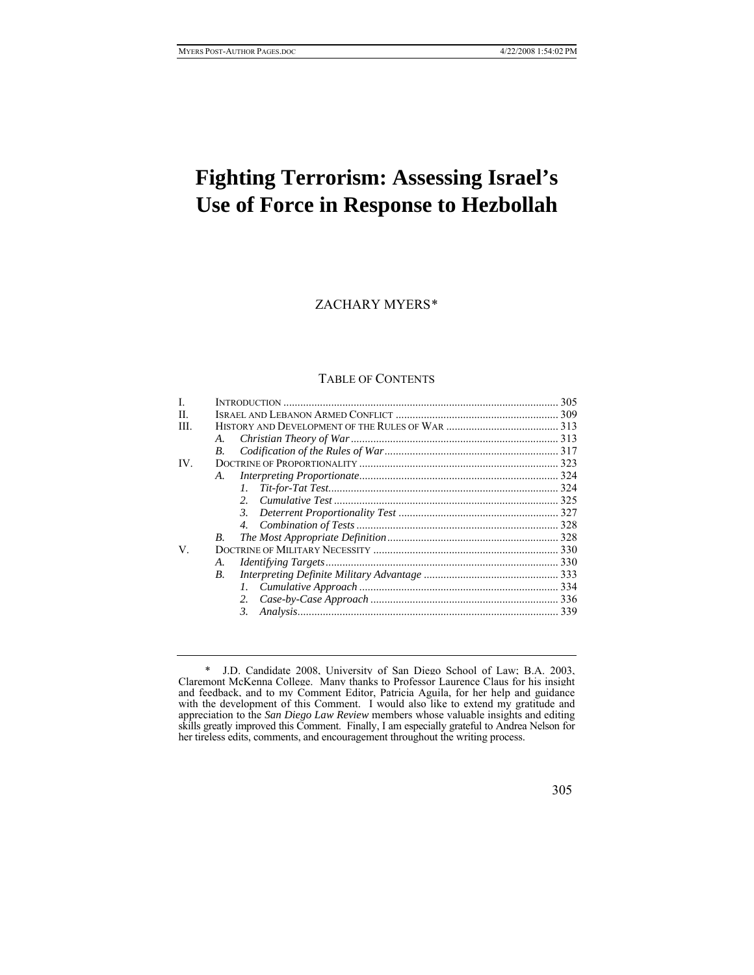# **Fighting Terrorism: Assessing Israel's Use of Force in Response to Hezbollah**

ZACHARY MYERS[\\*](#page-0-0) 

## TABLE OF CONTENTS

|     |         | 305 |
|-----|---------|-----|
| H.  |         |     |
| HI. |         |     |
|     | A.      |     |
|     | B.      |     |
| IV. |         |     |
|     | A.      |     |
|     |         |     |
|     | $2^{+}$ |     |
|     |         |     |
|     |         |     |
|     | В.      |     |
| V.  |         |     |
|     | А.      |     |
|     | B.      |     |
|     |         |     |
|     |         |     |
|     | 3.      |     |
|     |         |     |

<span id="page-0-0"></span> <sup>\*</sup> J.D. Candidate 2008, University of San Diego School of Law; B.A. 2003, Claremont McKenna College. Many thanks to Professor Laurence Claus for his insight and feedback, and to my Comment Editor, Patricia Aguila, for her help and guidance with the development of this Comment. I would also like to extend my gratitude and appreciation to the *San Diego Law Review* members whose valuable insights and editing skills greatly improved this Comment. Finally, I am especially grateful to Andrea Nelson for her tireless edits, comments, and encouragement throughout the writing process.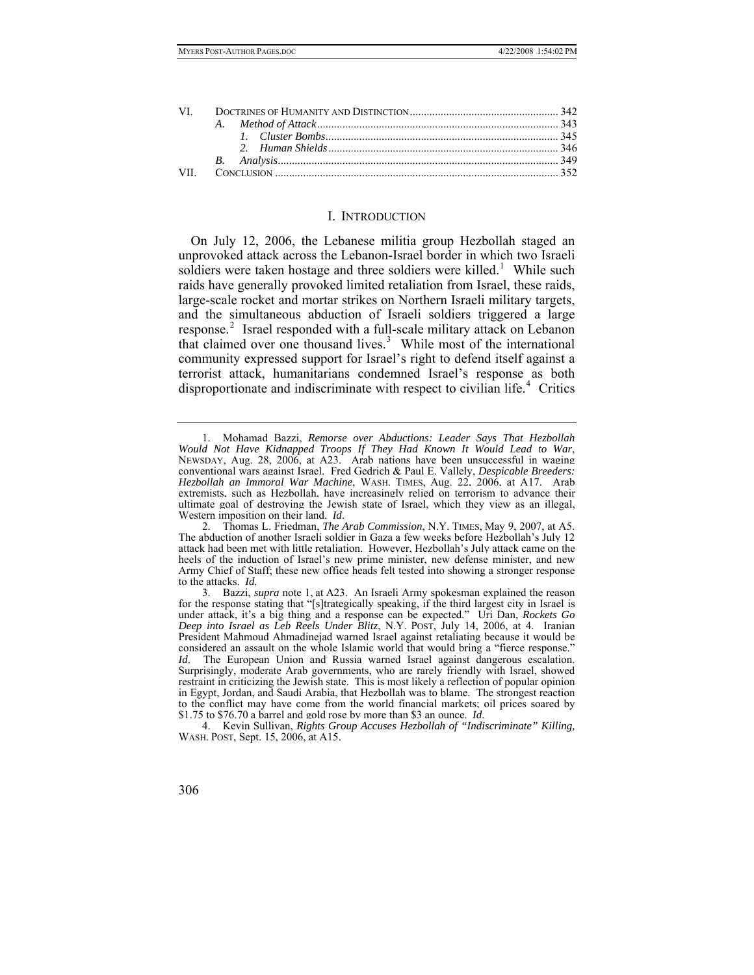#### I. INTRODUCTION

On July 12, 2006, the Lebanese militia group Hezbollah staged an unprovoked attack across the Lebanon-Israel border in which two Israeli soldiers were taken hostage and three soldiers were killed.<sup>[1](#page-1-0)</sup> While such raids have generally provoked limited retaliation from Israel, these raids, large-scale rocket and mortar strikes on Northern Israeli military targets, and the simultaneous abduction of Israeli soldiers triggered a large response.<sup>[2](#page-1-1)</sup> Israel responded with a full-scale military attack on Lebanon that claimed over one thousand lives. $3$  While most of the international community expressed support for Israel's right to defend itself against a terrorist attack, humanitarians condemned Israel's response as both disproportionate and indiscriminate with respect to civilian life.<sup>[4](#page-1-3)</sup> Critics

<span id="page-1-0"></span> <sup>1.</sup> Mohamad Bazzi, *Remorse over Abductions: Leader Says That Hezbollah Would Not Have Kidnapped Troops If They Had Known It Would Lead to War*, NEWSDAY, Aug. 28, 2006, at A23. Arab nations have been unsuccessful in waging conventional wars against Israel. Fred Gedrich & Paul E. Vallely, *Despicable Breeders: Hezbollah an Immoral War Machine*, WASH. TIMES, Aug. 22, 2006, at A17. Arab extremists, such as Hezbollah, have increasingly relied on terrorism to advance their ultimate goal of destroying the Jewish state of Israel, which they view as an illegal, Western imposition on their land. *Id*.

<span id="page-1-1"></span> <sup>2.</sup> Thomas L. Friedman, *The Arab Commission*, N.Y. TIMES, May 9, 2007, at A5. The abduction of another Israeli soldier in Gaza a few weeks before Hezbollah's July 12 attack had been met with little retaliation. However, Hezbollah's July attack came on the heels of the induction of Israel's new prime minister, new defense minister, and new Army Chief of Staff; these new office heads felt tested into showing a stronger response to the attacks. *Id.*

<span id="page-1-2"></span> <sup>3.</sup> Bazzi, *supra* note 1, at A23. An Israeli Army spokesman explained the reason for the response stating that "[s]trategically speaking, if the third largest city in Israel is under attack, it's a big thing and a response can be expected." Uri Dan, *Rockets Go Deep into Israel as Leb Reels Under Blitz*, N.Y. POST, July 14, 2006, at 4. Iranian President Mahmoud Ahmadinejad warned Israel against retaliating because it would be considered an assault on the whole Islamic world that would bring a "fierce response." *Id*. The European Union and Russia warned Israel against dangerous escalation. Surprisingly, moderate Arab governments, who are rarely friendly with Israel, showed restraint in criticizing the Jewish state. This is most likely a reflection of popular opinion in Egypt, Jordan, and Saudi Arabia, that Hezbollah was to blame. The strongest reaction to the conflict may have come from the world financial markets; oil prices soared by \$1.75 to \$76.70 a barrel and gold rose by more than \$3 an ounce. *Id*.

<span id="page-1-3"></span> <sup>4.</sup> Kevin Sullivan, *Rights Group Accuses Hezbollah of "Indiscriminate" Killing,*  WASH. POST, Sept. 15, 2006, at A15.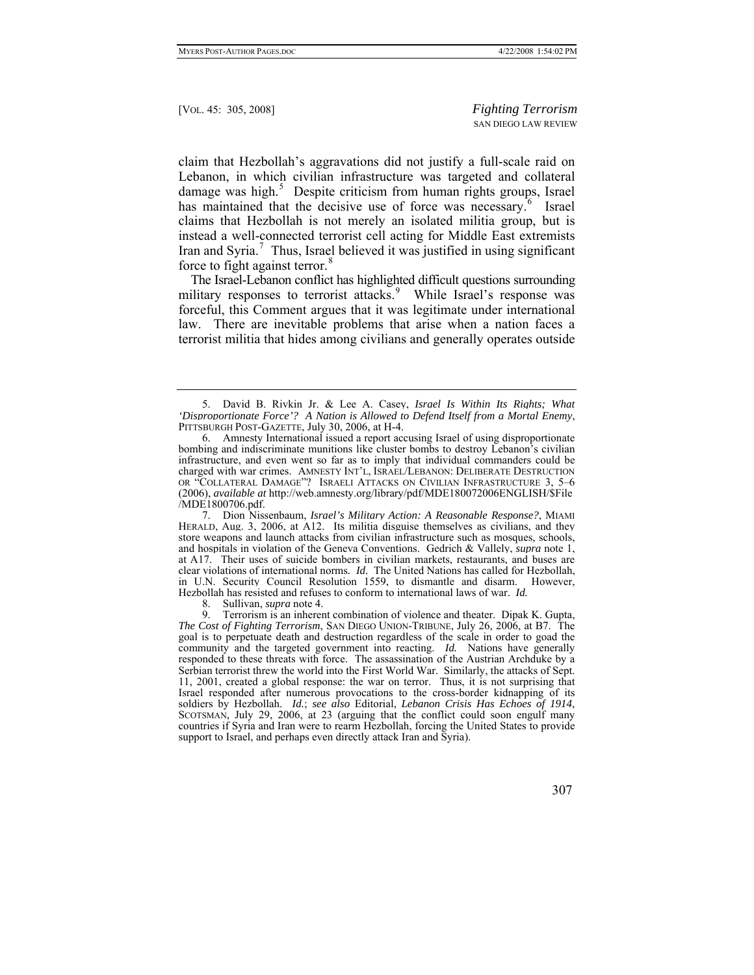claim that Hezbollah's aggravations did not justify a full-scale raid on Lebanon, in which civilian infrastructure was targeted and collateral damage was high.<sup>[5](#page-2-0)</sup> Despite criticism from human rights groups, Israel has maintained that the decisive use of force was necessary.<sup>[6](#page-2-1)</sup> Israel claims that Hezbollah is not merely an isolated militia group, but is instead a well-connected terrorist cell acting for Middle East extremists Iran and Syria.<sup>[7](#page-2-2)</sup> Thus, Israel believed it was justified in using significant force to fight against terror.<sup>[8](#page-2-3)</sup>

The Israel-Lebanon conflict has highlighted difficult questions surrounding military responses to terrorist attacks.<sup>[9](#page-2-4)</sup> While Israel's response was forceful, this Comment argues that it was legitimate under international law. There are inevitable problems that arise when a nation faces a terrorist militia that hides among civilians and generally operates outside

<span id="page-2-0"></span> <sup>5.</sup> David B. Rivkin Jr. & Lee A. Casey, *Israel Is Within Its Rights; What 'Disproportionate Force'? A Nation is Allowed to Defend Itself from a Mortal Enemy*, PITTSBURGH POST-GAZETTE, July 30, 2006, at H-4.

<span id="page-2-1"></span> <sup>6.</sup> Amnesty International issued a report accusing Israel of using disproportionate bombing and indiscriminate munitions like cluster bombs to destroy Lebanon's civilian infrastructure, and even went so far as to imply that individual commanders could be charged with war crimes. AMNESTY INT'L, ISRAEL/LEBANON: DELIBERATE DESTRUCTION OR "COLLATERAL DAMAGE"? ISRAELI ATTACKS ON CIVILIAN INFRASTRUCTURE 3, 5–6 (2006), *available at* http://web.amnesty.org/library/pdf/MDE180072006ENGLISH/\$File /MDE1800706.pdf.

<span id="page-2-2"></span> <sup>7.</sup> Dion Nissenbaum, *Israel's Military Action: A Reasonable Response?*, MIAMI HERALD, Aug. 3, 2006, at A12. Its militia disguise themselves as civilians, and they store weapons and launch attacks from civilian infrastructure such as mosques, schools, and hospitals in violation of the Geneva Conventions. Gedrich & Vallely, *supra* note 1, at A17. Their uses of suicide bombers in civilian markets, restaurants, and buses are clear violations of international norms*. Id.* The United Nations has called for Hezbollah, in U.N. Security Council Resolution 1559, to dismantle and disarm. However, Hezbollah has resisted and refuses to conform to international laws of war. *Id.*

 <sup>8.</sup> Sullivan, *supra* note 4.

<span id="page-2-4"></span><span id="page-2-3"></span> <sup>9.</sup> Terrorism is an inherent combination of violence and theater. Dipak K. Gupta, *The Cost of Fighting Terrorism*, SAN DIEGO UNION-TRIBUNE, July 26, 2006, at B7. The goal is to perpetuate death and destruction regardless of the scale in order to goad the community and the targeted government into reacting. *Id.* Nations have generally responded to these threats with force. The assassination of the Austrian Archduke by a Serbian terrorist threw the world into the First World War. Similarly, the attacks of Sept. 11, 2001, created a global response: the war on terror. Thus, it is not surprising that Israel responded after numerous provocations to the cross-border kidnapping of its soldiers by Hezbollah. *Id.*; see also Editorial, Lebanon Crisis Has Echoes of 1914, SCOTSMAN, July 29, 2006, at 23 (arguing that the conflict could soon engulf many countries if Syria and Iran were to rearm Hezbollah, forcing the United States to provide support to Israel, and perhaps even directly attack Iran and Syria).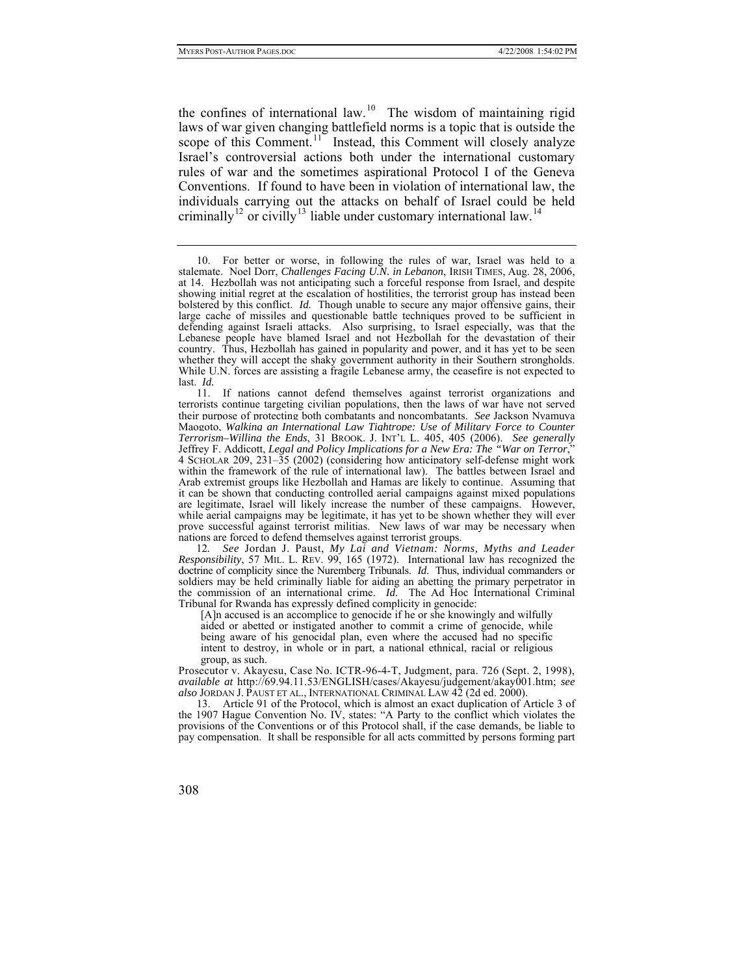the confines of international law.<sup>[10](#page-3-0)</sup> The wisdom of maintaining rigid laws of war given changing battlefield norms is a topic that is outside the scope of this Comment.<sup>[11](#page-3-1)</sup> Instead, this Comment will closely analyze Israel's controversial actions both under the international customary rules of war and the sometimes aspirational Protocol I of the Geneva Conventions. If found to have been in violation of international law, the individuals carrying out the attacks on behalf of Israel could be held criminally<sup>[12](#page-3-2)</sup> or civilly<sup>[13](#page-3-3)</sup> liable under customary international law.<sup>[14](#page-3-4)</sup>

<span id="page-3-1"></span> 11. If nations cannot defend themselves against terrorist organizations and terrorists continue targeting civilian populations, then the laws of war have not served their purpose of protecting both combatants and noncombatants. *See* Jackson Nyamuya Maogoto, *Walking an International Law Tightrope: Use of Military Force to Counter Terrorism–Willing the Ends*, 31 BROOK. J. INT'L L. 405, 405 (2006). *See generally* Jeffrey F. Addicott, *Legal and Policy Implications for a New Era: The "War on Terror*," 4 SCHOLAR 209, 231–35 (2002) (considering how anticipatory self-defense might work within the framework of the rule of international law). The battles between Israel and Arab extremist groups like Hezbollah and Hamas are likely to continue. Assuming that it can be shown that conducting controlled aerial campaigns against mixed populations are legitimate, Israel will likely increase the number of these campaigns. However, while aerial campaigns may be legitimate, it has yet to be shown whether they will ever prove successful against terrorist militias. New laws of war may be necessary when nations are forced to defend themselves against terrorist groups.

<span id="page-3-4"></span><span id="page-3-2"></span>12*. See* Jordan J. Paust, *My Lai and Vietnam: Norms, Myths and Leader Responsibility*, 57 MIL. L. REV. 99, 165 (1972). International law has recognized the doctrine of complicity since the Nuremberg Tribunals. *Id*. Thus, individual commanders or soldiers may be held criminally liable for aiding an abetting the primary perpetrator in the commission of an international crime. *Id*. The Ad Hoc International Criminal Tribunal for Rwanda has expressly defined complicity in genocide:

[A]n accused is an accomplice to genocide if he or she knowingly and wilfully aided or abetted or instigated another to commit a crime of genocide, while being aware of his genocidal plan, even where the accused had no specific intent to destroy, in whole or in part, a national ethnical, racial or religious group, as such.

Prosecutor v. Akayesu, Case No. ICTR-96-4-T, Judgment, para. 726 (Sept. 2, 1998), *available at* http://69.94.11.53/ENGLISH/cases/Akayesu/judgement/akay001.htm; *see also* JORDAN J. PAUST ET AL., INTERNATIONAL CRIMINAL LAW 42 (2d ed. 2000).

<span id="page-3-3"></span> 13. Article 91 of the Protocol, which is almost an exact duplication of Article 3 of the 1907 Hague Convention No. IV, states: "A Party to the conflict which violates the provisions of the Conventions or of this Protocol shall, if the case demands, be liable to pay compensation. It shall be responsible for all acts committed by persons forming part

<span id="page-3-0"></span> <sup>10.</sup> For better or worse, in following the rules of war, Israel was held to a stalemate. Noel Dorr, *Challenges Facing U.N. in Lebanon*, IRISH TIMES, Aug. 28, 2006, at 14. Hezbollah was not anticipating such a forceful response from Israel, and despite showing initial regret at the escalation of hostilities, the terrorist group has instead been bolstered by this conflict. *Id.* Though unable to secure any major offensive gains, their large cache of missiles and questionable battle techniques proved to be sufficient in defending against Israeli attacks. Also surprising, to Israel especially, was that the Lebanese people have blamed Israel and not Hezbollah for the devastation of their country. Thus, Hezbollah has gained in popularity and power, and it has yet to be seen whether they will accept the shaky government authority in their Southern strongholds. While U.N. forces are assisting a fragile Lebanese army, the ceasefire is not expected to last. *Id.*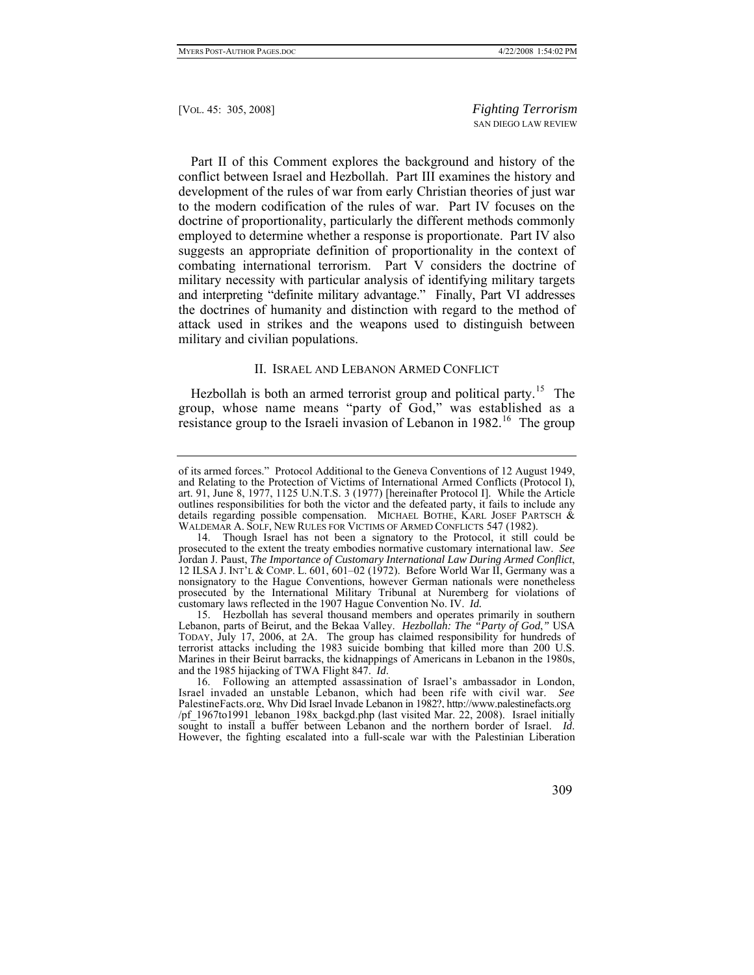Part II of this Comment explores the background and history of the conflict between Israel and Hezbollah. Part III examines the history and development of the rules of war from early Christian theories of just war to the modern codification of the rules of war. Part IV focuses on the doctrine of proportionality, particularly the different methods commonly employed to determine whether a response is proportionate. Part IV also suggests an appropriate definition of proportionality in the context of combating international terrorism. Part V considers the doctrine of military necessity with particular analysis of identifying military targets and interpreting "definite military advantage." Finally, Part VI addresses the doctrines of humanity and distinction with regard to the method of attack used in strikes and the weapons used to distinguish between military and civilian populations.

#### II. ISRAEL AND LEBANON ARMED CONFLICT

Hezbollah is both an armed terrorist group and political party.<sup>[15](#page-4-0)</sup> The group, whose name means "party of God," was established as a resistance group to the Israeli invasion of Lebanon in 1982.<sup>[16](#page-4-1)</sup> The group

of its armed forces." Protocol Additional to the Geneva Conventions of 12 August 1949, and Relating to the Protection of Victims of International Armed Conflicts (Protocol I), art. 91, June 8, 1977, 1125 U.N.T.S. 3 (1977) [hereinafter Protocol I]. While the Article outlines responsibilities for both the victor and the defeated party, it fails to include any details regarding possible compensation. MICHAEL BOTHE, KARL JOSEF PARTSCH & WALDEMAR A. SOLF, NEW RULES FOR VICTIMS OF ARMED CONFLICTS 547 (1982).

<sup>14.</sup> Though Israel has not been a signatory to the Protocol, it still could be prosecuted to the extent the treaty embodies normative customary international law. *See*  Jordan J. Paust, *The Importance of Customary International Law During Armed Conflict*, 12 ILSA J. INT'L & COMP. L. 601, 601–02 (1972). Before World War II, Germany was a nonsignatory to the Hague Conventions, however German nationals were nonetheless prosecuted by the International Military Tribunal at Nuremberg for violations of customary laws reflected in the 1907 Hague Convention No. IV. *Id.*

<span id="page-4-0"></span> <sup>15.</sup> Hezbollah has several thousand members and operates primarily in southern Lebanon, parts of Beirut, and the Bekaa Valley. *Hezbollah: The "Party of God*,*"* USA TODAY, July 17, 2006, at 2A. The group has claimed responsibility for hundreds of terrorist attacks including the 1983 suicide bombing that killed more than 200 U.S. Marines in their Beirut barracks, the kidnappings of Americans in Lebanon in the 1980s, and the 1985 hijacking of TWA Flight 847. *Id*.

<span id="page-4-1"></span> <sup>16.</sup> Following an attempted assassination of Israel's ambassador in London, Israel invaded an unstable Lebanon, which had been rife with civil war. *See*  PalestineFacts.org, Why Did Israel Invade Lebanon in 1982?, http://www.palestinefacts.org /pf\_1967to1991\_lebanon\_198x\_backgd.php (last visited Mar. 22, 2008). Israel initially sought to install a buffer between Lebanon and the northern border of Israel. *Id*. However, the fighting escalated into a full-scale war with the Palestinian Liberation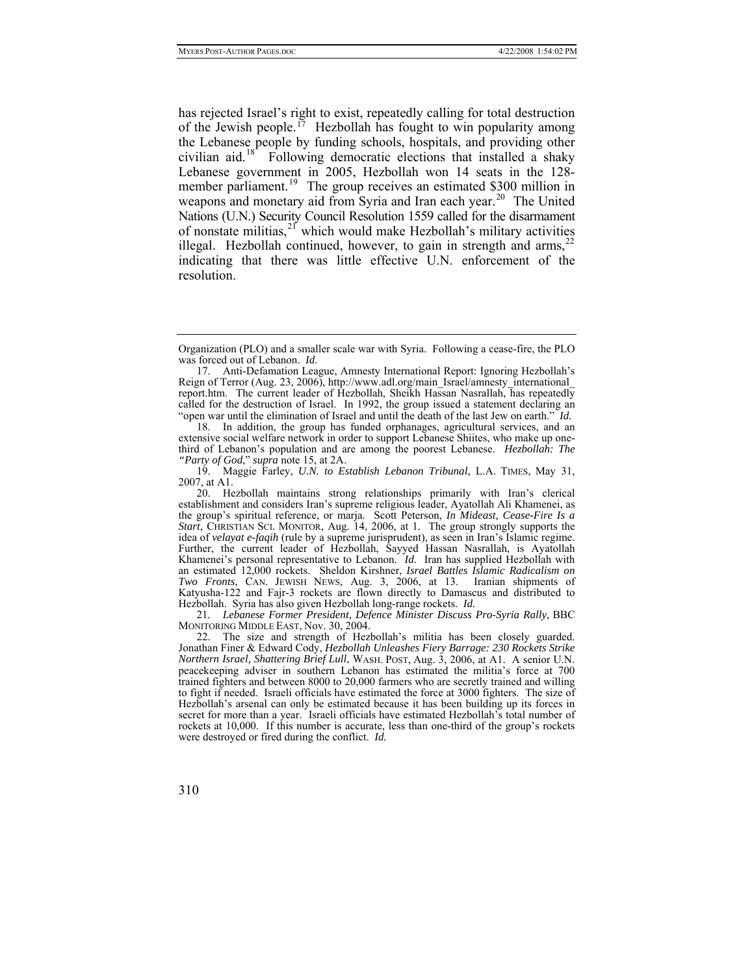has rejected Israel's right to exist, repeatedly calling for total destruction of the Jewish people.<sup>[17](#page-5-0)</sup> Hezbollah has fought to win popularity among the Lebanese people by funding schools, hospitals, and providing other civilian aid.<sup>[18](#page-5-1)</sup> Following democratic elections that installed a shaky Lebanese government in 2005, Hezbollah won 14 seats in the 128- member parliament.<sup>[19](#page-5-2)</sup> The group receives an estimated \$300 million in weapons and monetary aid from Syria and Iran each year.<sup>[20](#page-5-3)</sup> The United Nations (U.N.) Security Council Resolution 1559 called for the disarmament of nonstate militias, $2^{27}$  which would make Hezbollah's military activities illegal. Hezbollah continued, however, to gain in strength and  $a$ rms,<sup>[22](#page-5-5)</sup> indicating that there was little effective U.N. enforcement of the resolution.

<span id="page-5-1"></span> 18. In addition, the group has funded orphanages, agricultural services, and an extensive social welfare network in order to support Lebanese Shiites, who make up onethird of Lebanon's population and are among the poorest Lebanese. *Hezbollah: The "Party of God*," *supra* note 15, at 2A.

<span id="page-5-2"></span> 19. Maggie Farley, *U.N. to Establish Lebanon Tribunal*, L.A. TIMES, May 31, 2007, at A1.

<span id="page-5-4"></span>21*. Lebanese Former President, Defence Minister Discuss Pro-Syria Rally*, BBC MONITORING MIDDLE EAST, Nov. 30, 2004.

<span id="page-5-5"></span> 22. The size and strength of Hezbollah's militia has been closely guarded. Jonathan Finer & Edward Cody, *Hezbollah Unleashes Fiery Barrage: 230 Rockets Strike Northern Israel, Shattering Brief Lull*, WASH. POST, Aug. 3, 2006, at A1. A senior U.N. peacekeeping adviser in southern Lebanon has estimated the militia's force at 700 trained fighters and between 8000 to 20,000 farmers who are secretly trained and willing to fight if needed. Israeli officials have estimated the force at 3000 fighters. The size of Hezbollah's arsenal can only be estimated because it has been building up its forces in secret for more than a year. Israeli officials have estimated Hezbollah's total number of rockets at 10,000. If this number is accurate, less than one-third of the group's rockets were destroyed or fired during the conflict. *Id.*

Organization (PLO) and a smaller scale war with Syria. Following a cease-fire, the PLO was forced out of Lebanon. *Id*.

<span id="page-5-0"></span> <sup>17.</sup> Anti-Defamation League, Amnesty International Report: Ignoring Hezbollah's Reign of Terror (Aug. 23, 2006), http://www.adl.org/main\_Israel/amnesty\_international report.htm. The current leader of Hezbollah, Sheikh Hassan Nasrallah, has repeatedly called for the destruction of Israel. In 1992, the group issued a statement declaring an "open war until the elimination of Israel and until the death of the last Jew on earth." *Id.*

<span id="page-5-3"></span> <sup>20.</sup> Hezbollah maintains strong relationships primarily with Iran's clerical establishment and considers Iran's supreme religious leader, Ayatollah Ali Khamenei, as the group's spiritual reference, or marja. Scott Peterson, *In Mideast, Cease-Fire Is a Start*, CHRISTIAN SCI. MONITOR, Aug. 14, 2006, at 1. The group strongly supports the idea of *velayat e-faqih* (rule by a supreme jurisprudent), as seen in Iran's Islamic regime. Further, the current leader of Hezbollah, Sayyed Hassan Nasrallah, is Ayatollah Khamenei's personal representative to Lebanon. *Id.* Iran has supplied Hezbollah with an estimated 12,000 rockets. Sheldon Kirshner, *Israel Battles Islamic Radicalism on Two Fronts*, CAN. JEWISH NEWS, Aug. 3, 2006, at 13. Iranian shipments of Katyusha-122 and Fajr-3 rockets are flown directly to Damascus and distributed to Hezbollah. Syria has also given Hezbollah long-range rockets. *Id.*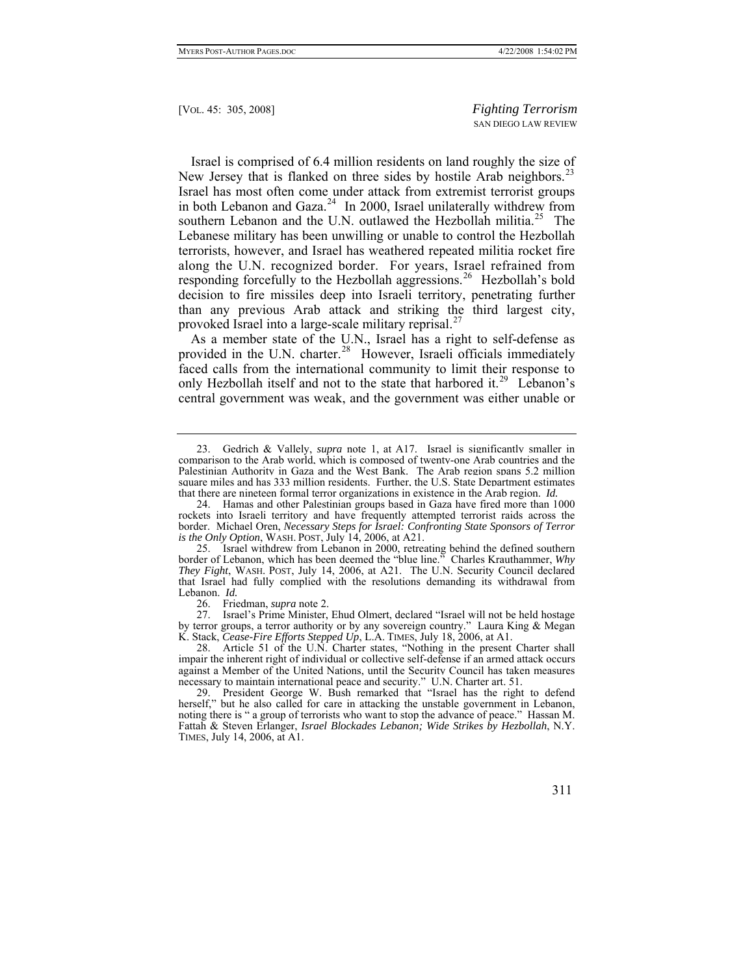Israel is comprised of 6.4 million residents on land roughly the size of New Jersey that is flanked on three sides by hostile Arab neighbors.<sup>[23](#page-6-0)</sup> Israel has most often come under attack from extremist terrorist groups in both Lebanon and Gaza. $24$  In 2000, Israel unilaterally withdrew from southern Lebanon and the U.N. outlawed the Hezbollah militia.<sup>[25](#page-6-2)</sup> The Lebanese military has been unwilling or unable to control the Hezbollah terrorists, however, and Israel has weathered repeated militia rocket fire along the U.N. recognized border. For years, Israel refrained from responding forcefully to the Hezbollah aggressions.<sup>[26](#page-6-3)</sup> Hezbollah's bold decision to fire missiles deep into Israeli territory, penetrating further than any previous Arab attack and striking the third largest city, provoked Israel into a large-scale military reprisal.<sup>[27](#page-6-4)</sup>

As a member state of the U.N., Israel has a right to self-defense as provided in the U.N. charter.<sup>[28](#page-6-5)</sup> However, Israeli officials immediately faced calls from the international community to limit their response to only Hezbollah itself and not to the state that harbored it.<sup>[29](#page-6-6)</sup> Lebanon's central government was weak, and the government was either unable or

<span id="page-6-2"></span> 25. Israel withdrew from Lebanon in 2000, retreating behind the defined southern border of Lebanon, which has been deemed the "blue line." Charles Krauthammer, *Why They Fight*, WASH. POST, July 14, 2006, at A21. The U.N. Security Council declared that Israel had fully complied with the resolutions demanding its withdrawal from Lebanon. *Id.*

26. Friedman, *supra* note 2.

<span id="page-6-4"></span><span id="page-6-3"></span> 27. Israel's Prime Minister, Ehud Olmert, declared "Israel will not be held hostage by terror groups, a terror authority or by any sovereign country." Laura King & Megan K. Stack, *Cease-Fire Efforts Stepped Up*, L.A. TIMES, July 18, 2006, at A1.

<span id="page-6-5"></span> 28. Article 51 of the U.N. Charter states, "Nothing in the present Charter shall impair the inherent right of individual or collective self-defense if an armed attack occurs against a Member of the United Nations, until the Security Council has taken measures necessary to maintain international peace and security." U.N. Charter art. 51.

<span id="page-6-6"></span> 29. President George W. Bush remarked that "Israel has the right to defend herself," but he also called for care in attacking the unstable government in Lebanon, noting there is " a group of terrorists who want to stop the advance of peace." Hassan M. Fattah & Steven Erlanger, *Israel Blockades Lebanon; Wide Strikes by Hezbollah*, N.Y. TIMES, July 14, 2006, at A1.

<span id="page-6-0"></span> <sup>23.</sup> Gedrich & Vallely, *supra* note 1, at A17. Israel is significantly smaller in comparison to the Arab world, which is composed of twenty-one Arab countries and the Palestinian Authority in Gaza and the West Bank. The Arab region spans 5.2 million square miles and has 333 million residents. Further, the U.S. State Department estimates that there are nineteen formal terror organizations in existence in the Arab region. *Id.*

<span id="page-6-1"></span> <sup>24.</sup> Hamas and other Palestinian groups based in Gaza have fired more than 1000 rockets into Israeli territory and have frequently attempted terrorist raids across the border. Michael Oren, *Necessary Steps for Israel: Confronting State Sponsors of Terror is the Only Option*, WASH. POST, July 14, 2006, at A21.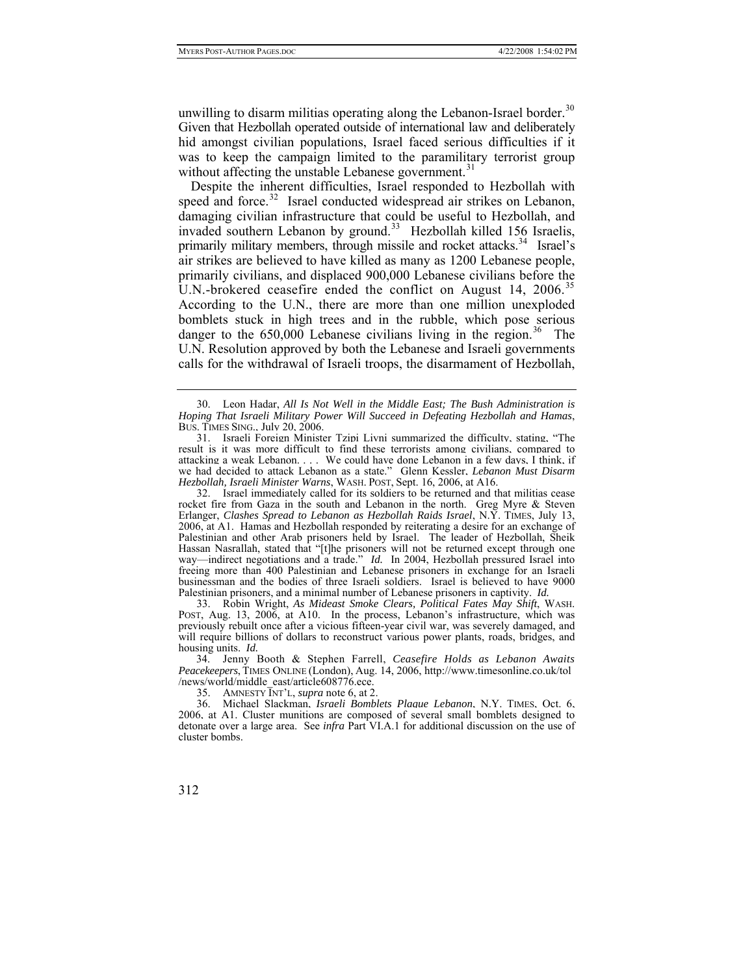unwilling to disarm militias operating along the Lebanon-Israel border.<sup>[30](#page-7-0)</sup> Given that Hezbollah operated outside of international law and deliberately hid amongst civilian populations, Israel faced serious difficulties if it was to keep the campaign limited to the paramilitary terrorist group without affecting the unstable Lebanese government.<sup>[31](#page-7-1)</sup>

Despite the inherent difficulties, Israel responded to Hezbollah with speed and force.<sup>[32](#page-7-2)</sup> Israel conducted widespread air strikes on Lebanon, damaging civilian infrastructure that could be useful to Hezbollah, and invaded southern Lebanon by ground.<sup>[33](#page-7-3)</sup> Hezbollah killed 156 Israelis, primarily military members, through missile and rocket attacks.<sup>[34](#page-7-4)</sup> Israel's air strikes are believed to have killed as many as 1200 Lebanese people, primarily civilians, and displaced 900,000 Lebanese civilians before the U.N.-brokered ceasefire ended the conflict on August 14, 2006.<sup>[35](#page-7-5)</sup> According to the U.N., there are more than one million unexploded bomblets stuck in high trees and in the rubble, which pose serious danger to the  $650,000$  Lebanese civilians living in the region.<sup>[36](#page-7-6)</sup> The U.N. Resolution approved by both the Lebanese and Israeli governments calls for the withdrawal of Israeli troops, the disarmament of Hezbollah,

<span id="page-7-3"></span> 33. Robin Wright, *As Mideast Smoke Clears, Political Fates May Shift*, WASH. POST, Aug. 13, 2006, at A10. In the process, Lebanon's infrastructure, which was previously rebuilt once after a vicious fifteen-year civil war, was severely damaged, and will require billions of dollars to reconstruct various power plants, roads, bridges, and housing units. *Id.*

<span id="page-7-4"></span> 34. Jenny Booth & Stephen Farrell, *Ceasefire Holds as Lebanon Awaits Peacekeepers*, TIMES ONLINE (London), Aug. 14, 2006, http://www.timesonline.co.uk/tol /news/world/middle\_east/article608776.ece.

35. AMNESTY INT'L, *supra* note 6, at 2.

<span id="page-7-6"></span><span id="page-7-5"></span> 36. Michael Slackman, *Israeli Bomblets Plague Lebanon*, N.Y. TIMES, Oct. 6, 2006, at A1. Cluster munitions are composed of several small bomblets designed to detonate over a large area. See *infra* Part VI.A.1 for additional discussion on the use of cluster bombs.

<span id="page-7-0"></span> <sup>30.</sup> Leon Hadar, *All Is Not Well in the Middle East; The Bush Administration is Hoping That Israeli Military Power Will Succeed in Defeating Hezbollah and Hamas*, BUS. TIMES SING., July 20, 2006.

<span id="page-7-1"></span> <sup>31.</sup> Israeli Foreign Minister Tzipi Livni summarized the difficulty, stating, "The result is it was more difficult to find these terrorists among civilians, compared to attacking a weak Lebanon. . . . We could have done Lebanon in a few days, I think, if we had decided to attack Lebanon as a state." Glenn Kessler, *Lebanon Must Disarm Hezbollah, Israeli Minister Warns*, WASH. POST, Sept. 16, 2006, at A16.

<span id="page-7-2"></span> <sup>32.</sup> Israel immediately called for its soldiers to be returned and that militias cease rocket fire from Gaza in the south and Lebanon in the north. Greg Myre & Steven Erlanger, *Clashes Spread to Lebanon as Hezbollah Raids Israel*, N.Y. TIMES, July 13, 2006, at A1. Hamas and Hezbollah responded by reiterating a desire for an exchange of Palestinian and other Arab prisoners held by Israel. The leader of Hezbollah, Sheik Hassan Nasrallah, stated that "[t]he prisoners will not be returned except through one way—indirect negotiations and a trade." *Id.* In 2004, Hezbollah pressured Israel into freeing more than 400 Palestinian and Lebanese prisoners in exchange for an Israeli businessman and the bodies of three Israeli soldiers. Israel is believed to have 9000 Palestinian prisoners, and a minimal number of Lebanese prisoners in captivity. *Id.*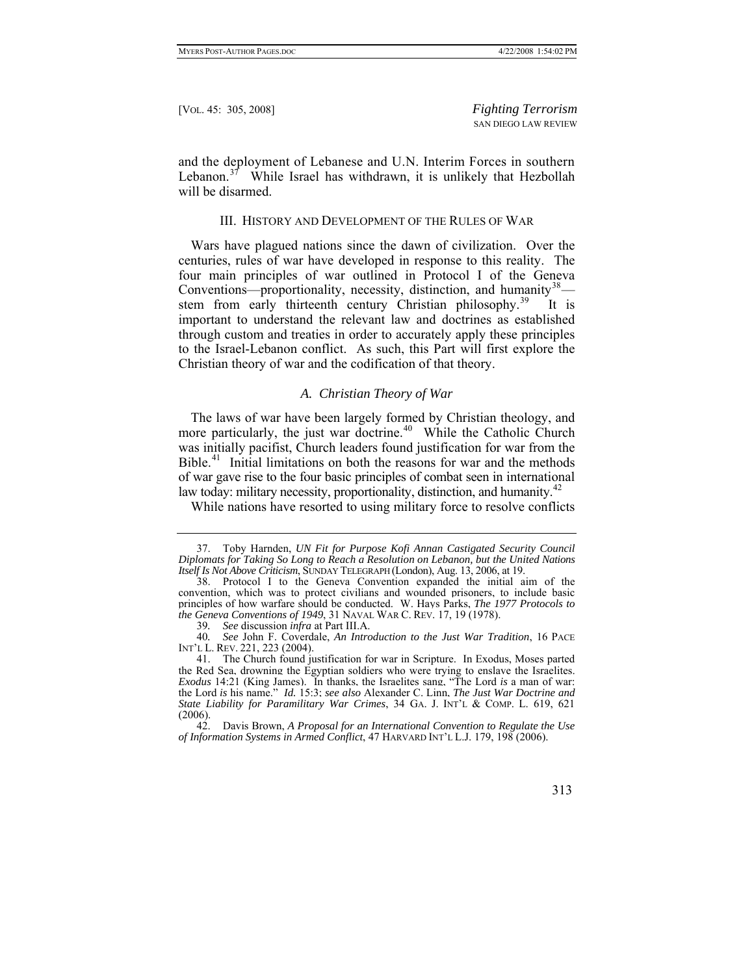and the deployment of Lebanese and U.N. Interim Forces in southern Lebanon. $37$  While Israel has withdrawn, it is unlikely that Hezbollah will be disarmed.

#### III. HISTORY AND DEVELOPMENT OF THE RULES OF WAR

Wars have plagued nations since the dawn of civilization. Over the centuries, rules of war have developed in response to this reality. The four main principles of war outlined in Protocol I of the Geneva Conventions—proportionality, necessity, distinction, and humanity  $38$ — stem from early thirteenth century Christian philosophy.<sup>[39](#page-8-2)</sup> It is important to understand the relevant law and doctrines as established through custom and treaties in order to accurately apply these principles to the Israel-Lebanon conflict. As such, this Part will first explore the Christian theory of war and the codification of that theory.

#### *A. Christian Theory of War*

The laws of war have been largely formed by Christian theology, and more particularly, the just war doctrine.<sup>[40](#page-8-3)</sup> While the Catholic Church was initially pacifist, Church leaders found justification for war from the Bible.<sup>[41](#page-8-4)</sup> Initial limitations on both the reasons for war and the methods of war gave rise to the four basic principles of combat seen in international law today: military necessity, proportionality, distinction, and humanity.<sup>[42](#page-8-5)</sup>

While nations have resorted to using military force to resolve conflicts

<span id="page-8-0"></span> <sup>37.</sup> Toby Harnden, *UN Fit for Purpose Kofi Annan Castigated Security Council Diplomats for Taking So Long to Reach a Resolution on Lebanon, but the United Nations Itself Is Not Above Criticism*, SUNDAY TELEGRAPH (London), Aug. 13, 2006, at 19.

<span id="page-8-1"></span> <sup>38.</sup> Protocol I to the Geneva Convention expanded the initial aim of the convention, which was to protect civilians and wounded prisoners, to include basic principles of how warfare should be conducted. W. Hays Parks, *The 1977 Protocols to the Geneva Conventions of 1949*, 31 NAVAL WAR C. REV. 17, 19 (1978).

<sup>39</sup>*. See* discussion *infra* at Part III.A.

<span id="page-8-3"></span><span id="page-8-2"></span><sup>40</sup>*. See* John F. Coverdale, *An Introduction to the Just War Tradition*, 16 PACE INT'L L. REV. 221, 223 (2004).

<span id="page-8-4"></span> <sup>41.</sup> The Church found justification for war in Scripture. In Exodus, Moses parted the Red Sea, drowning the Egyptian soldiers who were trying to enslave the Israelites. *Exodus* 14:21 (King James). In thanks, the Israelites sang, "The Lord *is* a man of war: the Lord *is* his name." *Id.* 15:3; *see also* Alexander C. Linn, *The Just War Doctrine and State Liability for Paramilitary War Crimes*, 34 GA. J. INT'L & COMP. L. 619, 621 (2006).

<span id="page-8-5"></span> <sup>42.</sup> Davis Brown, *A Proposal for an International Convention to Regulate the Use of Information Systems in Armed Conflict*, 47 HARVARD INT'L L.J. 179, 198 (2006).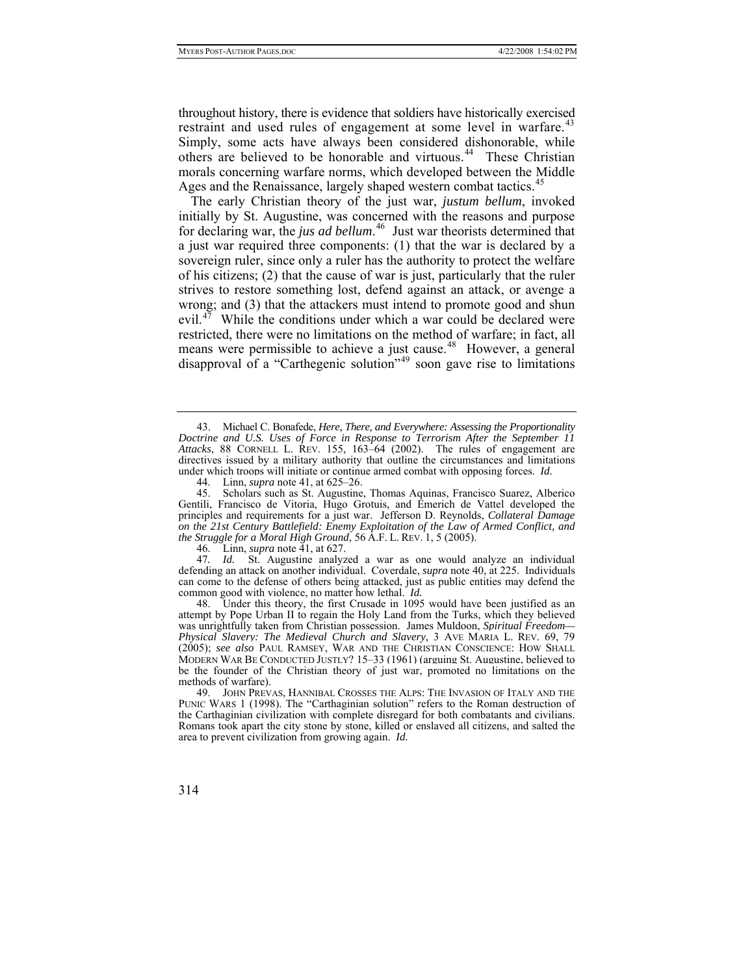throughout history, there is evidence that soldiers have historically exercised restraint and used rules of engagement at some level in warfare.<sup>[43](#page-9-0)</sup> Simply, some acts have always been considered dishonorable, while others are believed to be honorable and virtuous.<sup>[44](#page-9-1)</sup> These Christian morals concerning warfare norms, which developed between the Middle Ages and the Renaissance, largely shaped western combat tactics.<sup>[45](#page-9-2)</sup>

The early Christian theory of the just war, *justum bellum*, invoked initially by St. Augustine, was concerned with the reasons and purpose for declaring war, the *jus ad bellum*. [46](#page-9-3) Just war theorists determined that a just war required three components: (1) that the war is declared by a sovereign ruler, since only a ruler has the authority to protect the welfare of his citizens; (2) that the cause of war is just, particularly that the ruler strives to restore something lost, defend against an attack, or avenge a wrong; and (3) that the attackers must intend to promote good and shun evil. $47$  While the conditions under which a war could be declared were restricted, there were no limitations on the method of warfare; in fact, all means were permissible to achieve a just cause.<sup>[48](#page-9-5)</sup> However, a general disapproval of a "Carthegenic solution"<sup>[49](#page-9-6)</sup> soon gave rise to limitations

<span id="page-9-0"></span> <sup>43.</sup> Michael C. Bonafede, *Here, There, and Everywhere: Assessing the Proportionality Doctrine and U.S. Uses of Force in Response to Terrorism After the September 11 Attacks*, 88 CORNELL L. REV. 155, 163–64 (2002). The rules of engagement are directives issued by a military authority that outline the circumstances and limitations under which troops will initiate or continue armed combat with opposing forces. *Id*.

 <sup>44.</sup> Linn, *supra* note 41, at 625–26.

<span id="page-9-2"></span><span id="page-9-1"></span> <sup>45.</sup> Scholars such as St. Augustine, Thomas Aquinas, Francisco Suarez, Alberico Gentili, Francisco de Vitoria, Hugo Grotuis, and Emerich de Vattel developed the principles and requirements for a just war. Jefferson D. Reynolds, *Collateral Damage on the 21st Century Battlefield: Enemy Exploitation of the Law of Armed Conflict, and the Struggle for a Moral High Ground*, 56 A.F. L. REV. 1, 5 (2005).

 <sup>46.</sup> Linn, *supra* note 41, at 627.

<span id="page-9-4"></span><span id="page-9-3"></span><sup>47</sup>*. Id.* St. Augustine analyzed a war as one would analyze an individual defending an attack on another individual. Coverdale, *supra* note 40, at 225. Individuals can come to the defense of others being attacked, just as public entities may defend the common good with violence, no matter how lethal. *Id.*

<span id="page-9-5"></span> <sup>48.</sup> Under this theory, the first Crusade in 1095 would have been justified as an attempt by Pope Urban II to regain the Holy Land from the Turks, which they believed was unrightfully taken from Christian possession. James Muldoon, *Spiritual Freedom— Physical Slavery: The Medieval Church and Slavery*, 3 AVE MARIA L. REV. 69, 79 (2005); *see also* PAUL RAMSEY, WAR AND THE CHRISTIAN CONSCIENCE: HOW SHALL MODERN WAR BE CONDUCTED JUSTLY? 15–33 (1961) (arguing St. Augustine, believed to be the founder of the Christian theory of just war, promoted no limitations on the methods of warfare).

<span id="page-9-6"></span> <sup>49.</sup> JOHN PREVAS, HANNIBAL CROSSES THE ALPS: THE INVASION OF ITALY AND THE PUNIC WARS 1 (1998). The "Carthaginian solution" refers to the Roman destruction of the Carthaginian civilization with complete disregard for both combatants and civilians. Romans took apart the city stone by stone, killed or enslaved all citizens, and salted the area to prevent civilization from growing again. *Id.*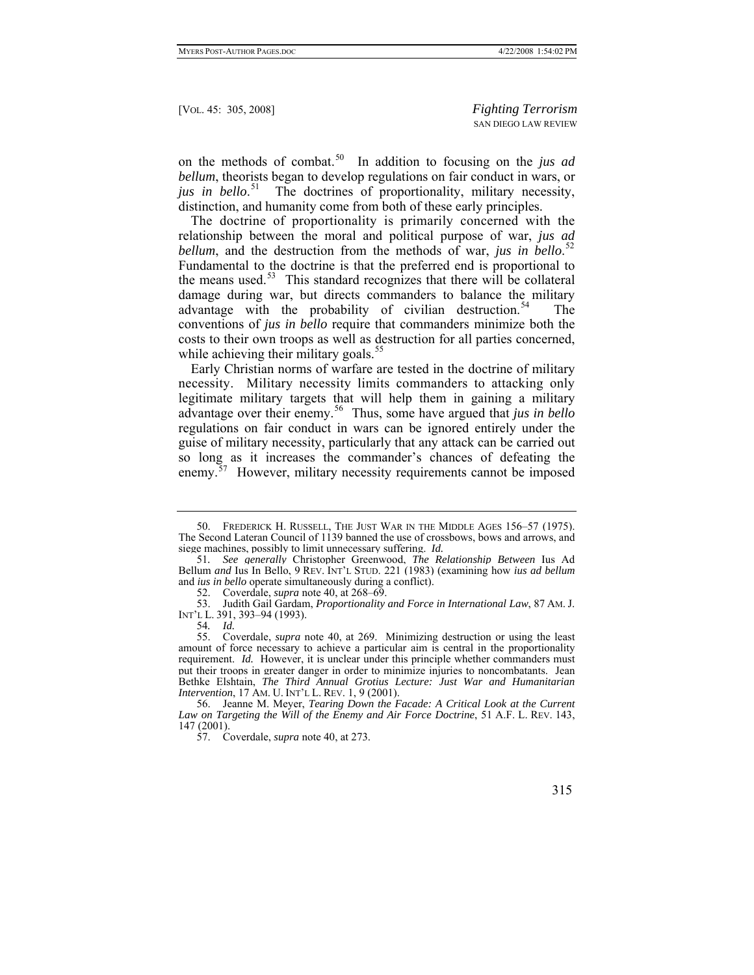on the methods of combat.[50](#page-10-0) In addition to focusing on the *jus ad bellum*, theorists began to develop regulations on fair conduct in wars, or jus in bello.<sup>[51](#page-10-1)</sup> The doctrines of proportionality, military necessity, distinction, and humanity come from both of these early principles.

while achieving their military goals.<sup>55</sup> The doctrine of proportionality is primarily concerned with the relationship between the moral and political purpose of war, *jus ad bellum*, and the destruction from the methods of war, *jus in bello*. [52](#page-10-2) Fundamental to the doctrine is that the preferred end is proportional to the means used.<sup>[53](#page-10-3)</sup> This standard recognizes that there will be collateral damage during war, but directs commanders to balance the military advantage with the probability of civilian destruction.<sup>[54](#page-10-4)</sup> The conventions of *jus in bello* require that commanders minimize both the costs to their own troops as well as destruction for all parties concerned,

Early Christian norms of warfare are tested in the doctrine of military necessity. Military necessity limits commanders to attacking only legitimate military targets that will help them in gaining a military advantage over their enemy.[56](#page-10-5) Thus, some have argued that *jus in bello* regulations on fair conduct in wars can be ignored entirely under the guise of military necessity, particularly that any attack can be carried out so long as it increases the commander's chances of defeating the enemy.<sup>[57](#page-10-6)</sup> However, military necessity requirements cannot be imposed

<span id="page-10-0"></span> <sup>50.</sup> FREDERICK H. RUSSELL, THE JUST WAR IN THE MIDDLE AGES 156–57 (1975). The Second Lateran Council of 1139 banned the use of crossbows, bows and arrows, and siege machines, possibly to limit unnecessary suffering. *Id.*

<span id="page-10-1"></span><sup>51</sup>*. See generally* Christopher Greenwood, *The Relationship Between* Ius Ad Bellum *and* Ius In Bello, 9 REV. INT'L STUD. 221 (1983) (examining how *ius ad bellum* and *ius in bello* operate simultaneously during a conflict).

 <sup>52.</sup> Coverdale, *supra* note 40, at 268–69.

<span id="page-10-3"></span><span id="page-10-2"></span> <sup>53.</sup> Judith Gail Gardam, *Proportionality and Force in International Law*, 87 AM. J. INT'L L. 391, 393–94 (1993).

<sup>54</sup>*. Id.*

<span id="page-10-4"></span> <sup>55.</sup> Coverdale, *supra* note 40, at 269. Minimizing destruction or using the least amount of force necessary to achieve a particular aim is central in the proportionality requirement. *Id.* However, it is unclear under this principle whether commanders must put their troops in greater danger in order to minimize injuries to noncombatants. Jean Bethke Elshtain, *The Third Annual Grotius Lecture: Just War and Humanitarian Intervention*, 17 AM. U. INT'L L. REV. 1, 9 (2001).

<span id="page-10-6"></span><span id="page-10-5"></span> <sup>56.</sup> Jeanne M. Meyer, *Tearing Down the Facade: A Critical Look at the Current Law on Targeting the Will of the Enemy and Air Force Doctrine*, 51 A.F. L. REV. 143, 147 (2001).

 <sup>57.</sup> Coverdale, *supra* note 40, at 273.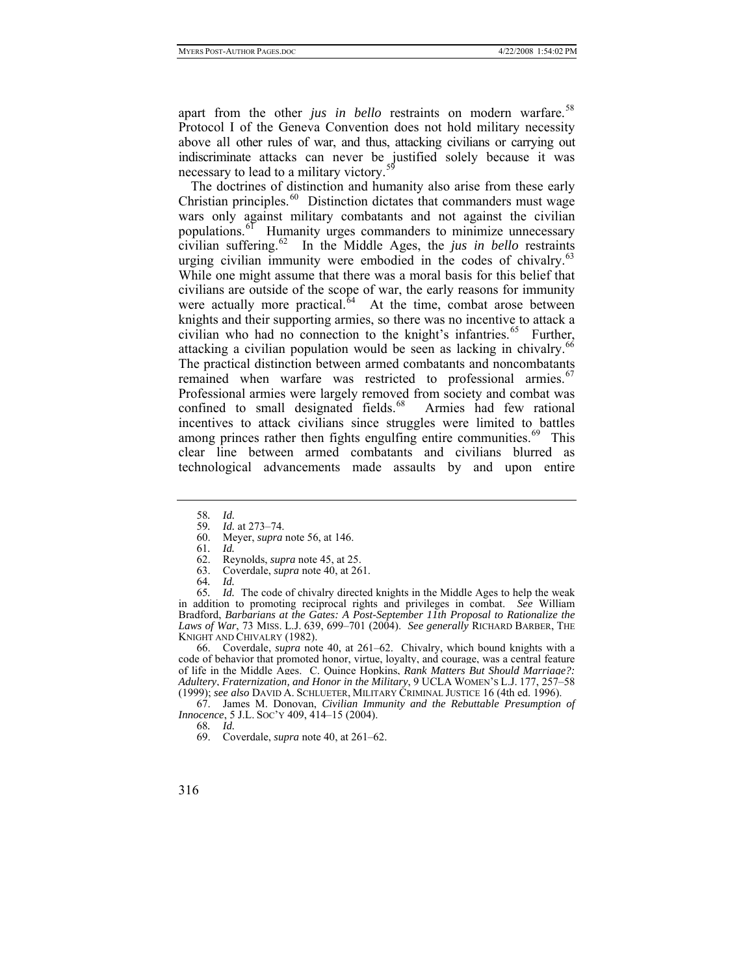a military victory. apart from the other *jus in bello* restraints on modern warfare.<sup>[58](#page-11-0)</sup> Protocol I of the Geneva Convention does not hold military necessity above all other rules of war, and thus, attacking civilians or carrying out indiscriminate attacks can never be justified solely because it was necessary to lead to a military victory.<sup>59</sup>

The doctrines of distinction and humanity also arise from these early Christian principles. $60$  Distinction dictates that commanders must wage wars only against military combatants and not against the civilian populations.<sup>[61](#page-11-2)</sup> Humanity urges commanders to minimize unnecessary civilian suffering.[62](#page-11-3) In the Middle Ages, the *jus in bello* restraints urging civilian immunity were embodied in the codes of chivalry. $63$ While one might assume that there was a moral basis for this belief that civilians are outside of the scope of war, the early reasons for immunity were actually more practical. $64$  At the time, combat arose between knights and their supporting armies, so there was no incentive to attack a civilian who had no connection to the knight's infantries.<sup>[65](#page-11-6)</sup> Further, attacking a civilian population would be seen as lacking in chivalry.<sup>[66](#page-11-7)</sup> The practical distinction between armed combatants and noncombatants remained when warfare was restricted to professional armies.<sup>[67](#page-11-8)</sup> Professional armies were largely removed from society and combat was confined to small designated fields.<sup>[68](#page-11-9)</sup> Armies had few rational incentives to attack civilians since struggles were limited to battles among princes rather then fights engulfing entire communities.<sup>[69](#page-11-10)</sup> This clear line between armed combatants and civilians blurred as technological advancements made assaults by and upon entire

- 62. Reynolds, *supra* note 45, at 25.
- 63. Coverdale, *supra* note 40, at 261.

<span id="page-11-6"></span><span id="page-11-5"></span><span id="page-11-4"></span><span id="page-11-3"></span><span id="page-11-2"></span><span id="page-11-1"></span><span id="page-11-0"></span>65*. Id.* The code of chivalry directed knights in the Middle Ages to help the weak in addition to promoting reciprocal rights and privileges in combat. *See* William Bradford, *Barbarians at the Gates: A Post-September 11th Proposal to Rationalize the Laws of War*, 73 MISS. L.J. 639, 699–701 (2004). *See generally* RICHARD BARBER, THE KNIGHT AND CHIVALRY (1982).

<span id="page-11-7"></span> 66. Coverdale, *supra* note 40, at 261–62. Chivalry, which bound knights with a code of behavior that promoted honor, virtue, loyalty, and courage, was a central feature of life in the Middle Ages. C. Quince Hopkins, *Rank Matters But Should Marriage?: Adultery, Fraternization, and Honor in the Military*, 9 UCLA WOMEN'S L.J. 177, 257–58 (1999); *see also* DAVID A. SCHLUETER, MILITARY CRIMINAL JUSTICE 16 (4th ed. 1996).

<span id="page-11-10"></span><span id="page-11-9"></span><span id="page-11-8"></span> 67. James M. Donovan, *Civilian Immunity and the Rebuttable Presumption of Innocence*, 5 J.L. SOC'Y 409, 414–15 (2004).

68*. Id.*

<sup>58</sup>*. Id.*

<sup>59</sup>*. Id.* at 273–74.

 <sup>60.</sup> Meyer, *supra* note 56, at 146.

<sup>61</sup>*. Id.*

<sup>64</sup>*. Id.*

 <sup>69.</sup> Coverdale, *supra* note 40, at 261–62.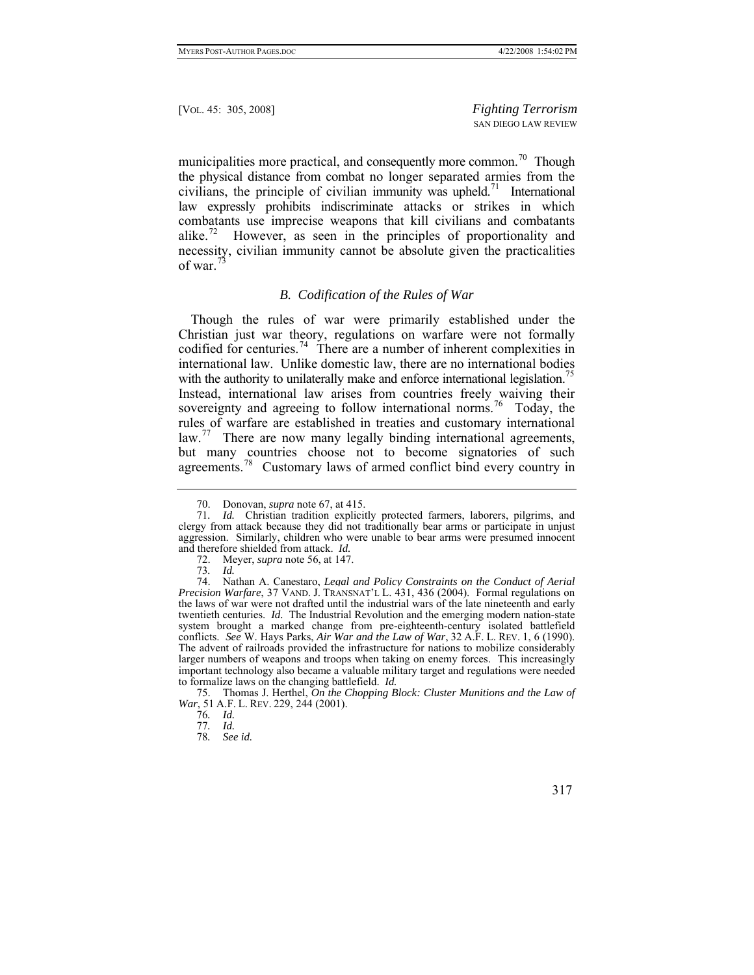necessity, civilian immunity cannot be absolute given the practicalities of war  $^{73}$ of war.<sup>7</sup> municipalities more practical, and consequently more common.<sup>[70](#page-12-0)</sup> Though the physical distance from combat no longer separated armies from the civilians, the principle of civilian immunity was upheld.<sup>[71](#page-12-1)</sup> International law expressly prohibits indiscriminate attacks or strikes in which combatants use imprecise weapons that kill civilians and combatants alike.<sup>[72](#page-12-2)</sup> However, as seen in the principles of proportionality and

# *B. Codification of the Rules of War*

agreements.<sup>78</sup> Customary laws of armed conflict bind every country in Though the rules of war were primarily established under the Christian just war theory, regulations on warfare were not formally codified for centuries.<sup>[74](#page-12-3)</sup> There are a number of inherent complexities in international law. Unlike domestic law, there are no international bodies with the authority to unilaterally make and enforce international legislation.<sup>15</sup> Instead, international law arises from countries freely waiving their sovereignty and agreeing to follow international norms.<sup>[76](#page-12-5)</sup> Today, the rules of warfare are established in treaties and customary international law.<sup>[77](#page-12-6)</sup> There are now many legally binding international agreements, but many countries choose not to become signatories of such

<span id="page-12-7"></span><span id="page-12-6"></span><span id="page-12-5"></span><span id="page-12-4"></span> 75. Thomas J. Herthel, *On the Chopping Block: Cluster Munitions and the Law of War*, 51 A.F. L. REV. 229, 244 (2001).

78*. See id.*

 <sup>70.</sup> Donovan, *supra* note 67, at 415.

<span id="page-12-1"></span><span id="page-12-0"></span><sup>71</sup>*. Id.* Christian tradition explicitly protected farmers, laborers, pilgrims, and clergy from attack because they did not traditionally bear arms or participate in unjust aggression. Similarly, children who were unable to bear arms were presumed innocent and therefore shielded from attack. *Id.*

 <sup>72.</sup> Meyer, *supra* note 56, at 147.

<sup>73</sup>*. Id.*

<span id="page-12-3"></span><span id="page-12-2"></span> <sup>74.</sup> Nathan A. Canestaro, *Legal and Policy Constraints on the Conduct of Aerial Precision Warfare*, 37 VAND. J. TRANSNAT'L L. 431, 436 (2004). Formal regulations on the laws of war were not drafted until the industrial wars of the late nineteenth and early twentieth centuries. *Id.* The Industrial Revolution and the emerging modern nation-state system brought a marked change from pre-eighteenth-century isolated battlefield conflicts. *See* W. Hays Parks, *Air War and the Law of War*, 32 A.F. L. REV. 1, 6 (1990). The advent of railroads provided the infrastructure for nations to mobilize considerably larger numbers of weapons and troops when taking on enemy forces. This increasingly important technology also became a valuable military target and regulations were needed to formalize laws on the changing battlefield. *Id.*

<sup>76</sup>*. Id.*

<sup>77</sup>*. Id.*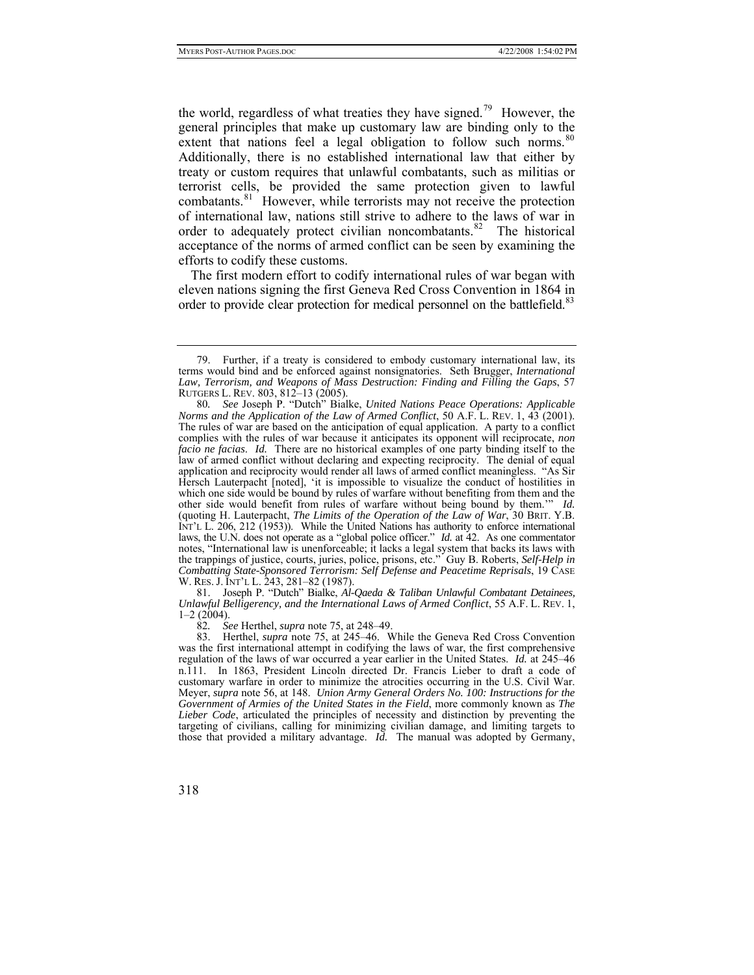efforts to codify these customs. the world, regardless of what treaties they have signed.<sup>[79](#page-12-7)</sup> However, the general principles that make up customary law are binding only to the extent that nations feel a legal obligation to follow such norms.<sup>[80](#page-13-0)</sup> Additionally, there is no established international law that either by treaty or custom requires that unlawful combatants, such as militias or terrorist cells, be provided the same protection given to lawful combatants. $81$  However, while terrorists may not receive the protection of international law, nations still strive to adhere to the laws of war in order to adequately protect civilian noncombatants.<sup>[82](#page-13-2)</sup> The historical acceptance of the norms of armed conflict can be seen by examining the

The first modern effort to codify international rules of war began with eleven nations signing the first Geneva Red Cross Convention in 1864 in order to provide clear protection for medical personnel on the battlefield.<sup>[83](#page-13-3)</sup>

<span id="page-13-2"></span> 81. Joseph P. "Dutch" Bialke, *Al-Qaeda & Taliban Unlawful Combatant Detainees, Unlawful Belligerency, and the International Laws of Armed Conflict*, 55 A.F. L. REV. 1,  $1-2(2004)$ .

82*. See* Herthel, *supra* note 75, at 248–49.

<span id="page-13-3"></span> 83. Herthel, *supra* note 75, at 245–46. While the Geneva Red Cross Convention was the first international attempt in codifying the laws of war, the first comprehensive regulation of the laws of war occurred a year earlier in the United States. *Id.* at 245–46 n.111. In 1863, President Lincoln directed Dr. Francis Lieber to draft a code of customary warfare in order to minimize the atrocities occurring in the U.S. Civil War. Meyer, *supra* note 56, at 148. *Union Army General Orders No. 100: Instructions for the Government of Armies of the United States in the Field*, more commonly known as *The Lieber Code*, articulated the principles of necessity and distinction by preventing the targeting of civilians, calling for minimizing civilian damage, and limiting targets to those that provided a military advantage. *Id.* The manual was adopted by Germany,

<span id="page-13-0"></span> <sup>79.</sup> Further, if a treaty is considered to embody customary international law, its terms would bind and be enforced against nonsignatories. Seth Brugger, *International Law, Terrorism, and Weapons of Mass Destruction: Finding and Filling the Gaps*, 57 RUTGERS L. REV. 803, 812–13 (2005).

<span id="page-13-1"></span><sup>80</sup>*. See* Joseph P. "Dutch" Bialke, *United Nations Peace Operations: Applicable Norms and the Application of the Law of Armed Conflict*, 50 A.F. L. REV. 1, 43 (2001). The rules of war are based on the anticipation of equal application. A party to a conflict complies with the rules of war because it anticipates its opponent will reciprocate, *non facio ne facias*. *Id.* There are no historical examples of one party binding itself to the law of armed conflict without declaring and expecting reciprocity. The denial of equal application and reciprocity would render all laws of armed conflict meaningless. "As Sir Hersch Lauterpacht [noted], 'it is impossible to visualize the conduct of hostilities in which one side would be bound by rules of warfare without benefiting from them and the other side would benefit from rules of warfare without being bound by them.'" *Id.*  (quoting H. Lauterpacht, *The Limits of the Operation of the Law of War*, 30 BRIT. Y.B. INT'L L. 206, 212 (1953)). While the United Nations has authority to enforce international laws, the U.N. does not operate as a "global police officer." *Id.* at 42. As one commentator notes, "International law is unenforceable; it lacks a legal system that backs its laws with the trappings of justice, courts, juries, police, prisons, etc." Guy B. Roberts, *Self-Help in Combatting State-Sponsored Terrorism: Self Defense and Peacetime Reprisals*, 19 CASE W. RES. J. INT'L L. 243, 281–82 (1987).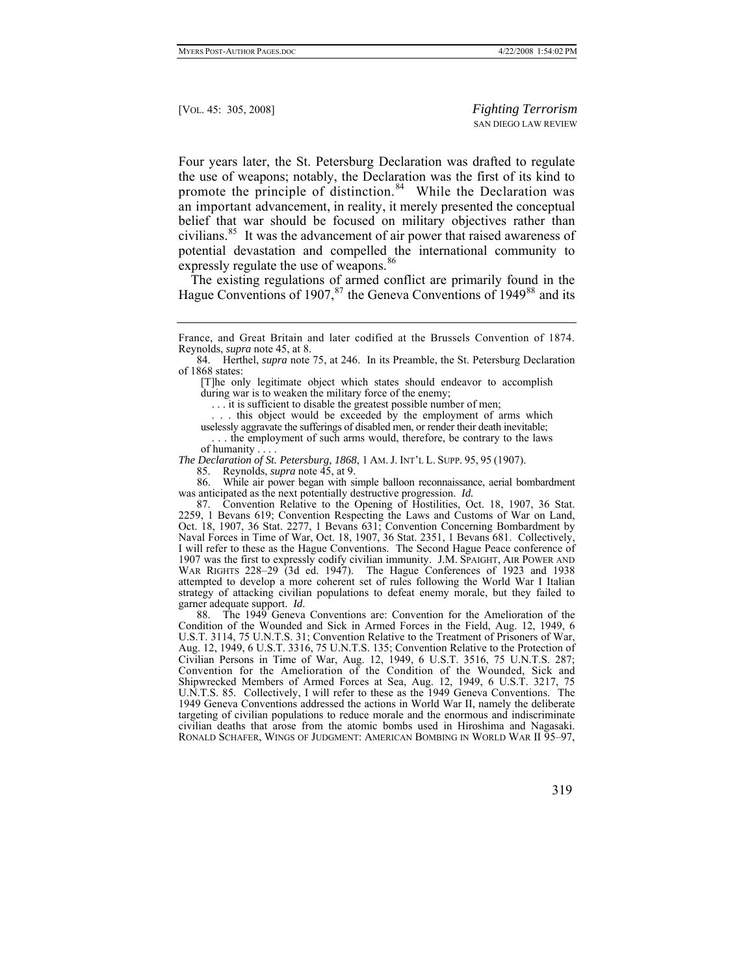Four years later, the St. Petersburg Declaration was drafted to regulate the use of weapons; notably, the Declaration was the first of its kind to promote the principle of distinction.<sup>[84](#page-14-0)</sup> While the Declaration was an important advancement, in reality, it merely presented the conceptual belief that war should be focused on military objectives rather than civilians.<sup>[85](#page-14-1)</sup> It was the advancement of air power that raised awareness of potential devastation and compelled the international community to expressly regulate the use of weapons.<sup>[86](#page-14-2)</sup>

The existing regulations of armed conflict are primarily found in the Hague Conventions of 1907, $87$  the Geneva Conventions of 1949 $88$  and its

France, and Great Britain and later codified at the Brussels Convention of 1874. Reynolds, *supra* note 45, at 8.

<span id="page-14-0"></span> 84. Herthel, *supra* note 75, at 246. In its Preamble, the St. Petersburg Declaration of 1868 states:

[T]he only legitimate object which states should endeavor to accomplish during war is to weaken the military force of the enemy;

. . . it is sufficient to disable the greatest possible number of men;

... this object would be exceeded by the employment of arms which uselessly aggravate the sufferings of disabled men, or render their death inevitable;

 . . . the employment of such arms would, therefore, be contrary to the laws of humanity.

<span id="page-14-1"></span>*The Declaration of St. Petersburg, 1868*, 1 AM. J. INT'L L. SUPP. 95, 95 (1907).

85. Reynolds, *supra* note 45, at 9.

<span id="page-14-2"></span> 86. While air power began with simple balloon reconnaissance, aerial bombardment was anticipated as the next potentially destructive progression. *Id.* 

<span id="page-14-3"></span> 87. Convention Relative to the Opening of Hostilities, Oct. 18, 1907, 36 Stat. 2259, 1 Bevans 619; Convention Respecting the Laws and Customs of War on Land, Oct. 18, 1907, 36 Stat. 2277, 1 Bevans 631; Convention Concerning Bombardment by Naval Forces in Time of War, Oct. 18, 1907, 36 Stat. 2351, 1 Bevans 681. Collectively, I will refer to these as the Hague Conventions. The Second Hague Peace conference of 1907 was the first to expressly codify civilian immunity. J.M. SPAIGHT, AIR POWER AND WAR RIGHTS 228–29 (3d ed. 1947). The Hague Conferences of 1923 and 1938 attempted to develop a more coherent set of rules following the World War I Italian strategy of attacking civilian populations to defeat enemy morale, but they failed to garner adequate support. *Id*.

<span id="page-14-4"></span> 88. The 1949 Geneva Conventions are: Convention for the Amelioration of the Condition of the Wounded and Sick in Armed Forces in the Field, Aug. 12, 1949, 6 U.S.T. 3114, 75 U.N.T.S. 31; Convention Relative to the Treatment of Prisoners of War, Aug. 12, 1949, 6 U.S.T. 3316, 75 U.N.T.S. 135; Convention Relative to the Protection of Civilian Persons in Time of War, Aug. 12, 1949, 6 U.S.T. 3516, 75 U.N.T.S. 287; Convention for the Amelioration of the Condition of the Wounded, Sick and Shipwrecked Members of Armed Forces at Sea, Aug. 12, 1949, 6 U.S.T. 3217, 75 U.N.T.S. 85. Collectively, I will refer to these as the 1949 Geneva Conventions. The 1949 Geneva Conventions addressed the actions in World War II, namely the deliberate targeting of civilian populations to reduce morale and the enormous and indiscriminate civilian deaths that arose from the atomic bombs used in Hiroshima and Nagasaki. RONALD SCHAFER, WINGS OF JUDGMENT: AMERICAN BOMBING IN WORLD WAR II 95–97,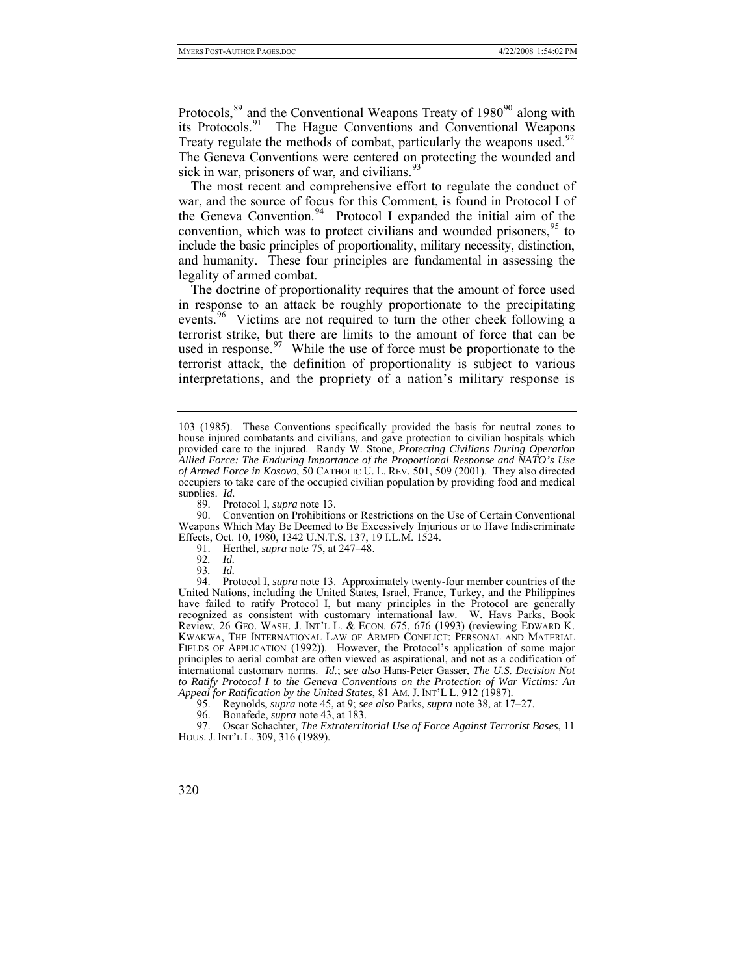Protocols,<sup>[89](#page-15-0)</sup> and the Conventional Weapons Treaty of 1980<sup>[90](#page-15-1)</sup> along with its Protocols.<sup>[91](#page-15-2)</sup> The Hague Conventions and Conventional Weapons Treaty regulate the methods of combat, particularly the weapons used.<sup>[92](#page-15-3)</sup> The Geneva Conventions were centered on protecting the wounded and sick in war, prisoners of war, and civilians. $93$ 

The most recent and comprehensive effort to regulate the conduct of war, and the source of focus for this Comment, is found in Protocol I of the Geneva Convention.<sup>[94](#page-15-5)</sup> Protocol I expanded the initial aim of the convention, which was to protect civilians and wounded prisoners,  $95$  to include the basic principles of proportionality, military necessity, distinction, and humanity. These four principles are fundamental in assessing the legality of armed combat.

The doctrine of proportionality requires that the amount of force used in response to an attack be roughly proportionate to the precipitating events.<sup>[96](#page-15-7)</sup> Victims are not required to turn the other cheek following a terrorist strike, but there are limits to the amount of force that can be used in response. <sup>[97](#page-15-8)</sup> While the use of force must be proportionate to the terrorist attack, the definition of proportionality is subject to various interpretations, and the propriety of a nation's military response is

<sup>103 (1985).</sup> These Conventions specifically provided the basis for neutral zones to house injured combatants and civilians, and gave protection to civilian hospitals which provided care to the injured. Randy W. Stone, *Protecting Civilians During Operation Allied Force: The Enduring Importance of the Proportional Response and NATO's Use of Armed Force in Kosovo*, 50 CATHOLIC U. L. REV. 501, 509 (2001). They also directed occupiers to take care of the occupied civilian population by providing food and medical supplies. *Id.* 

 <sup>89.</sup> Protocol I, *supra* note 13.

<span id="page-15-1"></span><span id="page-15-0"></span> <sup>90.</sup> Convention on Prohibitions or Restrictions on the Use of Certain Conventional Weapons Which May Be Deemed to Be Excessively Injurious or to Have Indiscriminate Effects, Oct. 10, 1980, 1342 U.N.T.S. 137, 19 I.L.M. 1524.

 <sup>91.</sup> Herthel, *supra* note 75, at 247–48.

<sup>92</sup>*. Id.*

<sup>93</sup>*. Id.*

<span id="page-15-5"></span><span id="page-15-4"></span><span id="page-15-3"></span><span id="page-15-2"></span> <sup>94.</sup> Protocol I, *supra* note 13. Approximately twenty-four member countries of the United Nations, including the United States, Israel, France, Turkey, and the Philippines have failed to ratify Protocol I, but many principles in the Protocol are generally recognized as consistent with customary international law. W. Hays Parks, Book Review, 26 GEO. WASH. J. INT'L L. & ECON. 675, 676 (1993) (reviewing EDWARD K. KWAKWA, THE INTERNATIONAL LAW OF ARMED CONFLICT: PERSONAL AND MATERIAL FIELDS OF APPLICATION (1992)). However, the Protocol's application of some major principles to aerial combat are often viewed as aspirational, and not as a codification of international customary norms. *Id.*; *see also* Hans-Peter Gasser, *The U.S. Decision Not to Ratify Protocol I to the Geneva Conventions on the Protection of War Victims: An Appeal for Ratification by the United States*, 81 AM. J. INT'L L. 912 (1987).

 <sup>95.</sup> Reynolds, *supra* note 45, at 9; *see also* Parks, *supra* note 38, at 17–27.

 <sup>96.</sup> Bonafede, *supra* note 43, at 183.

<span id="page-15-8"></span><span id="page-15-7"></span><span id="page-15-6"></span> <sup>97.</sup> Oscar Schachter, *The Extraterritorial Use of Force Against Terrorist Bases*, 11 HOUS. J. INT'L L. 309, 316 (1989).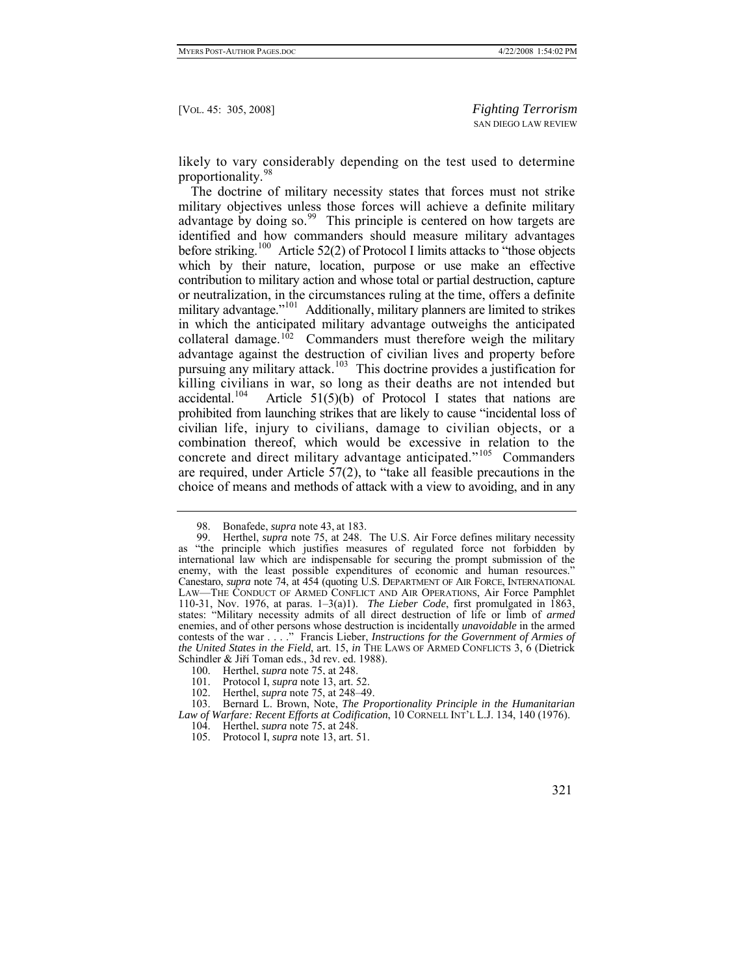likely to vary considerably depending on the test used to determine proportionality.<sup>9</sup>

The doctrine of military necessity states that forces must not strike military objectives unless those forces will achieve a definite military advantage by doing so. $^{99}$  $^{99}$  $^{99}$  This principle is centered on how targets are identified and how commanders should measure military advantages before striking.<sup>[100](#page-16-2)</sup> Article 52(2) of Protocol I limits attacks to "those objects" which by their nature, location, purpose or use make an effective contribution to military action and whose total or partial destruction, capture or neutralization, in the circumstances ruling at the time, offers a definite military advantage."<sup>[101](#page-16-3)</sup> Additionally, military planners are limited to strikes in which the anticipated military advantage outweighs the anticipated collateral damage.<sup>[102](#page-16-4)</sup> Commanders must therefore weigh the military advantage against the destruction of civilian lives and property before pursuing any military attack.<sup>[103](#page-16-5)</sup> This doctrine provides a justification for killing civilians in war, so long as their deaths are not intended but accidental.<sup>104</sup> Article 51(5)(b) of Protocol I states that nations are Article  $51(5)(b)$  of Protocol I states that nations are prohibited from launching strikes that are likely to cause "incidental loss of civilian life, injury to civilians, damage to civilian objects, or a combination thereof, which would be excessive in relation to the concrete and direct military advantage anticipated."[105](#page-16-7) Commanders are required, under Article 57(2), to "take all feasible precautions in the choice of means and methods of attack with a view to avoiding, and in any

 <sup>98.</sup> Bonafede, *supra* note 43, at 183.

<span id="page-16-1"></span><span id="page-16-0"></span> <sup>99.</sup> Herthel, *supra* note 75, at 248. The U.S. Air Force defines military necessity as "the principle which justifies measures of regulated force not forbidden by international law which are indispensable for securing the prompt submission of the enemy, with the least possible expenditures of economic and human resources." Canestaro, *supra* note 74, at 454 (quoting U.S. DEPARTMENT OF AIR FORCE, INTERNATIONAL LAW—THE CONDUCT OF ARMED CONFLICT AND AIR OPERATIONS, Air Force Pamphlet 110-31, Nov. 1976, at paras. 1–3(a)1). *The Lieber Code*, first promulgated in 1863, states: "Military necessity admits of all direct destruction of life or limb of *armed* enemies, and of other persons whose destruction is incidentally *unavoidable* in the armed contests of the war . . . . " Francis Lieber, *Instructions for the Government of Armies of the United States in the Field*, art. 15, *in* THE LAWS OF ARMED CONFLICTS 3, 6 (Dietrick Schindler & Jiří Toman eds., 3d rev. ed. 1988).

 <sup>100.</sup> Herthel, *supra* note 75, at 248.

<sup>101.</sup> Protocol I, *supra* note 13, art. 52.<br>102. Herthel, *supra* note 75, at 248–49.<br>103. Bernard L. Brown, Note, *The P* 

 <sup>102.</sup> Herthel, *supra* note 75, at 248–49.

<span id="page-16-7"></span><span id="page-16-6"></span><span id="page-16-5"></span><span id="page-16-4"></span><span id="page-16-3"></span><span id="page-16-2"></span> <sup>103.</sup> Bernard L. Brown, Note, *The Proportionality Principle in the Humanitarian Law of Warfare: Recent Efforts at Codification*, 10 CORNELL INT'L L.J. 134, 140 (1976).

 <sup>104.</sup> Herthel, *supra* note 75, at 248.

 <sup>105.</sup> Protocol I, *supra* note 13, art. 51.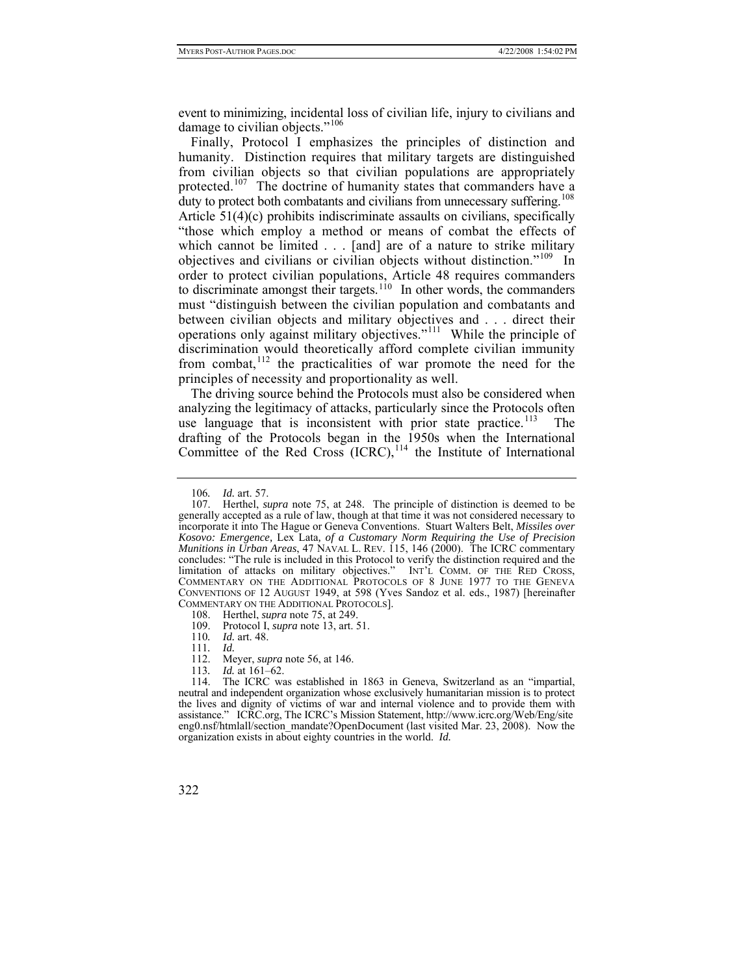damage to civilian objects."<sup>106</sup> event to minimizing, incidental loss of civilian life, injury to civilians and

Finally, Protocol I emphasizes the principles of distinction and humanity. Distinction requires that military targets are distinguished from civilian objects so that civilian populations are appropriately protected.<sup>[107](#page-17-0)</sup> The doctrine of humanity states that commanders have a duty to protect both combatants and civilians from unnecessary suffering.<sup>[108](#page-17-1)</sup> Article 51(4)(c) prohibits indiscriminate assaults on civilians, specifically "those which employ a method or means of combat the effects of which cannot be limited . . . [and] are of a nature to strike military objectives and civilians or civilian objects without distinction."[109](#page-17-2) In order to protect civilian populations, Article 48 requires commanders to discriminate amongst their targets.<sup>[110](#page-17-3)</sup> In other words, the commanders must "distinguish between the civilian population and combatants and between civilian objects and military objectives and . . . direct their operations only against military objectives."<sup>[111](#page-17-4)</sup> While the principle of discrimination would theoretically afford complete civilian immunity from combat,<sup>[112](#page-17-5)</sup> the practicalities of war promote the need for the principles of necessity and proportionality as well.

The driving source behind the Protocols must also be considered when analyzing the legitimacy of attacks, particularly since the Protocols often use language that is inconsistent with prior state practice.<sup>[113](#page-17-6)</sup> The drafting of the Protocols began in the 1950s when the International Committee of the Red Cross  $(ICRC)$ ,  $^{114}$  $^{114}$  $^{114}$  the Institute of International

113*. Id.* at 161–62.

<sup>106</sup>*. Id.* art. 57.

<span id="page-17-0"></span> <sup>107.</sup> Herthel, *supra* note 75, at 248. The principle of distinction is deemed to be generally accepted as a rule of law, though at that time it was not considered necessary to incorporate it into The Hague or Geneva Conventions. Stuart Walters Belt, *Missiles over Kosovo: Emergence,* Lex Lata*, of a Customary Norm Requiring the Use of Precision Munitions in Urban Areas*, 47 NAVAL L. REV. 115, 146 (2000). The ICRC commentary concludes: "The rule is included in this Protocol to verify the distinction required and the limitation of attacks on military objectives." INT'L COMM. OF THE RED CROSS, COMMENTARY ON THE ADDITIONAL PROTOCOLS OF 8 JUNE 1977 TO THE GENEVA CONVENTIONS OF 12 AUGUST 1949, at 598 (Yves Sandoz et al. eds., 1987) [hereinafter COMMENTARY ON THE ADDITIONAL PROTOCOLS].

<span id="page-17-1"></span> <sup>108.</sup> Herthel, *supra* note 75, at 249.

<span id="page-17-4"></span><span id="page-17-3"></span><span id="page-17-2"></span> <sup>109.</sup> Protocol I, *supra* note 13, art. 51.

<sup>110</sup>*. Id.* art. 48.

<sup>111</sup>*. Id.*

 <sup>112.</sup> Meyer, *supra* note 56, at 146.

<span id="page-17-7"></span><span id="page-17-6"></span><span id="page-17-5"></span> <sup>114.</sup> The ICRC was established in 1863 in Geneva, Switzerland as an "impartial, neutral and independent organization whose exclusively humanitarian mission is to protect the lives and dignity of victims of war and internal violence and to provide them with assistance." ICRC.org, The ICRC's Mission Statement, http://www.icrc.org/Web/Eng/site eng0.nsf/htmlall/section\_mandate?OpenDocument (last visited Mar. 23, 2008). Now the organization exists in about eighty countries in the world. *Id.*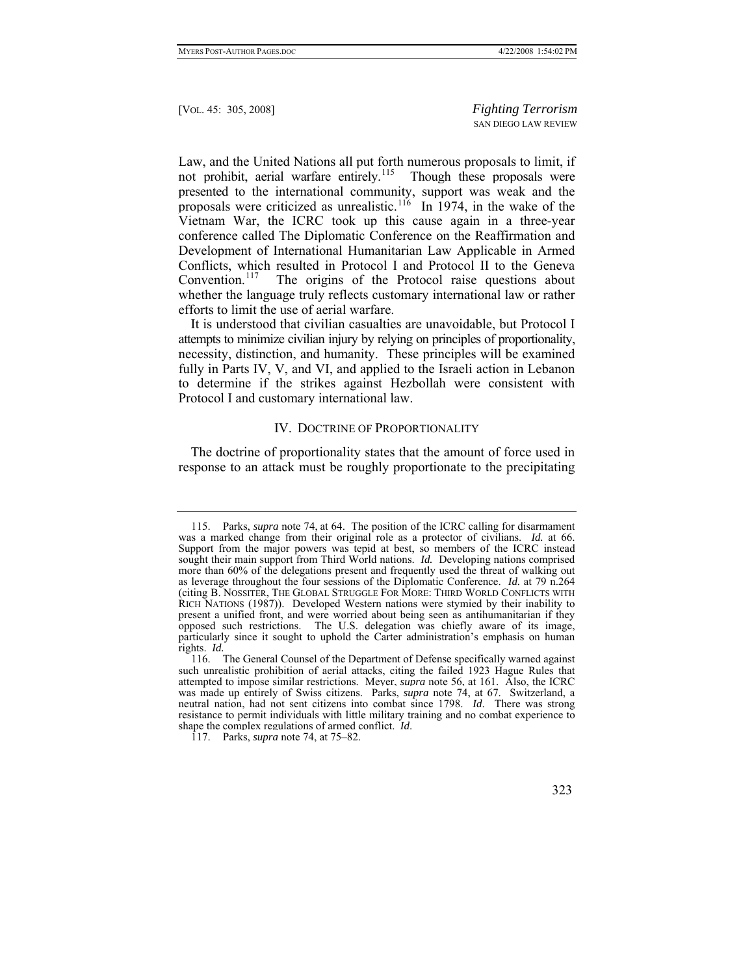Law, and the United Nations all put forth numerous proposals to limit, if not prohibit, aerial warfare entirely.<sup>[115](#page-18-0)</sup> Though these proposals were presented to the international community, support was weak and the proposals were criticized as unrealistic.<sup>[116](#page-18-1)</sup> In 1974, in the wake of the Vietnam War, the ICRC took up this cause again in a three-year conference called The Diplomatic Conference on the Reaffirmation and Development of International Humanitarian Law Applicable in Armed Conflicts, which resulted in Protocol I and Protocol II to the Geneva Convention.[117](#page-18-2) The origins of the Protocol raise questions about whether the language truly reflects customary international law or rather efforts to limit the use of aerial warfare.

It is understood that civilian casualties are unavoidable, but Protocol I attempts to minimize civilian injury by relying on principles of proportionality, necessity, distinction, and humanity. These principles will be examined fully in Parts IV, V, and VI, and applied to the Israeli action in Lebanon to determine if the strikes against Hezbollah were consistent with Protocol I and customary international law.

#### IV. DOCTRINE OF PROPORTIONALITY

The doctrine of proportionality states that the amount of force used in response to an attack must be roughly proportionate to the precipitating

<span id="page-18-0"></span> <sup>115.</sup> Parks, *supra* note 74, at 64. The position of the ICRC calling for disarmament was a marked change from their original role as a protector of civilians. *Id.* at 66. Support from the major powers was tepid at best, so members of the ICRC instead sought their main support from Third World nations. *Id.* Developing nations comprised more than 60% of the delegations present and frequently used the threat of walking out as leverage throughout the four sessions of the Diplomatic Conference. *Id.* at 79 n.264 (citing B. NOSSITER, THE GLOBAL STRUGGLE FOR MORE: THIRD WORLD CONFLICTS WITH RICH NATIONS (1987)). Developed Western nations were stymied by their inability to present a unified front, and were worried about being seen as antihumanitarian if they opposed such restrictions. The U.S. delegation was chiefly aware of its image, particularly since it sought to uphold the Carter administration's emphasis on human rights. *Id.*

<span id="page-18-1"></span> <sup>116.</sup> The General Counsel of the Department of Defense specifically warned against such unrealistic prohibition of aerial attacks, citing the failed 1923 Hague Rules that attempted to impose similar restrictions. Meyer, *supra* note 56, at 161. Also, the ICRC was made up entirely of Swiss citizens. Parks, *supra* note 74, at 67. Switzerland, a neutral nation, had not sent citizens into combat since 1798. *Id*. There was strong resistance to permit individuals with little military training and no combat experience to shape the complex regulations of armed conflict. *Id*.

<span id="page-18-2"></span> <sup>117.</sup> Parks, *supra* note 74, at 75–82.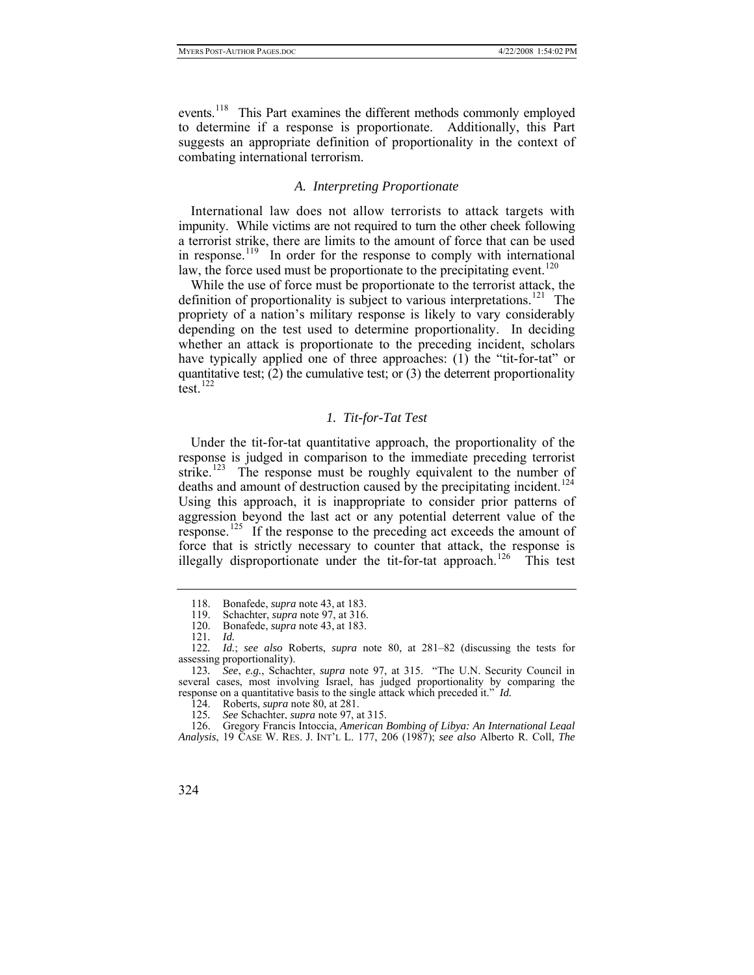combating international terrorism. events.<sup>[118](#page-19-0)</sup> This Part examines the different methods commonly employed to determine if a response is proportionate. Additionally, this Part suggests an appropriate definition of proportionality in the context of

# *A. Interpreting Proportionate*

International law does not allow terrorists to attack targets with impunity. While victims are not required to turn the other cheek following a terrorist strike, there are limits to the amount of force that can be used in response.<sup>[119](#page-19-1)</sup> In order for the response to comply with international law, the force used must be proportionate to the precipitating event.<sup>[120](#page-19-2)</sup>

While the use of force must be proportionate to the terrorist attack, the definition of proportionality is subject to various interpretations.<sup>[121](#page-19-3)</sup> The propriety of a nation's military response is likely to vary considerably depending on the test used to determine proportionality. In deciding whether an attack is proportionate to the preceding incident, scholars have typically applied one of three approaches: (1) the "tit-for-tat" or quantitative test; (2) the cumulative test; or  $(3)$  the deterrent proportionality test. $122$ 

# *1. Tit-for-Tat Test*

Under the tit-for-tat quantitative approach, the proportionality of the response is judged in comparison to the immediate preceding terrorist strike.<sup>[123](#page-19-5)</sup> The response must be roughly equivalent to the number of deaths and amount of destruction caused by the precipitating incident.<sup>[124](#page-19-6)</sup> Using this approach, it is inappropriate to consider prior patterns of aggression beyond the last act or any potential deterrent value of the response.<sup>[125](#page-19-7)</sup> If the response to the preceding act exceeds the amount of force that is strictly necessary to counter that attack, the response is illegally disproportionate under the tit-for-tat approach.<sup>[126](#page-19-8)</sup> This test

 <sup>118.</sup> Bonafede, *supra* note 43, at 183.

Schachter, *supra* note 97, at 316.

<span id="page-19-1"></span><span id="page-19-0"></span> <sup>120.</sup> Bonafede, *supra* note 43, at 183.

<sup>121</sup>*. Id.*

<span id="page-19-4"></span><span id="page-19-3"></span><span id="page-19-2"></span><sup>122</sup>*. Id.*; *see also* Roberts, *supra* note 80, at 281–82 (discussing the tests for assessing proportionality).

<span id="page-19-5"></span><sup>123</sup>*. See*, *e.g.*, Schachter, *supra* note 97, at 315. "The U.N. Security Council in several cases, most involving Israel, has judged proportionality by comparing the response on a quantitative basis to the single attack which preceded it." *Id.*

 <sup>124.</sup> Roberts, *supra* note 80, at 281.

<sup>125</sup>*. See* Schachter, *supra* note 97, at 315.

<span id="page-19-8"></span><span id="page-19-7"></span><span id="page-19-6"></span> <sup>126.</sup> Gregory Francis Intoccia, *American Bombing of Libya: An International Legal Analysis*, 19 CASE W. RES. J. INT'L L. 177, 206 (1987); *see also* Alberto R. Coll, *The*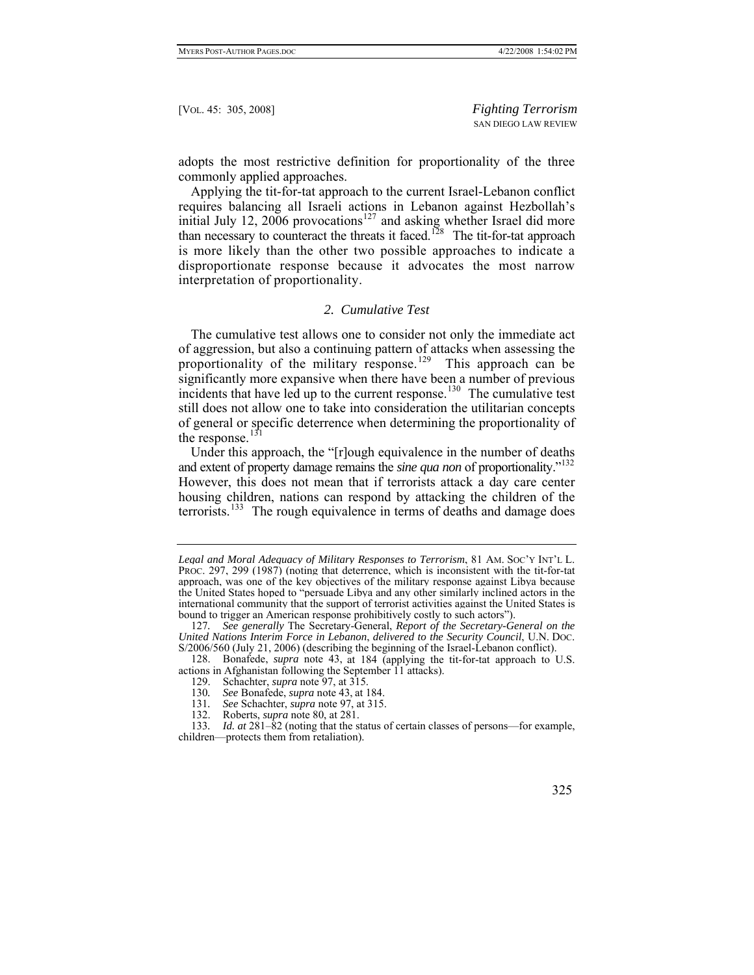adopts the most restrictive definition for proportionality of the three commonly applied approaches.

Applying the tit-for-tat approach to the current Israel-Lebanon conflict requires balancing all Israeli actions in Lebanon against Hezbollah's initial July 12, 2006 provocations<sup>[127](#page-20-0)</sup> and asking whether Israel did more than necessary to counteract the threats it faced.<sup>[128](#page-20-1)</sup> The tit-for-tat approach is more likely than the other two possible approaches to indicate a disproportionate response because it advocates the most narrow interpretation of proportionality.

## *2. Cumulative Test*

The cumulative test allows one to consider not only the immediate act of aggression, but also a continuing pattern of attacks when assessing the proportionality of the military response.[129](#page-20-2) This approach can be significantly more expansive when there have been a number of previous incidents that have led up to the current response.<sup>[130](#page-20-3)</sup> The cumulative test still does not allow one to take into consideration the utilitarian concepts of general or specific deterrence when determining the proportionality of the response. $<sup>1</sup>$ </sup>

Under this approach, the "[r]ough equivalence in the number of deaths and extent of property damage remains the *sine qua non* of proportionality."<sup>132</sup> However, this does not mean that if terrorists attack a day care center housing children, nations can respond by attacking the children of the terrorists.<sup>[133](#page-20-6)</sup> The rough equivalence in terms of deaths and damage does

*Legal and Moral Adequacy of Military Responses to Terrorism*, 81 AM. SOC'Y INT'L L. PROC. 297, 299 (1987) (noting that deterrence, which is inconsistent with the tit-for-tat approach, was one of the key objectives of the military response against Libya because the United States hoped to "persuade Libya and any other similarly inclined actors in the international community that the support of terrorist activities against the United States is bound to trigger an American response prohibitively costly to such actors").

<span id="page-20-0"></span><sup>127</sup>*. See generally* The Secretary-General, *Report of the Secretary-General on the United Nations Interim Force in Lebanon*, *delivered to the Security Council*, U.N. DOC. S/2006/560 (July 21, 2006) (describing the beginning of the Israel-Lebanon conflict).

<span id="page-20-3"></span><span id="page-20-2"></span><span id="page-20-1"></span> <sup>128.</sup> Bonafede, *supra* note 43, at 184 (applying the tit-for-tat approach to U.S. actions in Afghanistan following the September 11 attacks).

 <sup>129.</sup> Schachter, *supra* note 97, at 315.

<sup>130</sup>*. See* Bonafede, *supra* note 43, at 184.

<sup>131</sup>*. See* Schachter, *supra* note 97, at 315.

 <sup>132.</sup> Roberts, *supra* note 80, at 281.

<span id="page-20-6"></span><span id="page-20-5"></span><span id="page-20-4"></span><sup>133</sup>*. Id. at* 281–82 (noting that the status of certain classes of persons—for example, children—protects them from retaliation).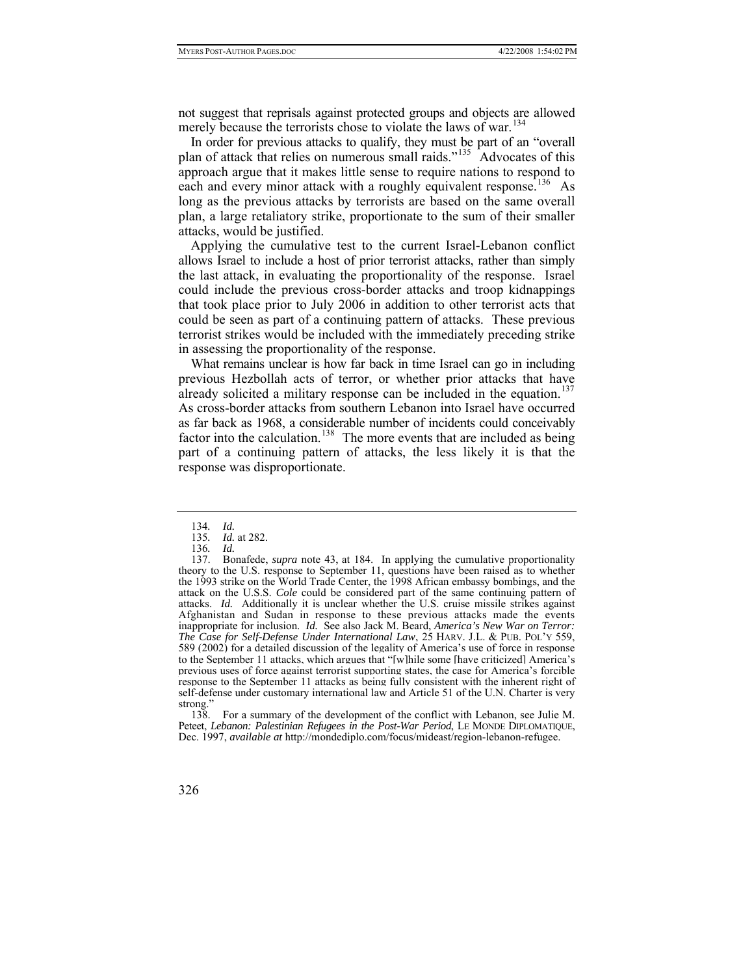not suggest that reprisals against protected groups and objects are allowed merely because the terrorists chose to violate the laws of war.<sup>[134](#page-21-0)</sup>

In order for previous attacks to qualify, they must be part of an "overall plan of attack that relies on numerous small raids."<sup>[135](#page-21-1)</sup> Advocates of this approach argue that it makes little sense to require nations to respond to each and every minor attack with a roughly equivalent response.<sup>[136](#page-21-2)</sup> As long as the previous attacks by terrorists are based on the same overall plan, a large retaliatory strike, proportionate to the sum of their smaller attacks, would be justified.

Applying the cumulative test to the current Israel-Lebanon conflict allows Israel to include a host of prior terrorist attacks, rather than simply the last attack, in evaluating the proportionality of the response. Israel could include the previous cross-border attacks and troop kidnappings that took place prior to July 2006 in addition to other terrorist acts that could be seen as part of a continuing pattern of attacks. These previous terrorist strikes would be included with the immediately preceding strike in assessing the proportionality of the response.

What remains unclear is how far back in time Israel can go in including previous Hezbollah acts of terror, or whether prior attacks that have already solicited a military response can be included in the equation.<sup>[137](#page-21-3)</sup> As cross-border attacks from southern Lebanon into Israel have occurred as far back as 1968, a considerable number of incidents could conceivably factor into the calculation.<sup>[138](#page-21-4)</sup> The more events that are included as being part of a continuing pattern of attacks, the less likely it is that the response was disproportionate.

<span id="page-21-4"></span> 138. For a summary of the development of the conflict with Lebanon, see Julie M. Peteet, *Lebanon: Palestinian Refugees in the Post-War Period*, LE MONDE DIPLOMATIQUE, Dec. 1997, *available at* http://mondediplo.com/focus/mideast/region-lebanon-refugee.

<sup>134</sup>*. Id.*

<sup>135</sup>*. Id.* at 282.

<sup>136</sup>*. Id.*

<span id="page-21-3"></span><span id="page-21-2"></span><span id="page-21-1"></span><span id="page-21-0"></span> <sup>137.</sup> Bonafede, *supra* note 43, at 184. In applying the cumulative proportionality theory to the U.S. response to September 11, questions have been raised as to whether the 1993 strike on the World Trade Center, the 1998 African embassy bombings, and the attack on the U.S.S. *Cole* could be considered part of the same continuing pattern of attacks. *Id.* Additionally it is unclear whether the U.S. cruise missile strikes against Afghanistan and Sudan in response to these previous attacks made the events inappropriate for inclusion. *Id.* See also Jack M. Beard, *America's New War on Terror: The Case for Self-Defense Under International Law*, 25 HARV. J.L. & PUB. POL'Y 559, 589 (2002) for a detailed discussion of the legality of America's use of force in response to the September 11 attacks, which argues that "[w]hile some [have criticized] America's previous uses of force against terrorist supporting states, the case for America's forcible response to the September 11 attacks as being fully consistent with the inherent right of self-defense under customary international law and Article 51 of the U.N. Charter is very strong."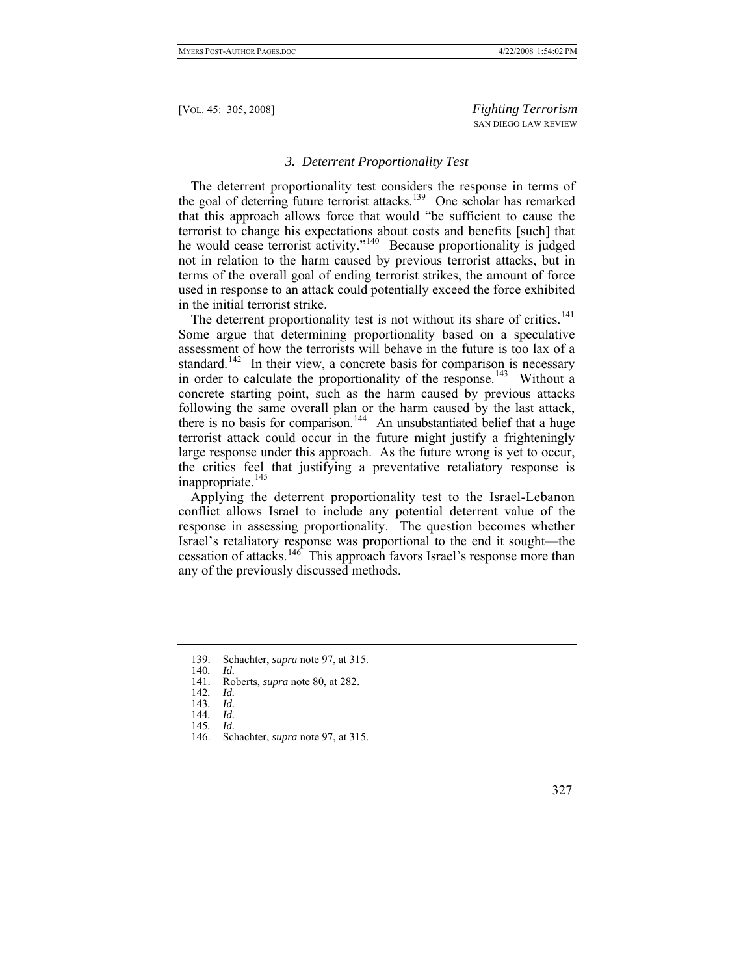## *3. Deterrent Proportionality Test*

The deterrent proportionality test considers the response in terms of the goal of deterring future terrorist attacks.<sup>[139](#page-22-0)</sup> One scholar has remarked that this approach allows force that would "be sufficient to cause the terrorist to change his expectations about costs and benefits [such] that he would cease terrorist activity."<sup>[140](#page-22-1)</sup> Because proportionality is judged not in relation to the harm caused by previous terrorist attacks, but in terms of the overall goal of ending terrorist strikes, the amount of force used in response to an attack could potentially exceed the force exhibited in the initial terrorist strike.

The deterrent proportionality test is not without its share of critics.<sup>[141](#page-22-2)</sup> Some argue that determining proportionality based on a speculative assessment of how the terrorists will behave in the future is too lax of a standard.<sup>[142](#page-22-3)</sup> In their view, a concrete basis for comparison is necessary in order to calculate the proportionality of the response.<sup>[143](#page-22-4)</sup> Without a concrete starting point, such as the harm caused by previous attacks following the same overall plan or the harm caused by the last attack, there is no basis for comparison.<sup>[144](#page-22-5)</sup> An unsubstantiated belief that a huge terrorist attack could occur in the future might justify a frighteningly large response under this approach. As the future wrong is yet to occur, the critics feel that justifying a preventative retaliatory response is inappropriate. $145$ 

Applying the deterrent proportionality test to the Israel-Lebanon conflict allows Israel to include any potential deterrent value of the response in assessing proportionality. The question becomes whether Israel's retaliatory response was proportional to the end it sought—the cessation of attacks.[146](#page-22-7) This approach favors Israel's response more than any of the previously discussed methods.

 <sup>139.</sup> Schachter, *supra* note 97, at 315.

<span id="page-22-2"></span><span id="page-22-1"></span><span id="page-22-0"></span><sup>140</sup>*. Id.*

 <sup>141.</sup> Roberts, *supra* note 80, at 282.

<span id="page-22-3"></span><sup>142</sup>*. Id.*

<sup>143</sup>*. Id.*

<span id="page-22-6"></span><span id="page-22-5"></span><span id="page-22-4"></span><sup>144</sup>*. Id.*

<span id="page-22-7"></span><sup>145</sup>*. Id.* Schachter, *supra* note 97, at 315.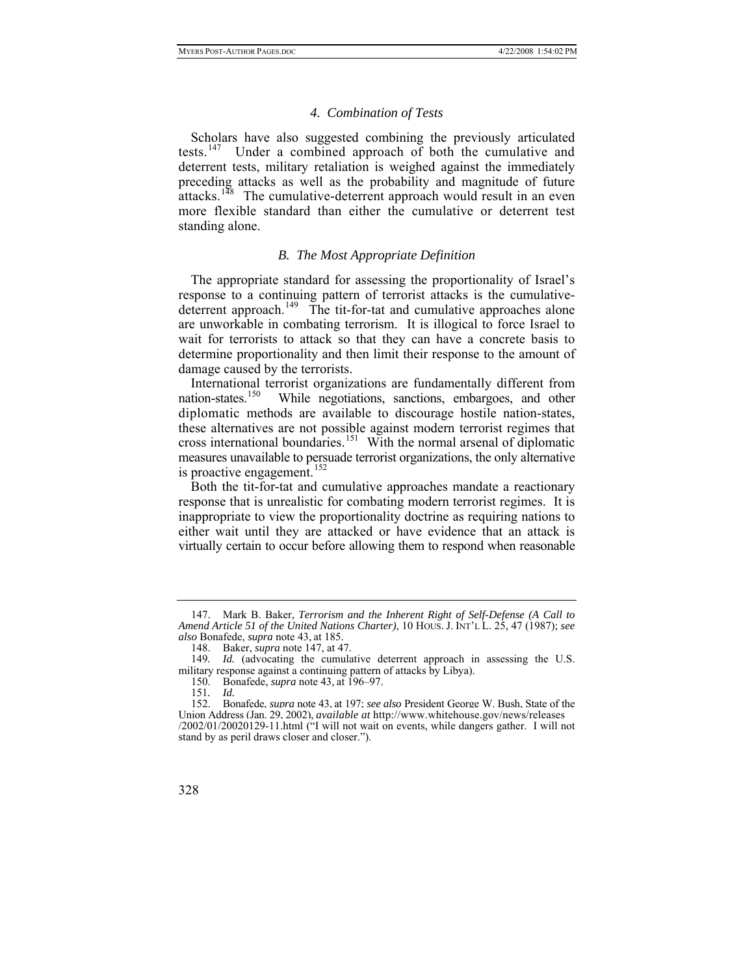## *4. Combination of Tests*

Scholars have also suggested combining the previously articulated tests.[147](#page-23-0) Under a combined approach of both the cumulative and deterrent tests, military retaliation is weighed against the immediately preceding attacks as well as the probability and magnitude of future attacks.<sup>[148](#page-23-1)</sup> The cumulative-deterrent approach would result in an even more flexible standard than either the cumulative or deterrent test standing alone.

# *B. The Most Appropriate Definition*

The appropriate standard for assessing the proportionality of Israel's response to a continuing pattern of terrorist attacks is the cumulative-deterrent approach.<sup>[149](#page-23-2)</sup> The tit-for-tat and cumulative approaches alone are unworkable in combating terrorism. It is illogical to force Israel to wait for terrorists to attack so that they can have a concrete basis to determine proportionality and then limit their response to the amount of damage caused by the terrorists.

International terrorist organizations are fundamentally different from nation-states.<sup>150</sup> While negotiations, sanctions, embargoes, and other While negotiations, sanctions, embargoes, and other diplomatic methods are available to discourage hostile nation-states, these alternatives are not possible against modern terrorist regimes that cross international boundaries.<sup>[151](#page-23-4)</sup> With the normal arsenal of diplomatic measures unavailable to persuade terrorist organizations, the only alternative is proactive engagement.<sup>[152](#page-23-5)</sup>

Both the tit-for-tat and cumulative approaches mandate a reactionary response that is unrealistic for combating modern terrorist regimes. It is inappropriate to view the proportionality doctrine as requiring nations to either wait until they are attacked or have evidence that an attack is virtually certain to occur before allowing them to respond when reasonable

150. Bonafede, *supra* note 43, at 196–97.

<span id="page-23-0"></span> <sup>147.</sup> Mark B. Baker, *Terrorism and the Inherent Right of Self-Defense (A Call to Amend Article 51 of the United Nations Charter)*, 10 HOUS. J. INT'L L. 25, 47 (1987); *see also* Bonafede, *supra* note 43, at 185.

 <sup>148.</sup> Baker, *supra* note 147, at 47.

<span id="page-23-2"></span><span id="page-23-1"></span><sup>149</sup>*. Id.* (advocating the cumulative deterrent approach in assessing the U.S. military response against a continuing pattern of attacks by Libya).

<sup>151</sup>*. Id.*

<span id="page-23-5"></span><span id="page-23-4"></span><span id="page-23-3"></span> <sup>152.</sup> Bonafede, *supra* note 43, at 197; *see also* President George W. Bush, State of the Union Address (Jan. 29, 2002), *available at* http://www.whitehouse.gov/news/releases /2002/01/20020129-11.html ("I will not wait on events, while dangers gather. I will not stand by as peril draws closer and closer.").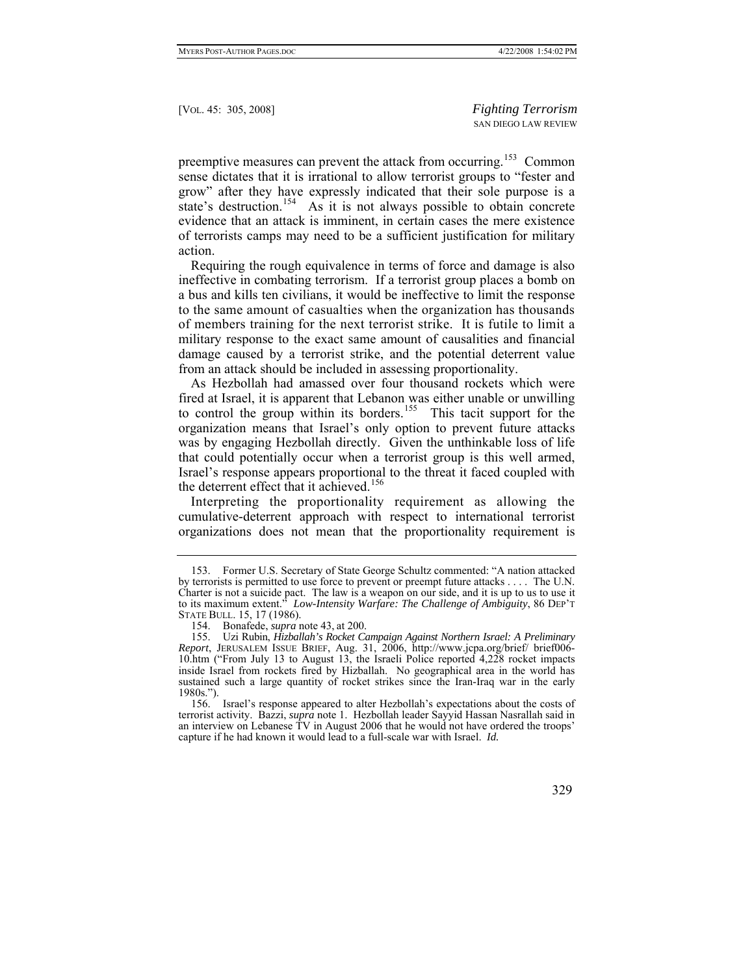preemptive measures can prevent the attack from occurring.<sup>[153](#page-24-0)</sup> Common sense dictates that it is irrational to allow terrorist groups to "fester and grow" after they have expressly indicated that their sole purpose is a state's destruction.<sup>[154](#page-24-1)</sup> As it is not always possible to obtain concrete evidence that an attack is imminent, in certain cases the mere existence of terrorists camps may need to be a sufficient justification for military action.

Requiring the rough equivalence in terms of force and damage is also ineffective in combating terrorism. If a terrorist group places a bomb on a bus and kills ten civilians, it would be ineffective to limit the response to the same amount of casualties when the organization has thousands of members training for the next terrorist strike. It is futile to limit a military response to the exact same amount of causalities and financial damage caused by a terrorist strike, and the potential deterrent value from an attack should be included in assessing proportionality.

As Hezbollah had amassed over four thousand rockets which were fired at Israel, it is apparent that Lebanon was either unable or unwilling to control the group within its borders.<sup>[155](#page-24-2)</sup> This tacit support for the organization means that Israel's only option to prevent future attacks was by engaging Hezbollah directly. Given the unthinkable loss of life that could potentially occur when a terrorist group is this well armed, Israel's response appears proportional to the threat it faced coupled with the deterrent effect that it achieved.<sup>[156](#page-24-3)</sup>

Interpreting the proportionality requirement as allowing the cumulative-deterrent approach with respect to international terrorist organizations does not mean that the proportionality requirement is

<span id="page-24-0"></span> <sup>153.</sup> Former U.S. Secretary of State George Schultz commented: "A nation attacked by terrorists is permitted to use force to prevent or preempt future attacks . . . . The U.N. Charter is not a suicide pact. The law is a weapon on our side, and it is up to us to use it to its maximum extent." *Low-Intensity Warfare: The Challenge of Ambiguity*, 86 DEP'T STATE BULL. 15, 17 (1986).

 <sup>154.</sup> Bonafede, *supra* note 43, at 200.

<span id="page-24-2"></span><span id="page-24-1"></span> <sup>155.</sup> Uzi Rubin, *Hizballah's Rocket Campaign Against Northern Israel: A Preliminary Report*, JERUSALEM ISSUE BRIEF, Aug. 31, 2006, http://www.jcpa.org/brief/ brief006- 10.htm ("From July 13 to August 13, the Israeli Police reported 4,228 rocket impacts inside Israel from rockets fired by Hizballah. No geographical area in the world has sustained such a large quantity of rocket strikes since the Iran-Iraq war in the early 1980s.").

<span id="page-24-3"></span> <sup>156.</sup> Israel's response appeared to alter Hezbollah's expectations about the costs of terrorist activity. Bazzi, *supra* note 1. Hezbollah leader Sayyid Hassan Nasrallah said in an interview on Lebanese TV in August 2006 that he would not have ordered the troops' capture if he had known it would lead to a full-scale war with Israel. *Id.*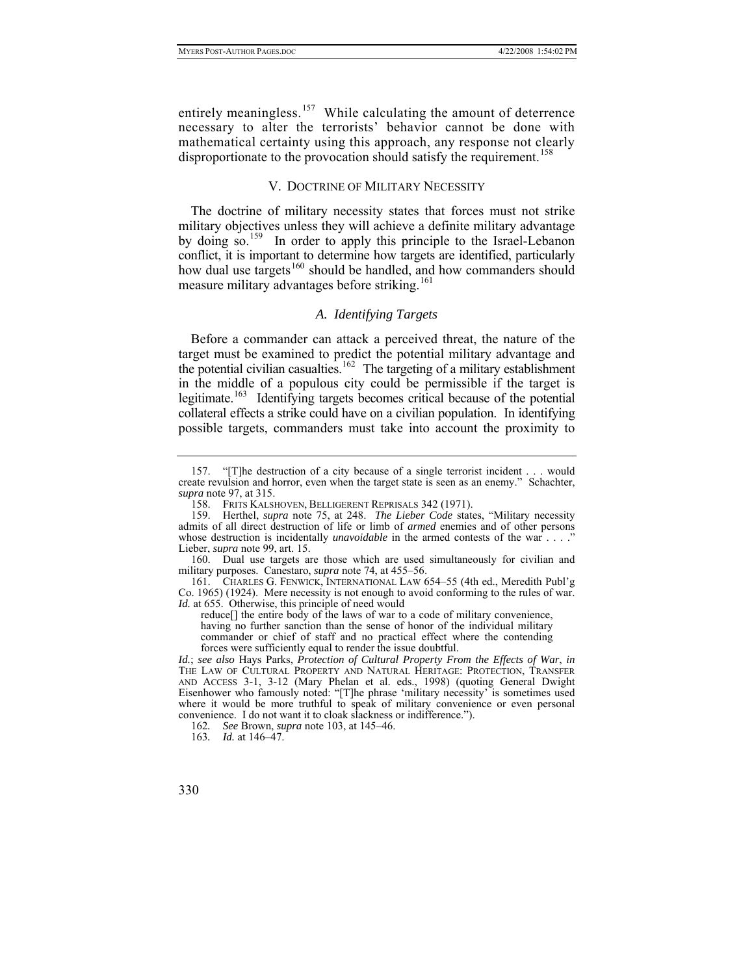entirely meaningless.<sup>[157](#page-25-0)</sup> While calculating the amount of deterrence necessary to alter the terrorists' behavior cannot be done with mathematical certainty using this approach, any response not clearly disproportionate to the provocation should satisfy the requirement.<sup>[158](#page-25-1)</sup>

## V. DOCTRINE OF MILITARY NECESSITY

The doctrine of military necessity states that forces must not strike military objectives unless they will achieve a definite military advantage by doing so.<sup>[159](#page-25-2)</sup> In order to apply this principle to the Israel-Lebanon conflict, it is important to determine how targets are identified, particularly how dual use targets<sup>[160](#page-25-3)</sup> should be handled, and how commanders should measure military advantages before striking.<sup>[161](#page-25-4)</sup>

#### *A. Identifying Targets*

Before a commander can attack a perceived threat, the nature of the target must be examined to predict the potential military advantage and the potential civilian casualties.<sup>[162](#page-25-5)</sup> The targeting of a military establishment in the middle of a populous city could be permissible if the target is legitimate.[163](#page-25-6) Identifying targets becomes critical because of the potential collateral effects a strike could have on a civilian population. In identifying possible targets, commanders must take into account the proximity to

<span id="page-25-3"></span> 160. Dual use targets are those which are used simultaneously for civilian and military purposes. Canestaro, *supra* note 74, at 455–56.

<span id="page-25-4"></span> 161. CHARLES G. FENWICK, INTERNATIONAL LAW 654–55 (4th ed., Meredith Publ'g Co. 1965) (1924). Mere necessity is not enough to avoid conforming to the rules of war. *Id.* at 655. Otherwise, this principle of need would

reduce[] the entire body of the laws of war to a code of military convenience, having no further sanction than the sense of honor of the individual military commander or chief of staff and no practical effect where the contending forces were sufficiently equal to render the issue doubtful.

<span id="page-25-5"></span>*Id.*; *see also* Hays Parks, *Protection of Cultural Property From the Effects of War*, *in* THE LAW OF CULTURAL PROPERTY AND NATURAL HERITAGE: PROTECTION, TRANSFER AND ACCESS 3-1, 3-12 (Mary Phelan et al. eds., 1998) (quoting General Dwight Eisenhower who famously noted: "[T]he phrase 'military necessity' is sometimes used where it would be more truthful to speak of military convenience or even personal convenience. I do not want it to cloak slackness or indifference.").

162*. See* Brown, *supra* note 103, at 145–46.

<span id="page-25-6"></span>163*. Id.* at 146–47.

<span id="page-25-0"></span> <sup>157. &</sup>quot;[T]he destruction of a city because of a single terrorist incident . . . would create revulsion and horror, even when the target state is seen as an enemy." Schachter, *supra* note 97, at 315.

 <sup>158.</sup> FRITS KALSHOVEN, BELLIGERENT REPRISALS 342 (1971).

<span id="page-25-2"></span><span id="page-25-1"></span> <sup>159.</sup> Herthel, *supra* note 75, at 248. *The Lieber Code* states, "Military necessity admits of all direct destruction of life or limb of *armed* enemies and of other persons whose destruction is incidentally *unavoidable* in the armed contests of the war . . . ." Lieber, *supra* note 99, art. 15.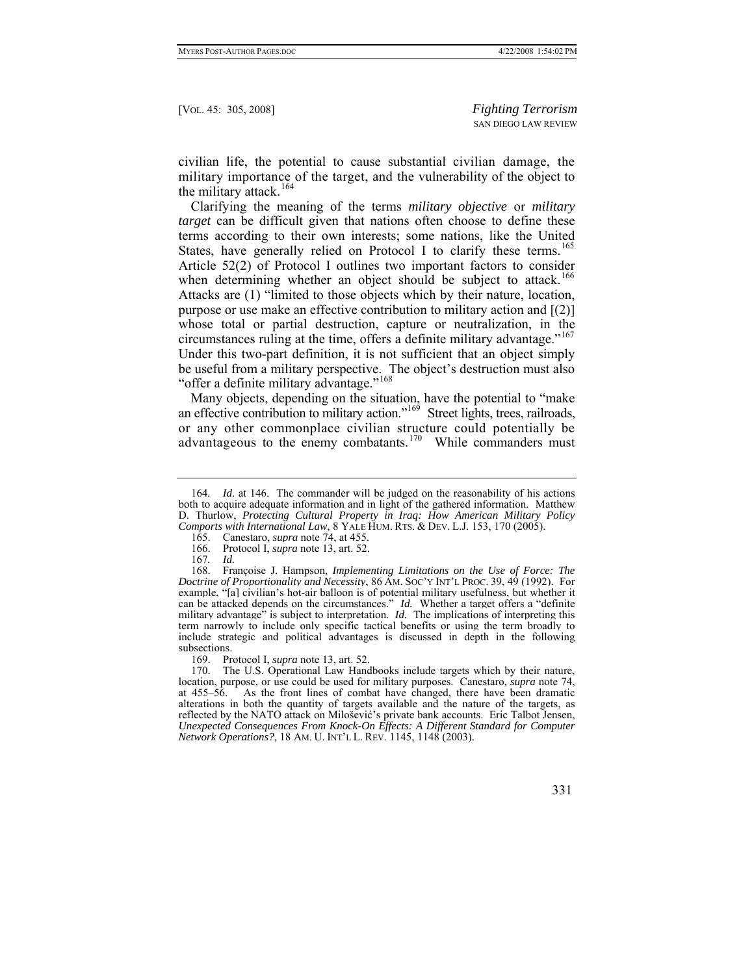civilian life, the potential to cause substantial civilian damage, the military importance of the target, and the vulnerability of the object to the military attack.<sup>[164](#page-26-0)</sup>

Clarifying the meaning of the terms *military objective* or *military target* can be difficult given that nations often choose to define these terms according to their own interests; some nations, like the United States, have generally relied on Protocol I to clarify these terms.<sup>[165](#page-26-1)</sup> Article 52(2) of Protocol I outlines two important factors to consider when determining whether an object should be subject to attack.<sup>[166](#page-26-2)</sup> Attacks are (1) "limited to those objects which by their nature, location, purpose or use make an effective contribution to military action and [(2)] whose total or partial destruction, capture or neutralization, in the circumstances ruling at the time, offers a definite military advantage."[167](#page-26-3) Under this two-part definition, it is not sufficient that an object simply be useful from a military perspective. The object's destruction must also "offer a definite military advantage."<sup>[168](#page-26-4)</sup>

Many objects, depending on the situation, have the potential to "make an effective contribution to military action."<sup>[169](#page-26-5)</sup> Street lights, trees, railroads, or any other commonplace civilian structure could potentially be advantageous to the enemy combatants.<sup>[170](#page-26-6)</sup> While commanders must

<span id="page-26-0"></span><sup>164</sup>*. Id*. at 146. The commander will be judged on the reasonability of his actions both to acquire adequate information and in light of the gathered information. Matthew D. Thurlow, *Protecting Cultural Property in Iraq: How American Military Policy Comports with International Law*, 8 YALE HUM. RTS. & DEV. L.J. 153, 170 (2005).

 <sup>165.</sup> Canestaro, *supra* note 74, at 455.

 <sup>166.</sup> Protocol I, *supra* note 13, art. 52.

<sup>167</sup>*. Id.*

<span id="page-26-4"></span><span id="page-26-3"></span><span id="page-26-2"></span><span id="page-26-1"></span> <sup>168.</sup> Françoise J. Hampson, *Implementing Limitations on the Use of Force: The Doctrine of Proportionality and Necessity*, 86 AM. SOC'Y INT'L PROC. 39, 49 (1992). For example, "[a] civilian's hot-air balloon is of potential military usefulness, but whether it can be attacked depends on the circumstances." *Id.* Whether a target offers a "definite military advantage" is subject to interpretation. *Id.* The implications of interpreting this term narrowly to include only specific tactical benefits or using the term broadly to include strategic and political advantages is discussed in depth in the following subsections.

 <sup>169.</sup> Protocol I, *supra* note 13, art. 52.

<span id="page-26-6"></span><span id="page-26-5"></span> <sup>170.</sup> The U.S. Operational Law Handbooks include targets which by their nature, location, purpose, or use could be used for military purposes. Canestaro, *supra* note 74, at 455–56. As the front lines of combat have changed, there have been dramatic As the front lines of combat have changed, there have been dramatic alterations in both the quantity of targets available and the nature of the targets, as reflected by the NATO attack on Milošević's private bank accounts. Eric Talbot Jensen, *Unexpected Consequences From Knock-On Effects: A Different Standard for Computer Network Operations?*, 18 AM. U. INT'L L. REV. 1145, 1148 (2003).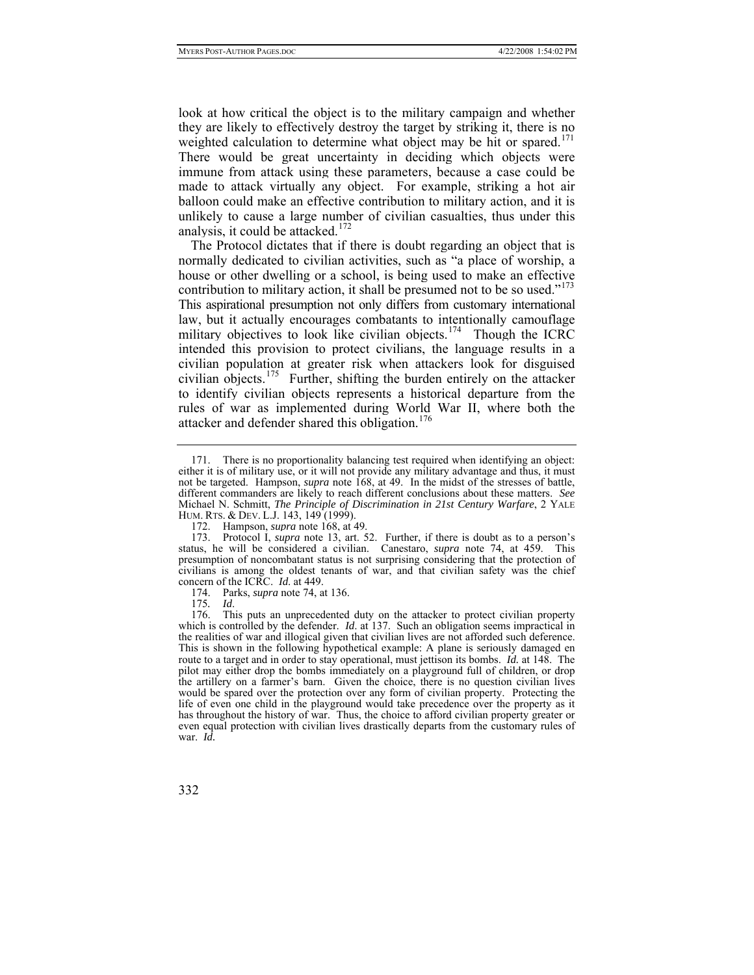look at how critical the object is to the military campaign and whether they are likely to effectively destroy the target by striking it, there is no weighted calculation to determine what object may be hit or spared.<sup>[171](#page-27-0)</sup> There would be great uncertainty in deciding which objects were immune from attack using these parameters, because a case could be made to attack virtually any object. For example, striking a hot air balloon could make an effective contribution to military action, and it is unlikely to cause a large number of civilian casualties, thus under this analysis, it could be attacked. $172$ 

The Protocol dictates that if there is doubt regarding an object that is normally dedicated to civilian activities, such as "a place of worship, a house or other dwelling or a school, is being used to make an effective contribution to military action, it shall be presumed not to be so used."<sup>[173](#page-27-2)</sup> This aspirational presumption not only differs from customary international law, but it actually encourages combatants to intentionally camouflage military objectives to look like civilian objects.<sup>[174](#page-27-3)</sup> Though the ICRC intended this provision to protect civilians, the language results in a civilian population at greater risk when attackers look for disguised civilian objects.<sup>[175](#page-27-4)</sup> Further, shifting the burden entirely on the attacker to identify civilian objects represents a historical departure from the rules of war as implemented during World War II, where both the attacker and defender shared this obligation.<sup>176</sup>

<span id="page-27-0"></span> <sup>171.</sup> There is no proportionality balancing test required when identifying an object: either it is of military use, or it will not provide any military advantage and thus, it must not be targeted. Hampson, *supra* note 168, at 49. In the midst of the stresses of battle, different commanders are likely to reach different conclusions about these matters. *See*  Michael N. Schmitt, *The Principle of Discrimination in 21st Century Warfare*, 2 YALE HUM. RTS. & DEV. L.J. 143, 149 (1999).

 <sup>172.</sup> Hampson, *supra* note 168, at 49.

<span id="page-27-2"></span><span id="page-27-1"></span> <sup>173.</sup> Protocol I, *supra* note 13, art. 52. Further, if there is doubt as to a person's status, he will be considered a civilian. Canestaro, *supra* note 74, at 459. This presumption of noncombatant status is not surprising considering that the protection of civilians is among the oldest tenants of war, and that civilian safety was the chief concern of the ICRC. *Id*. at 449.

 <sup>174.</sup> Parks, *supra* note 74, at 136.

<sup>175</sup>*. Id*.

<span id="page-27-4"></span><span id="page-27-3"></span>This puts an unprecedented duty on the attacker to protect civilian property which is controlled by the defender. *Id.* at 137. Such an obligation seems impractical in the realities of war and illogical given that civilian lives are not afforded such deference. This is shown in the following hypothetical example: A plane is seriously damaged en route to a target and in order to stay operational, must jettison its bombs. *Id.* at 148. The pilot may either drop the bombs immediately on a playground full of children, or drop the artillery on a farmer's barn. Given the choice, there is no question civilian lives would be spared over the protection over any form of civilian property. Protecting the life of even one child in the playground would take precedence over the property as it has throughout the history of war. Thus, the choice to afford civilian property greater or even equal protection with civilian lives drastically departs from the customary rules of war. *Id.*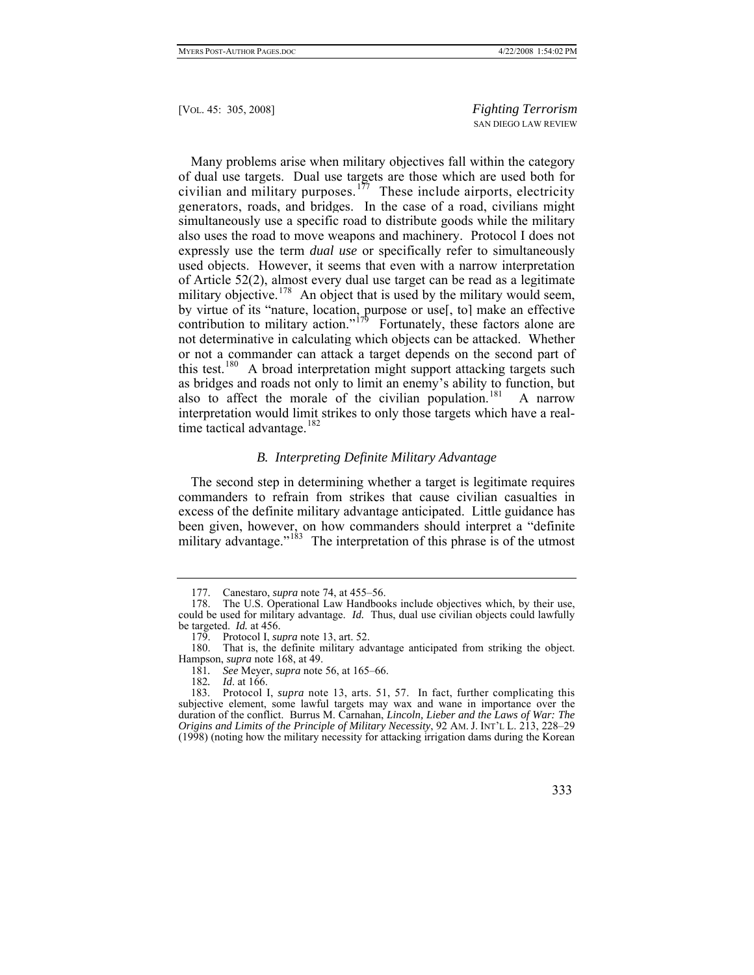Many problems arise when military objectives fall within the category of dual use targets. Dual use targets are those which are used both for civilian and military purposes.<sup>[177](#page-28-0)</sup> These include airports, electricity generators, roads, and bridges. In the case of a road, civilians might simultaneously use a specific road to distribute goods while the military also uses the road to move weapons and machinery. Protocol I does not expressly use the term *dual use* or specifically refer to simultaneously used objects. However, it seems that even with a narrow interpretation of Article 52(2), almost every dual use target can be read as a legitimate military objective.<sup>[178](#page-28-1)</sup> An object that is used by the military would seem, by virtue of its "nature, location, purpose or use[, to] make an effective contribution to military action."<sup>[179](#page-28-2)</sup> Fortunately, these factors alone are not determinative in calculating which objects can be attacked. Whether or not a commander can attack a target depends on the second part of this test.<sup>[180](#page-28-3)</sup> A broad interpretation might support attacking targets such as bridges and roads not only to limit an enemy's ability to function, but also to affect the morale of the civilian population.<sup>[181](#page-28-4)</sup> A narrow interpretation would limit strikes to only those targets which have a real-time tactical advantage.<sup>[182](#page-28-5)</sup>

## *B. Interpreting Definite Military Advantage*

The second step in determining whether a target is legitimate requires commanders to refrain from strikes that cause civilian casualties in excess of the definite military advantage anticipated. Little guidance has been given, however, on how commanders should interpret a "definite military advantage."<sup>[183](#page-28-6)</sup> The interpretation of this phrase is of the utmost

 <sup>177.</sup> Canestaro, *supra* note 74, at 455–56.

<span id="page-28-1"></span><span id="page-28-0"></span> <sup>178.</sup> The U.S. Operational Law Handbooks include objectives which, by their use, could be used for military advantage. *Id.* Thus, dual use civilian objects could lawfully be targeted. *Id.* at 456.

 <sup>179.</sup> Protocol I, *supra* note 13, art. 52.

<span id="page-28-3"></span><span id="page-28-2"></span> <sup>180.</sup> That is, the definite military advantage anticipated from striking the object. Hampson, *supra* note 168, at 49.

<sup>181</sup>*. See* Meyer, *supra* note 56, at 165–66.

<sup>182</sup>*. Id*. at 166.

<span id="page-28-6"></span><span id="page-28-5"></span><span id="page-28-4"></span> <sup>183.</sup> Protocol I, *supra* note 13, arts. 51, 57. In fact, further complicating this subjective element, some lawful targets may wax and wane in importance over the duration of the conflict. Burrus M. Carnahan, *Lincoln, Lieber and the Laws of War: The Origins and Limits of the Principle of Military Necessity*, 92 AM. J. INT'L L. 213, 228–29 (1998) (noting how the military necessity for attacking irrigation dams during the Korean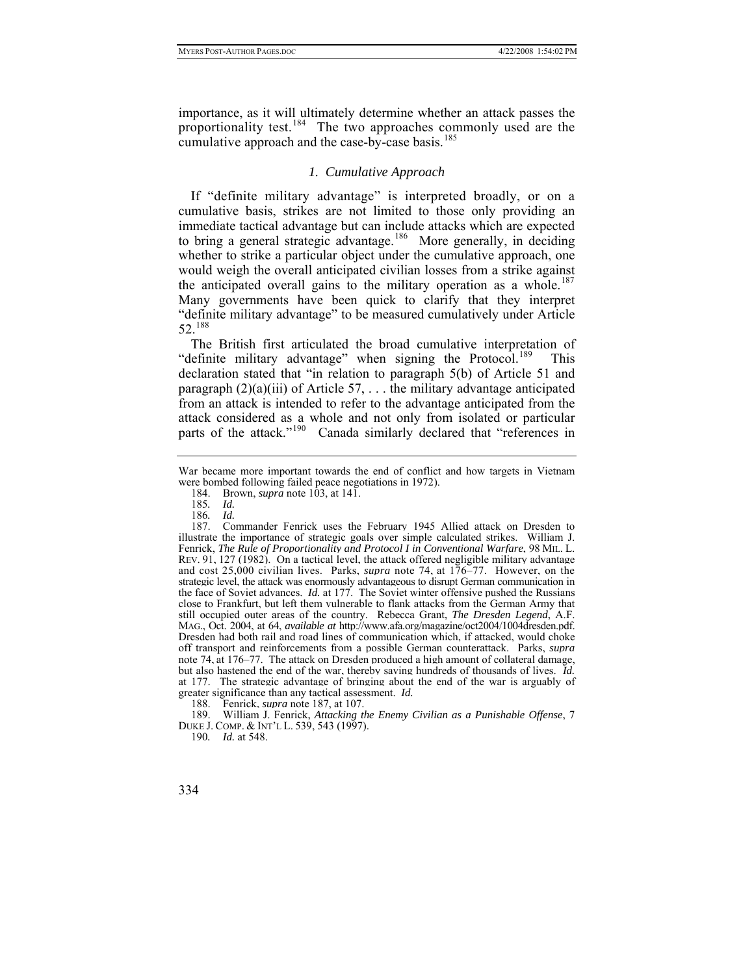importance, as it will ultimately determine whether an attack passes the proportionality test.<sup>[184](#page-29-0)</sup> The two approaches commonly used are the cumulative approach and the case-by-case basis.<sup>[185](#page-29-1)</sup>

# *1. Cumulative Approach*

If "definite military advantage" is interpreted broadly, or on a cumulative basis, strikes are not limited to those only providing an immediate tactical advantage but can include attacks which are expected to bring a general strategic advantage.<sup>[186](#page-29-2)</sup> More generally, in deciding whether to strike a particular object under the cumulative approach, one would weigh the overall anticipated civilian losses from a strike against the anticipated overall gains to the military operation as a whole.<sup>[187](#page-29-3)</sup> Many governments have been quick to clarify that they interpret "definite military advantage" to be measured cumulatively under Article 52.[188](#page-29-4)

The British first articulated the broad cumulative interpretation of "definite military advantage" when signing the Protocol.<sup>[189](#page-29-5)</sup> This declaration stated that "in relation to paragraph 5(b) of Article 51 and paragraph  $(2)(a)(iii)$  of Article 57, ... the military advantage anticipated from an attack is intended to refer to the advantage anticipated from the attack considered as a whole and not only from isolated or particular parts of the attack."<sup>[190](#page-29-6)</sup> Canada similarly declared that "references in

<span id="page-29-0"></span>War became more important towards the end of conflict and how targets in Vietnam were bombed following failed peace negotiations in 1972).

 <sup>184.</sup> Brown, *supra* note 103, at 141.

<sup>185</sup>*. Id.*

<sup>186</sup>*. Id.*

<span id="page-29-3"></span><span id="page-29-2"></span><span id="page-29-1"></span> <sup>187.</sup> Commander Fenrick uses the February 1945 Allied attack on Dresden to illustrate the importance of strategic goals over simple calculated strikes. William J. Fenrick, *The Rule of Proportionality and Protocol I in Conventional Warfare*, 98 MIL. L. REV. 91, 127 (1982). On a tactical level, the attack offered negligible military advantage and cost 25,000 civilian lives. Parks, *supra* note 74, at 176–77. However, on the strategic level, the attack was enormously advantageous to disrupt German communication in the face of Soviet advances. *Id.* at 177. The Soviet winter offensive pushed the Russians close to Frankfurt, but left them vulnerable to flank attacks from the German Army that still occupied outer areas of the country. Rebecca Grant, *The Dresden Legend*, A.F. MAG., Oct. 2004, at 64, *available at* http://www.afa.org/magazine/oct2004/1004dresden.pdf. Dresden had both rail and road lines of communication which, if attacked, would choke off transport and reinforcements from a possible German counterattack. Parks, *supra*  note 74, at 176–77. The attack on Dresden produced a high amount of collateral damage, but also hastened the end of the war, thereby saving hundreds of thousands of lives. *Id.* at 177. The strategic advantage of bringing about the end of the war is arguably of greater significance than any tactical assessment. *Id.*

 <sup>188.</sup> Fenrick, *supra* note 187, at 107.

<span id="page-29-6"></span><span id="page-29-5"></span><span id="page-29-4"></span> <sup>189.</sup> William J. Fenrick, *Attacking the Enemy Civilian as a Punishable Offense*, 7 DUKE J. COMP. & INT'L L. 539, 543 (1997).

<sup>190</sup>*. Id.* at 548.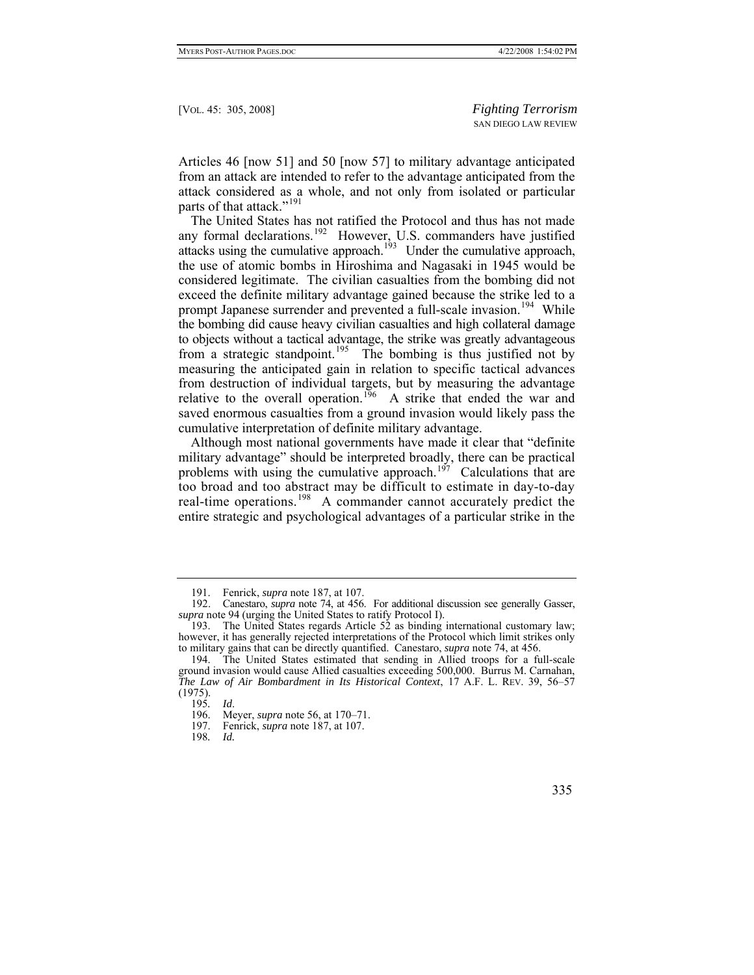Articles 46 [now 51] and 50 [now 57] to military advantage anticipated from an attack are intended to refer to the advantage anticipated from the attack considered as a whole, and not only from isolated or particular parts of that attack."<sup>[191](#page-30-0)</sup>

The United States has not ratified the Protocol and thus has not made any formal declarations.<sup>[192](#page-30-1)</sup> However, U.S. commanders have justified attacks using the cumulative approach.<sup>[193](#page-30-2)</sup> Under the cumulative approach, the use of atomic bombs in Hiroshima and Nagasaki in 1945 would be considered legitimate. The civilian casualties from the bombing did not exceed the definite military advantage gained because the strike led to a prompt Japanese surrender and prevented a full-scale invasion.<sup>[194](#page-30-3)</sup> While the bombing did cause heavy civilian casualties and high collateral damage to objects without a tactical advantage, the strike was greatly advantageous from a strategic standpoint.<sup>[195](#page-30-4)</sup> The bombing is thus justified not by measuring the anticipated gain in relation to specific tactical advances from destruction of individual targets, but by measuring the advantage relative to the overall operation.<sup>[196](#page-30-5)</sup> A strike that ended the war and saved enormous casualties from a ground invasion would likely pass the cumulative interpretation of definite military advantage.

Although most national governments have made it clear that "definite military advantage" should be interpreted broadly, there can be practical problems with using the cumulative approach.<sup>[197](#page-30-6)</sup> Calculations that are too broad and too abstract may be difficult to estimate in day-to-day real-time operations.[198](#page-30-7) A commander cannot accurately predict the entire strategic and psychological advantages of a particular strike in the

 <sup>191.</sup> Fenrick, *supra* note 187, at 107.

<span id="page-30-1"></span><span id="page-30-0"></span> <sup>192.</sup> Canestaro, *supra* note 74, at 456. For additional discussion see generally Gasser, *supra* note 94 (urging the United States to ratify Protocol I).

<span id="page-30-2"></span> <sup>193.</sup> The United States regards Article 52 as binding international customary law; however, it has generally rejected interpretations of the Protocol which limit strikes only to military gains that can be directly quantified. Canestaro, *supra* note 74, at 456.

<span id="page-30-6"></span><span id="page-30-5"></span><span id="page-30-4"></span><span id="page-30-3"></span> <sup>194.</sup> The United States estimated that sending in Allied troops for a full-scale ground invasion would cause Allied casualties exceeding 500,000. Burrus M. Carnahan, *The Law of Air Bombardment in Its Historical Context*, 17 A.F. L. REV. 39, 56–57 (1975).

<sup>195</sup>*. Id*.

 <sup>196.</sup> Meyer, *supra* note 56, at 170–71.

 <sup>197.</sup> Fenrick, *supra* note 187, at 107.

<span id="page-30-7"></span><sup>198</sup>*. Id.*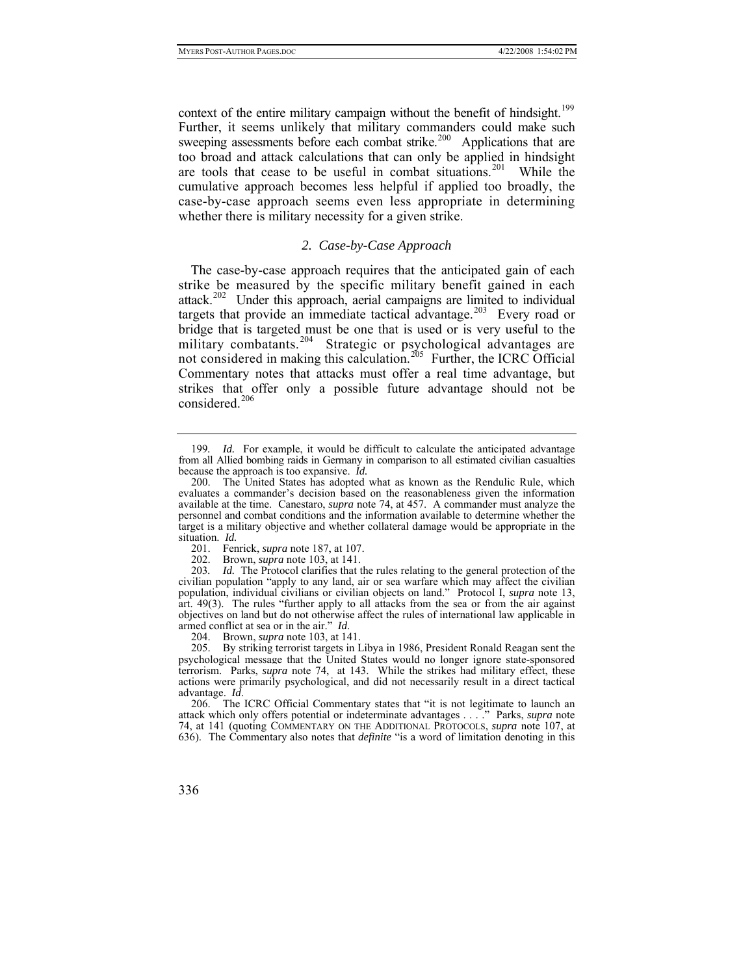context of the entire military campaign without the benefit of hindsight.<sup>[199](#page-31-0)</sup> Further, it seems unlikely that military commanders could make such sweeping assessments before each combat strike.<sup>[200](#page-31-1)</sup> Applications that are too broad and attack calculations that can only be applied in hindsight are tools that cease to be useful in combat situations.<sup>[201](#page-31-2)</sup> While the cumulative approach becomes less helpful if applied too broadly, the case-by-case approach seems even less appropriate in determining whether there is military necessity for a given strike.

## *2. Case-by-Case Approach*

The case-by-case approach requires that the anticipated gain of each strike be measured by the specific military benefit gained in each attack.[202](#page-31-3) Under this approach, aerial campaigns are limited to individual targets that provide an immediate tactical advantage.<sup>[203](#page-31-4)</sup> Every road or bridge that is targeted must be one that is used or is very useful to the military combatants.<sup>[204](#page-31-5)</sup> Strategic or psychological advantages are not considered in making this calculation.<sup>[205](#page-31-6)</sup> Further, the ICRC Official Commentary notes that attacks must offer a real time advantage, but strikes that offer only a possible future advantage should not be considered.<sup>[206](#page-31-7)</sup>

<span id="page-31-4"></span><span id="page-31-3"></span><span id="page-31-2"></span>203*. Id.* The Protocol clarifies that the rules relating to the general protection of the civilian population "apply to any land, air or sea warfare which may affect the civilian population, individual civilians or civilian objects on land." Protocol I, *supra* note 13, art. 49(3). The rules "further apply to all attacks from the sea or from the air against objectives on land but do not otherwise affect the rules of international law applicable in armed conflict at sea or in the air." *Id*.

204. Brown, *supra* note 103, at 141.

<span id="page-31-6"></span><span id="page-31-5"></span> 205. By striking terrorist targets in Libya in 1986, President Ronald Reagan sent the psychological message that the United States would no longer ignore state-sponsored terrorism. Parks, *supra* note 74, at 143. While the strikes had military effect, these actions were primarily psychological, and did not necessarily result in a direct tactical advantage. *Id*.

<span id="page-31-7"></span> 206. The ICRC Official Commentary states that "it is not legitimate to launch an attack which only offers potential or indeterminate advantages . . . ." Parks, *supra* note 74, at 141 (quoting COMMENTARY ON THE ADDITIONAL PROTOCOLS, *supra* note 107, at 636). The Commentary also notes that *definite* "is a word of limitation denoting in this

<span id="page-31-0"></span><sup>199</sup>*. Id.* For example, it would be difficult to calculate the anticipated advantage from all Allied bombing raids in Germany in comparison to all estimated civilian casualties because the approach is too expansive. *Id.*

<span id="page-31-1"></span> <sup>200.</sup> The United States has adopted what as known as the Rendulic Rule, which evaluates a commander's decision based on the reasonableness given the information available at the time. Canestaro, *supra* note 74, at 457. A commander must analyze the personnel and combat conditions and the information available to determine whether the target is a military objective and whether collateral damage would be appropriate in the situation. *Id.*

 <sup>201.</sup> Fenrick, *supra* note 187, at 107.

Brown, *supra* note 103, at 141.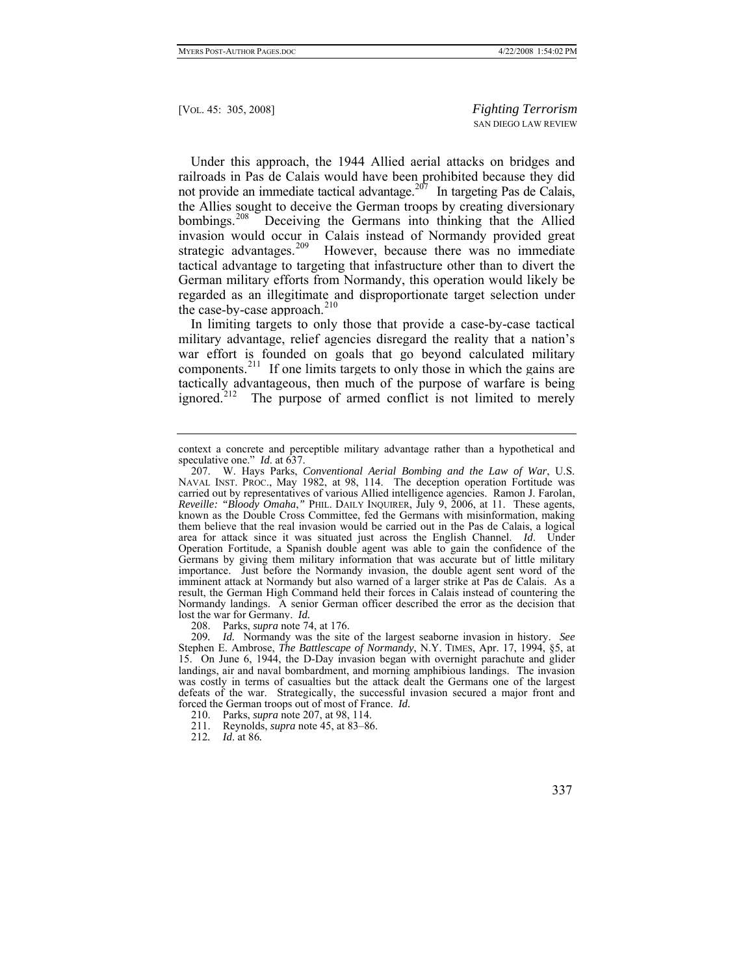Under this approach, the 1944 Allied aerial attacks on bridges and railroads in Pas de Calais would have been prohibited because they did not provide an immediate tactical advantage.<sup>[207](#page-32-0)</sup> In targeting Pas de Calais, the Allies sought to deceive the German troops by creating diversionary bombings.<sup>[208](#page-32-1)</sup> Deceiving the Germans into thinking that the Allied invasion would occur in Calais instead of Normandy provided great strategic advantages.<sup>[209](#page-32-2)</sup> However, because there was no immediate tactical advantage to targeting that infastructure other than to divert the German military efforts from Normandy, this operation would likely be regarded as an illegitimate and disproportionate target selection under the case-by-case approach. $210$ 

In limiting targets to only those that provide a case-by-case tactical military advantage, relief agencies disregard the reality that a nation's war effort is founded on goals that go beyond calculated military components.[211](#page-32-4) If one limits targets to only those in which the gains are tactically advantageous, then much of the purpose of warfare is being ignored.<sup> $212$ </sup> The purpose of armed conflict is not limited to merely

208. Parks, *supra* note 74, at 176.

<span id="page-32-2"></span><span id="page-32-1"></span>209*. Id.* Normandy was the site of the largest seaborne invasion in history. *See* Stephen E. Ambrose, *The Battlescape of Normandy*, N.Y. TIMES, Apr. 17, 1994, §5, at 15. On June 6, 1944, the D-Day invasion began with overnight parachute and glider landings, air and naval bombardment, and morning amphibious landings. The invasion was costly in terms of casualties but the attack dealt the Germans one of the largest defeats of the war. Strategically, the successful invasion secured a major front and forced the German troops out of most of France. *Id.*

<span id="page-32-3"></span>210. Parks, *supra* note 207, at 98, 114.

<span id="page-32-4"></span>211. Reynolds, *supra* note 45, at 83–86.

<span id="page-32-5"></span>212*. Id*. at 86*.*

context a concrete and perceptible military advantage rather than a hypothetical and speculative one." *Id.* at 637.

<span id="page-32-0"></span> <sup>207.</sup> W. Hays Parks, *Conventional Aerial Bombing and the Law of War*, U.S. NAVAL INST. PROC., May 1982, at 98, 114. The deception operation Fortitude was carried out by representatives of various Allied intelligence agencies. Ramon J. Farolan, *Reveille: "Bloody Omaha,"* PHIL. DAILY INQUIRER, July 9, 2006, at 11. These agents, known as the Double Cross Committee, fed the Germans with misinformation, making them believe that the real invasion would be carried out in the Pas de Calais, a logical area for attack since it was situated just across the English Channel. *Id*. Under Operation Fortitude, a Spanish double agent was able to gain the confidence of the Germans by giving them military information that was accurate but of little military importance. Just before the Normandy invasion, the double agent sent word of the imminent attack at Normandy but also warned of a larger strike at Pas de Calais. As a result, the German High Command held their forces in Calais instead of countering the Normandy landings. A senior German officer described the error as the decision that lost the war for Germany. *Id.*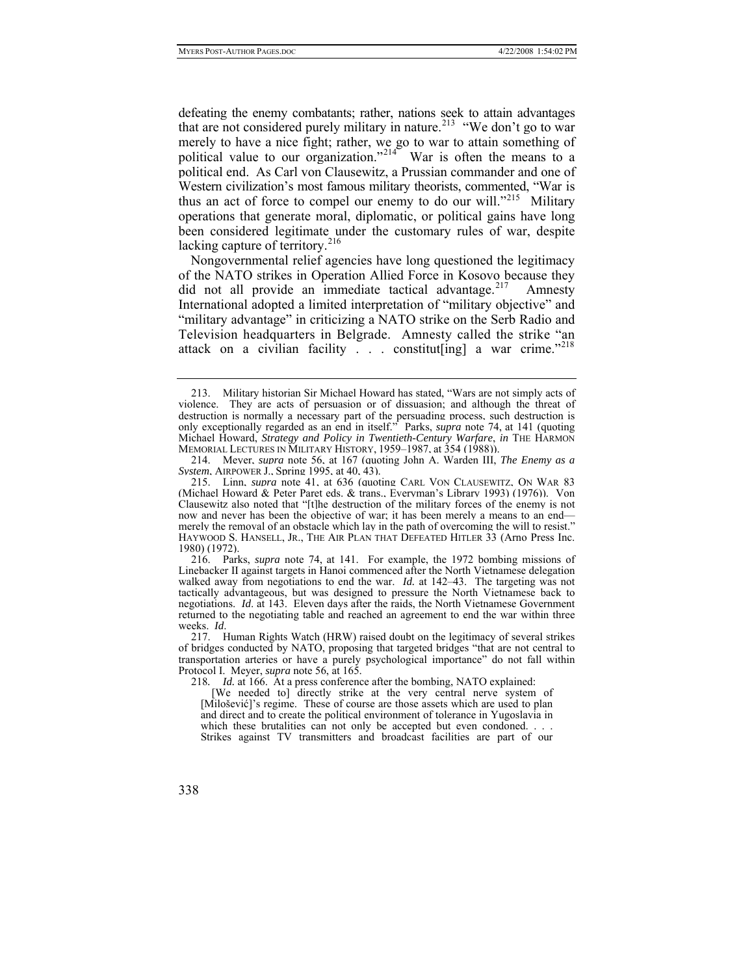defeating the enemy combatants; rather, nations seek to attain advantages that are not considered purely military in nature.<sup>[213](#page-33-0)</sup> "We don't go to war merely to have a nice fight; rather, we go to war to attain something of political value to our organization."<sup>[214](#page-33-1)</sup> War is often the means to a political end. As Carl von Clausewitz, a Prussian commander and one of Western civilization's most famous military theorists, commented, "War is thus an act of force to compel our enemy to do our will."[215](#page-33-2) Military operations that generate moral, diplomatic, or political gains have long been considered legitimate under the customary rules of war, despite lacking capture of territory.<sup>[216](#page-33-3)</sup>

Nongovernmental relief agencies have long questioned the legitimacy of the NATO strikes in Operation Allied Force in Kosovo because they did not all provide an immediate tactical advantage.<sup>[217](#page-33-4)</sup> Amnesty International adopted a limited interpretation of "military objective" and "military advantage" in criticizing a NATO strike on the Serb Radio and Television headquarters in Belgrade. Amnesty called the strike "an attack on a civilian facility  $\therefore$  constitute a war crime.<sup>7[218](#page-33-5)</sup>

<span id="page-33-0"></span> <sup>213.</sup> Military historian Sir Michael Howard has stated, "Wars are not simply acts of violence. They are acts of persuasion or of dissuasion; and although the threat of destruction is normally a necessary part of the persuading process, such destruction is only exceptionally regarded as an end in itself." Parks, *supra* note 74, at 141 (quoting Michael Howard, *Strategy and Policy in Twentieth-Century Warfare*, *in* THE HARMON MEMORIAL LECTURES IN MILITARY HISTORY, 1959–1987, at 354 (1988)).

<span id="page-33-1"></span> <sup>214.</sup> Meyer, *supra* note 56, at 167 (quoting John A. Warden III, *The Enemy as a System*, AIRPOWER J., Spring 1995, at 40, 43).

<span id="page-33-2"></span> <sup>215.</sup> Linn, *supra* note 41, at 636 (quoting CARL VON CLAUSEWITZ, ON WAR 83 (Michael Howard & Peter Paret eds. & trans., Everyman's Library 1993) (1976)). Von Clausewitz also noted that "[t]he destruction of the military forces of the enemy is not now and never has been the objective of war; it has been merely a means to an end merely the removal of an obstacle which lay in the path of overcoming the will to resist." HAYWOOD S. HANSELL, JR., THE AIR PLAN THAT DEFEATED HITLER 33 (Arno Press Inc. 1980) (1972).

<span id="page-33-3"></span> <sup>216.</sup> Parks, *supra* note 74, at 141. For example, the 1972 bombing missions of Linebacker II against targets in Hanoi commenced after the North Vietnamese delegation walked away from negotiations to end the war. *Id.* at 142–43. The targeting was not tactically advantageous, but was designed to pressure the North Vietnamese back to negotiations. *Id*. at 143. Eleven days after the raids, the North Vietnamese Government returned to the negotiating table and reached an agreement to end the war within three weeks. *Id*.

<span id="page-33-5"></span><span id="page-33-4"></span> <sup>217.</sup> Human Rights Watch (HRW) raised doubt on the legitimacy of several strikes of bridges conducted by NATO, proposing that targeted bridges "that are not central to transportation arteries or have a purely psychological importance" do not fall within Protocol I. Meyer, *supra* note 56, at 165.

<sup>218</sup>*. Id.* at 166. At a press conference after the bombing, NATO explained:

<sup>[</sup>We needed to] directly strike at the very central nerve system of [Milošević]'s regime. These of course are those assets which are used to plan and direct and to create the political environment of tolerance in Yugoslavia in which these brutalities can not only be accepted but even condoned. . . . Strikes against TV transmitters and broadcast facilities are part of our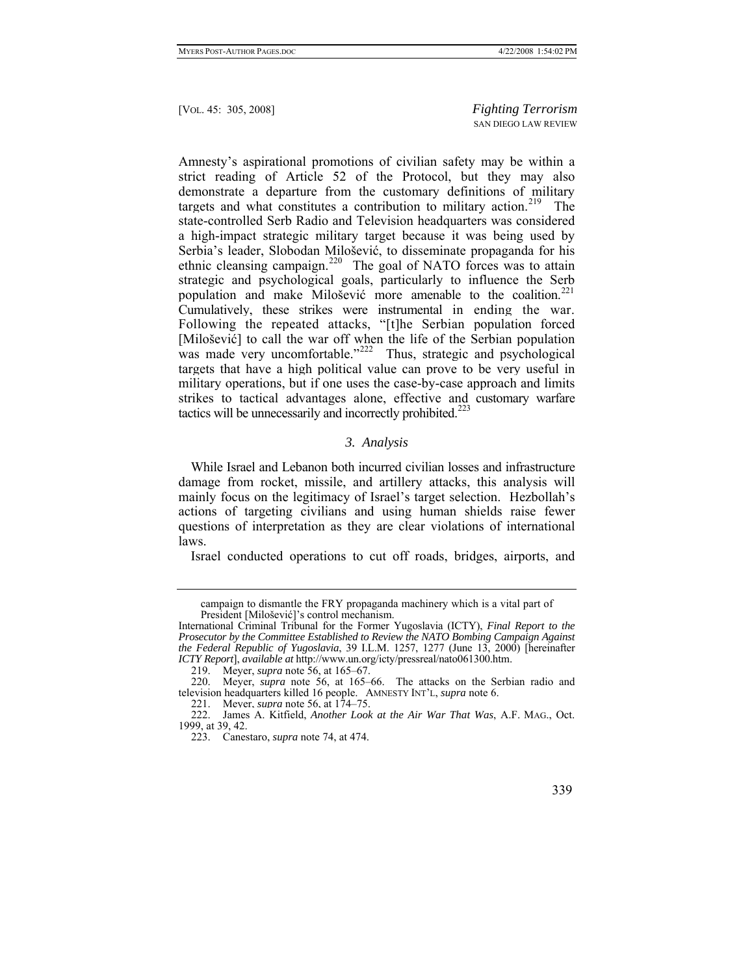Amnesty's aspirational promotions of civilian safety may be within a strict reading of Article 52 of the Protocol, but they may also demonstrate a departure from the customary definitions of military targets and what constitutes a contribution to military action.<sup>[219](#page-34-0)</sup> The state-controlled Serb Radio and Television headquarters was considered a high-impact strategic military target because it was being used by Serbia's leader, Slobodan Milošević, to disseminate propaganda for his ethnic cleansing campaign.<sup>[220](#page-34-1)</sup> The goal of NATO forces was to attain strategic and psychological goals, particularly to influence the Serb population and make Milošević more amenable to the coalition. $221$ Cumulatively, these strikes were instrumental in ending the war. Following the repeated attacks, "[t]he Serbian population forced [Milošević] to call the war off when the life of the Serbian population was made very uncomfortable."<sup>[222](#page-34-3)</sup> Thus, strategic and psychological targets that have a high political value can prove to be very useful in military operations, but if one uses the case-by-case approach and limits strikes to tactical advantages alone, effective and customary warfare tactics will be unnecessarily and incorrectly prohibited.<sup>223</sup>

#### *3. Analysis*

questions of interpretation as they are clear violations of international la ws. While Israel and Lebanon both incurred civilian losses and infrastructure damage from rocket, missile, and artillery attacks, this analysis will mainly focus on the legitimacy of Israel's target selection. Hezbollah's actions of targeting civilians and using human shields raise fewer

Israel conducted operations to cut off roads, bridges, airports, and

campaign to dismantle the FRY propaganda machinery which is a vital part of President [Milošević]'s control mechanism.

International Criminal Tribunal for the Former Yugoslavia (ICTY), *Final Report to the Prosecutor by the Committee Established to Review the NATO Bombing Campaign Against the Federal Republic of Yugoslavia*, 39 I.L.M. 1257, 1277 (June 13, 2000) [hereinafter *ICTY Report*], *available at* http://www.un.org/icty/pressreal/nato061300.htm.

 <sup>219.</sup> Meyer, *supra* note 56, at 165–67.

<span id="page-34-1"></span><span id="page-34-0"></span> <sup>220.</sup> Meyer, *supra* note 56, at 165–66. The attacks on the Serbian radio and television headquarters killed 16 people. AMNESTY INT'L, *supra* note 6.

 <sup>221.</sup> Meyer, *supra* note 56, at 174–75.

<span id="page-34-3"></span><span id="page-34-2"></span> <sup>222.</sup> James A. Kitfield, *Another Look at the Air War That Was*, A.F. MAG., Oct. 1999, at 39, 42.

 <sup>223.</sup> Canestaro, *supra* note 74, at 474.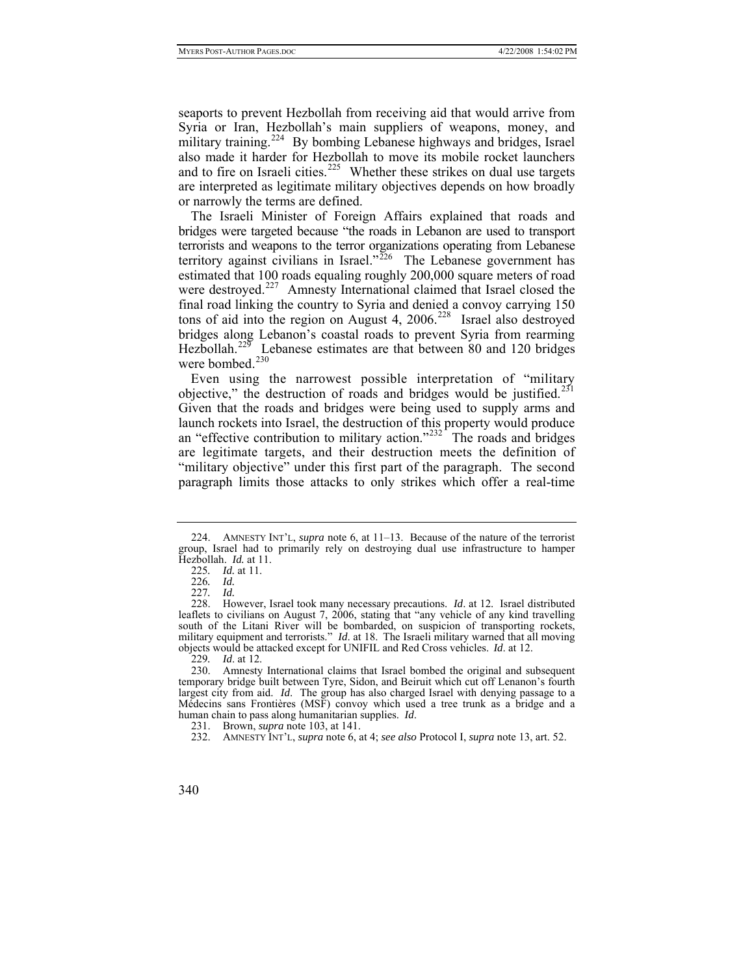are interpreted as legitimate military objectives depends on how broadly or narrowly the terms are defined. seaports to prevent Hezbollah from receiving aid that would arrive from Syria or Iran, Hezbollah's main suppliers of weapons, money, and military training.<sup>[224](#page-35-0)</sup> By bombing Lebanese highways and bridges, Israel also made it harder for Hezbollah to move its mobile rocket launchers and to fire on Israeli cities.<sup>[225](#page-35-1)</sup> Whether these strikes on dual use targets

Hezbollah.<sup>[229](#page-35-5)</sup> Lebanese estimates are that between 80 and 120 bridges were bombed.<sup>[230](#page-35-6)</sup> The Israeli Minister of Foreign Affairs explained that roads and bridges were targeted because "the roads in Lebanon are used to transport terrorists and weapons to the terror organizations operating from Lebanese territory against civilians in Israel."[226](#page-35-2) The Lebanese government has estimated that 100 roads equaling roughly 200,000 square meters of road were destroyed.<sup>[227](#page-35-3)</sup> Amnesty International claimed that Israel closed the final road linking the country to Syria and denied a convoy carrying 150 tons of aid into the region on August 4,  $2006$ <sup>[228](#page-35-4)</sup> Israel also destroyed bridges along Lebanon's coastal roads to prevent Syria from rearming

[Even using the narrowest possible interpretation of "military](#page-35-6)  [objective," the destruction of roads and bridges would be justified.](#page-35-6)<sup>231</sup> [Given that the roads and bridges were being used to supply arms and](#page-35-7)  [launch rockets into Israel, the destruction of this property would produce](#page-35-7)  [an "effective contribution to military action."](#page-35-7)<sup>232</sup> The roads and bridges [are legitimate targets, and their destruction meets the definition of](#page-36-0)  ["military objective" under this first part of the paragraph. The second](#page-36-0)  [paragraph limits those attacks to only strikes which offer a real-time](#page-36-0) 

<span id="page-35-0"></span> <sup>224.</sup> AMNESTY INT'L, *supra* note 6, at 11–13. Because of the nature of the terrorist group, Israel had to primarily rely on destroying dual use infrastructure to hamper . Hezbollah. *Id.* at 11

<sup>225.</sup> *Id.* at 11.

<sup>226</sup>*. Id.*

<sup>227</sup>*. Id.*

<span id="page-35-4"></span><span id="page-35-3"></span><span id="page-35-2"></span><span id="page-35-1"></span>moving ed except for UNIFIL and Red Cross vehicles. *Id*. at 12. 228. However, Israel took many necessary precautions. *Id*. at 12. Israel distributed leaflets to civilians on August 7, 2006, stating that "any vehicle of any kind travelling south of the Litani River will be bombarded, on suspicion of transporting rockets, military equipment and terrorists." *Id*. at 18. The Israeli military warned that all objects would be attack

<sup>229</sup>*. Id*. at 12.

<span id="page-35-6"></span><span id="page-35-5"></span>Médecins sans Frontières (MSF) convoy which used a tree trunk as a bridge and a human chain to pass along humanitarian supplies. *Id*. 230. Amnesty International claims that Israel bombed the original and subsequent temporary bridge built between Tyre, Sidon, and Beiruit which cut off Lenanon's fourth largest city from aid. *Id*. The group has also charged Israel with denying passage to a

 <sup>231.</sup> Brown, *supra* note 103, at 141.

<span id="page-35-7"></span> <sup>232.</sup> AMNESTY INT'L, *supra* note 6, at 4; *see also* Protocol I, *supra* note 13, art. 52.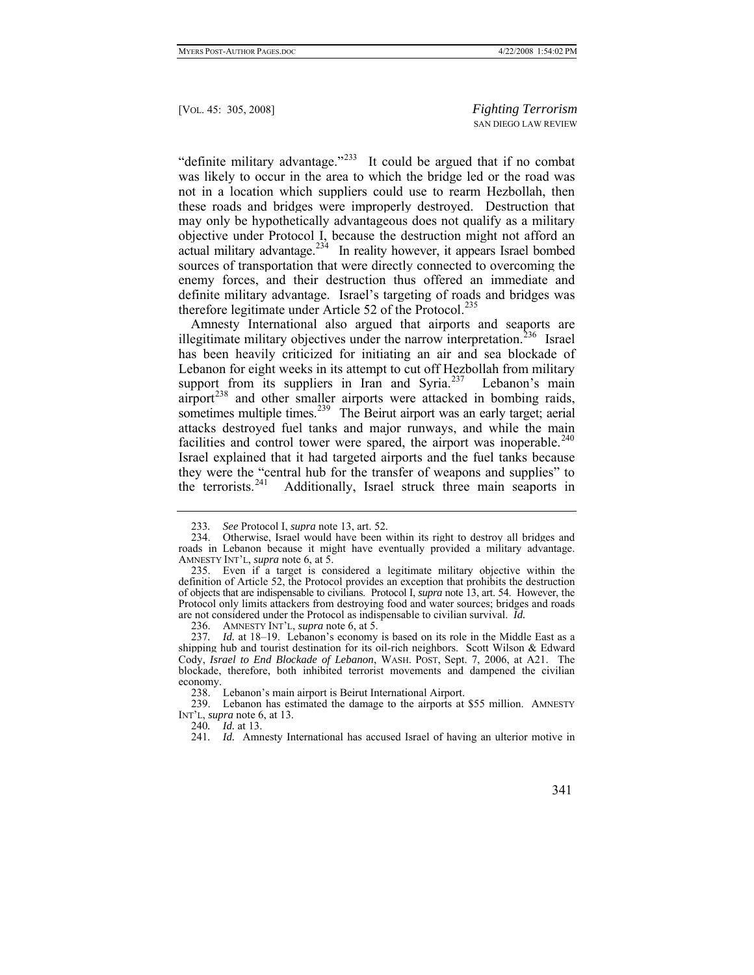["definite military advantage."](#page-36-0) $^{233}$  It could be argued that if no combat [was likely to occur in the area to which the bridge led or the road was](#page-36-1)  [not in a location which suppliers could use to rearm Hezbollah, then](#page-36-1)  [these roads and bridges were improperly destroyed. Destruction that](#page-36-1)  [may only be hypothetically advantageous does not qualify as a military](#page-36-1)  [objective under Protocol I, because the destruction might not afford an](#page-36-1)  [actual military advantage.](#page-36-1) $2^{34}$  In reality however, it appears Israel bombed [sources of transportation that were directly connected to overcoming the](#page-36-2)  [enemy forces, and their destruction thus offered an immediate and](#page-36-2)  [definite military advantage. Israel's targeting of roads](#page-36-2) and bridges was therefore legitimate under Article 52 of the Protocol.<sup>[235](#page-36-3)</sup>

the terrorists.<sup>241</sup> Additionally, Israel struck three main seaports in [Amnesty International also argued that airports and seaports are](#page-36-3)  [illegitimate military objectives under the narrow interpretation.](#page-36-3)<sup>236</sup> Israel [has been heavily criticized for initiating an air and sea blockade of](#page-36-4)  [Lebanon for eight weeks in its attempt to cut off Hezbollah from military](#page-36-4)  [support from its suppliers in Iran and Syria.](#page-36-4)<sup>237</sup> Lebanon's main [airport](#page-36-5)<sup>238</sup> and other smaller airports were attacked in bombing raids, [sometimes multiple times.](#page-36-6)<sup>239</sup> The Beirut airport was an early target; aerial [attacks destroyed fuel tanks and major runways, and while the main](#page-36-7)  [facilities and control tower were spared, the airport was inoperable.](#page-36-7)<sup>240</sup> [Israel explained that it had targeted airports and the fuel tanks because](#page-36-8)  they were the "central hub for the transfer of weapons and supplies" to

240*. Id.* at 13.

<sup>233</sup>*. See* Protocol I, *supra* note 13, art. 52.

<span id="page-36-1"></span><span id="page-36-0"></span> <sup>234.</sup> Otherwise, Israel would have been within its right to destroy all bridges and roads in Lebanon because it might have eventually provided a military advantage. AMNESTY INT'L, *supra* note 6, at 5.

<span id="page-36-2"></span> <sup>235.</sup> Even if a target is considered a legitimate military objective within the definition of Article 52, the Protocol provides an exception that prohibits the destruction of objects that are indispensable to civilians. Protocol I, *supra* note 13, art. 54. However, the Protocol only limits attackers from destroying food and water sources; bridges and roads are not considered under the Protocol as indispensable to civilian survival. *Id.*

 <sup>236.</sup> AMNESTY INT'L, *supra* note 6, at 5.

<span id="page-36-4"></span><span id="page-36-3"></span><sup>237</sup>*. Id.* at 18–19. Lebanon's economy is based on its role in the Middle East as a shipping hub and tourist destination for its oil-rich neighbors. Scott Wilson & Edward Cody, *Israel to End Blockade of Lebanon*, WASH. POST, Sept. 7, 2006, at A21. The blockade, therefore, both inhibited terrorist movements and dampened the civilian economy.

Beirut International Airport. 238. Lebanon's main airport is

<span id="page-36-8"></span><span id="page-36-7"></span><span id="page-36-6"></span><span id="page-36-5"></span>as estimated the damage to the airports at \$55 million. A 239. Lebanon has estimated the damage to the airports at \$55 million. AMNESTY INT'L, *supra* note 6, at 13.

<sup>241</sup>*. Id.* Amnesty International has accused Israel of having an ulterior motive in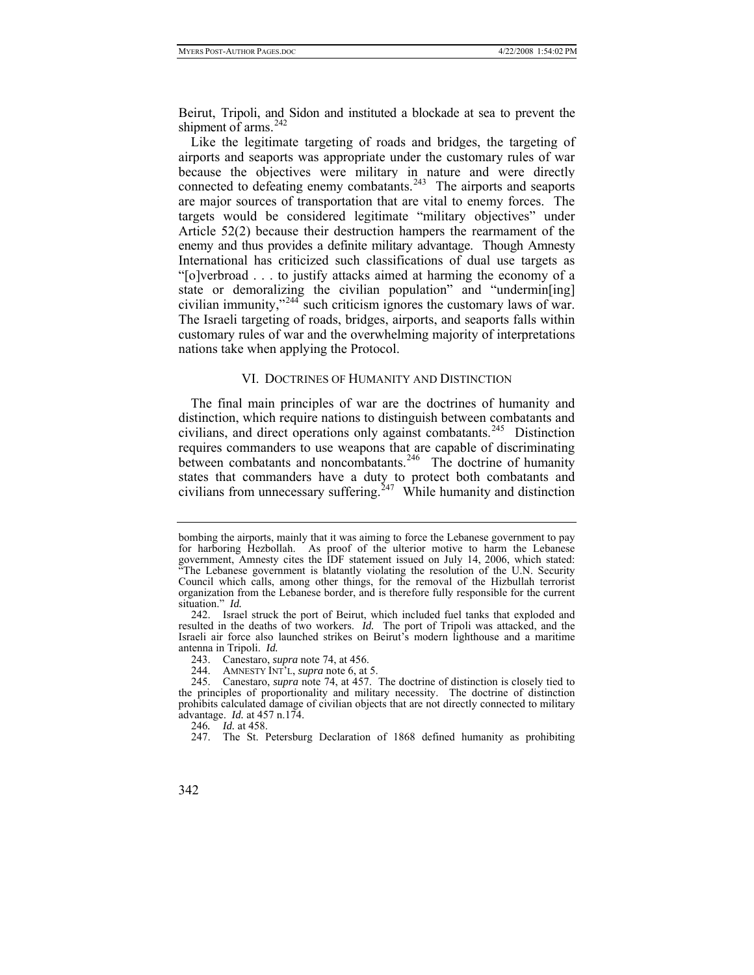[shipment of](#page-36-8) arms. $^{242}$ [Beirut, Tripoli, and Sidon and instituted a blockade at sea to prevent the](#page-36-8) 

Like the legitimate targeting of roads and bridges, the targeting of airports and seaports was appropriate under the customary rules of war because the objectives were military in nature and were directly connected to defeating enemy combatants.<sup> $243$ </sup> The airports and seaports are major sources of transportation that are vital to enemy forces. The targets would be considered legitimate "military objectives" under Article 52(2) because their destruction hampers the rearmament of the enemy and thus provides a definite military advantage. Though Amnesty International has criticized such classifications of dual use targets as "[o]verbroad . . . to justify attacks aimed at harming the economy of a state or demoralizing the civilian population" and "undermin[ing] civilian immunity,"<sup>[244](#page-37-1)</sup> such criticism ignores the customary laws of war. The Israeli targeting of roads, bridges, airports, and seaports falls within customary rules of war and the overwhelming majority of interpretations nations take when applying the Protocol.

# VI. DOCTRINES OF HUMANITY AND DISTINCTION

The final main principles of war are the doctrines of humanity and distinction, which require nations to distinguish between combatants and civilians, and direct operations only against combatants.[245](#page-37-2) Distinction requires commanders to use weapons that are capable of discriminating between combatants and noncombatants.<sup>[246](#page-37-3)</sup> The doctrine of humanity states that commanders have a duty to protect both combatants and civilians from unnecessary suffering.<sup>[247](#page-37-4)</sup> While humanity and distinction

bombing the airports, mainly that it was aiming to force the Lebanese government to pay for harboring Hezbollah. As proof of the ulterior motive to harm the Lebanese government, Amnesty cites the IDF statement issued on July 14, 2006, which stated: "The Lebanese government is blatantly violating the resolution of the U.N. Security Council which calls, among other things, for the removal of the Hizbullah terrorist organization from the Lebanese border, and is therefore fully responsible for the current situation." *Id.*

resulted in the deaths of two workers. *Id*. The port of Tripoli was attacked, and the Israeli air force also launched strikes on Beirut's modern lighthouse and a maritime 242. Israel struck the port of Beirut, which included fuel tanks that exploded and antenna in Tripoli. *Id.*

 <sup>243.</sup> Canestaro, *supra* note 74, at 456.

 <sup>244.</sup> AMNESTY INT'L, *supra* note 6, at 5.

<span id="page-37-4"></span><span id="page-37-3"></span><span id="page-37-2"></span><span id="page-37-1"></span><span id="page-37-0"></span> <sup>245.</sup> Canestaro, *supra* note 74, at 457. The doctrine of distinction is closely tied to the principles of proportionality and military necessity. The doctrine of distinction prohibits calculated damage of civilian objects that are not directly connected to military advantage. *Id.* at 457 n.174.

<sup>246</sup>*. Id.* at 458.

 <sup>247.</sup> The St. Petersburg Declaration of 1868 defined humanity as prohibiting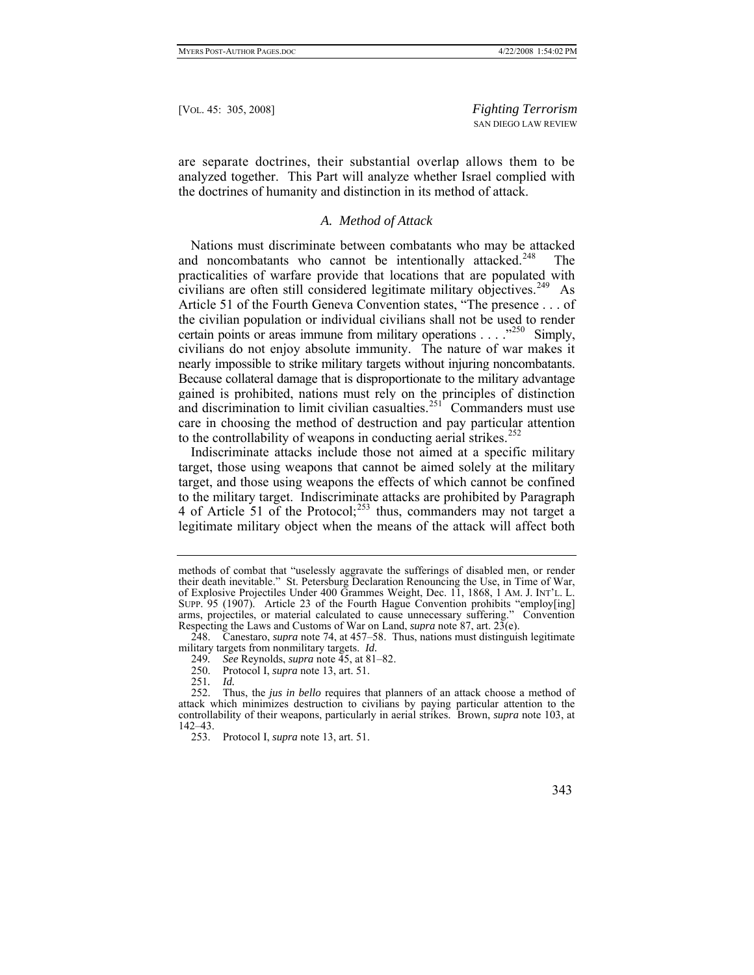are separate doctrines, their substantial overlap allows them to be analyzed together. This Part will analyze whether Israel complied with the doctrines of humanity and distinction in its method of attack.

# *A. Method of Attack*

Nations must discriminate between combatants who may be attacked and noncombatants who cannot be intentionally attacked.<sup>[248](#page-38-0)</sup> The practicalities of warfare provide that locations that are populated with civilians are often still considered legitimate military objectives.<sup>[249](#page-38-1)</sup> As Article 51 of the Fourth Geneva Convention states, "The presence . . . of the civilian population or individual civilians shall not be used to render certain points or areas immune from military operations . . . .  $\frac{1}{250}$  $\frac{1}{250}$  $\frac{1}{250}$  Simply, civilians do not enjoy absolute immunity. The nature of war makes it nearly impossible to strike military targets without injuring noncombatants. Because collateral damage that is disproportionate to the military advantage gained is prohibited, nations must rely on the principles of distinction and discrimination to limit civilian casualties.<sup>[251](#page-38-3)</sup> Commanders must use care in choosing the method of destruction and pay particular attention to the controllability of weapons in conducting aerial strikes.<sup>[252](#page-38-4)</sup>

Indiscriminate attacks include those not aimed at a specific military target, those using weapons that cannot be aimed solely at the military target, and those using weapons the effects of which cannot be confined to the military target. Indiscriminate attacks are prohibited by Paragraph 4 of Article 51 of the Protocol;<sup>[253](#page-38-5)</sup> thus, commanders may not target a legitimate military object when the means of the attack will affect both

methods of combat that "uselessly aggravate the sufferings of disabled men, or render their death inevitable." St. Petersburg Declaration Renouncing the Use, in Time of War, of Explosive Projectiles Under 400 Grammes Weight, Dec. 11, 1868, 1 AM. J. INT'L. L. SUPP. 95 (1907). Article 23 of the Fourth Hague Convention prohibits "employ[ing] arms, projectiles, or material calculated to cause unnecessary suffering." Convention Respecting the Laws and Customs of War on Land, *supra* note 87, art. 23(e).

<span id="page-38-1"></span><span id="page-38-0"></span> <sup>248.</sup> Canestaro, *supra* note 74, at 457–58. Thus, nations must distinguish legitimate military targets from nonmilitary targets. *Id.*

<sup>249</sup>*. See* Reynolds, *supra* note 45, at 81–82.

 <sup>250.</sup> Protocol I, *supra* note 13, art. 51.

<sup>251</sup>*. Id.*

<span id="page-38-5"></span><span id="page-38-4"></span><span id="page-38-3"></span><span id="page-38-2"></span>Thus, the *jus in bello* requires that planners of an attack choose a method of attack which minimizes destruction to civilians by paying particular attention to the controllability of their weapons, particularly in aerial strikes. Brown, *supra* note 103, at 142–43.

 <sup>253.</sup> Protocol I, *supra* note 13, art. 51.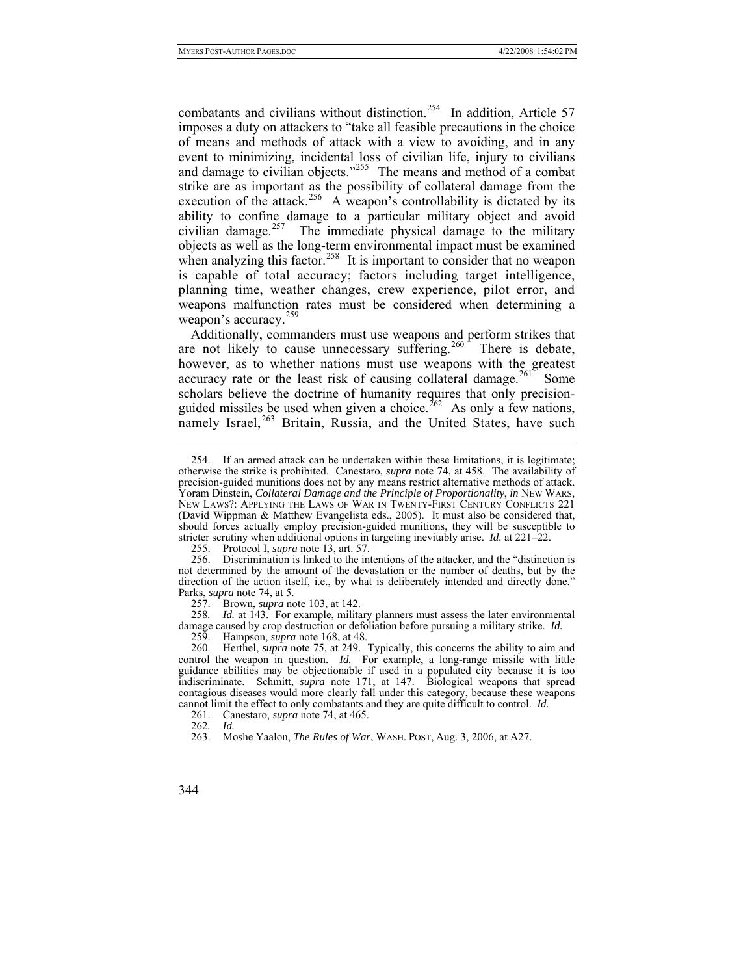combatants and civilians without distinction.<sup>[254](#page-39-0)</sup> In addition, Article 57 imposes a duty on attackers to "take all feasible precautions in the choice of means and methods of attack with a view to avoiding, and in any event to minimizing, incidental loss of civilian life, injury to civilians and damage to civilian objects."<sup>[255](#page-39-1)</sup> The means and method of a combat strike are as important as the possibility of collateral damage from the execution of the attack.<sup>[256](#page-39-2)</sup> A weapon's controllability is dictated by its ability to confine damage to a particular military object and avoid civilian damage.<sup>[257](#page-39-3)</sup> The immediate physical damage to the military objects as well as the long-term environmental impact must be examined when analyzing this factor.<sup>[258](#page-39-4)</sup> It is important to consider that no weapon is capable of total accuracy; factors including target intelligence, planning time, weather changes, crew experience, pilot error, and weapons malfunction rates must be considered when determining a weapon's accuracy.<sup>[259](#page-39-5)</sup>

Additionally, commanders must use weapons and perform strikes that are not likely to cause unnecessary suffering.<sup>[260](#page-39-6)</sup> There is debate, however, as to whether nations must use weapons with the greatest accuracy rate or the least risk of causing collateral damage.<sup>[261](#page-39-7)</sup> Some scholars believe the doctrine of humanity requires that only precision-guided missiles be used when given a choice.<sup>[262](#page-39-8)</sup> As only a few nations, namely Israel, <sup>[263](#page-39-9)</sup> Britain, Russia, and the United States, have such

257. Brown, *supra* note 103, at 142.

<span id="page-39-4"></span><span id="page-39-3"></span>258*. Id.* at 143. For example, military planners must assess the later environmental damage caused by crop destruction or defoliation before pursuing a military strike. *Id.* 

259. Hampson, *supra* note 168, at 48.

<span id="page-39-6"></span><span id="page-39-5"></span> 260. Herthel, *supra* note 75, at 249. Typically, this concerns the ability to aim and control the weapon in question. *Id.* For example, a long-range missile with little guidance abilities may be objectionable if used in a populated city because it is too indiscriminate. Schmitt, *supra* note 171, at 147. Biological weapons that spread contagious diseases would more clearly fall under this category, because these weapons cannot limit the effect to only combatants and they are quite difficult to control. *Id.*

<span id="page-39-8"></span><span id="page-39-7"></span>261. Canestaro, *supra* note 74, at 465.

262*. Id.*

<span id="page-39-9"></span>263. Moshe Yaalon, *The Rules of War*, WASH. POST, Aug. 3, 2006, at A27.

<span id="page-39-0"></span> <sup>254.</sup> If an armed attack can be undertaken within these limitations, it is legitimate; otherwise the strike is prohibited. Canestaro, *supra* note 74, at 458. The availability of precision-guided munitions does not by any means restrict alternative methods of attack. Yoram Dinstein, *Collateral Damage and the Principle of Proportionality*, *in* NEW WARS, NEW LAWS?: APPLYING THE LAWS OF WAR IN TWENTY-FIRST CENTURY CONFLICTS 221 (David Wippman & Matthew Evangelista eds., 2005). It must also be considered that, should forces actually employ precision-guided munitions, they will be susceptible to stricter scrutiny when additional options in targeting inevitably arise. *Id.* at 221–22.

 <sup>255.</sup> Protocol I, *supra* note 13, art. 57.

<span id="page-39-2"></span><span id="page-39-1"></span> <sup>256.</sup> Discrimination is linked to the intentions of the attacker, and the "distinction is not determined by the amount of the devastation or the number of deaths, but by the direction of the action itself, i.e., by what is deliberately intended and directly done." Parks, *supra* note 74, at 5.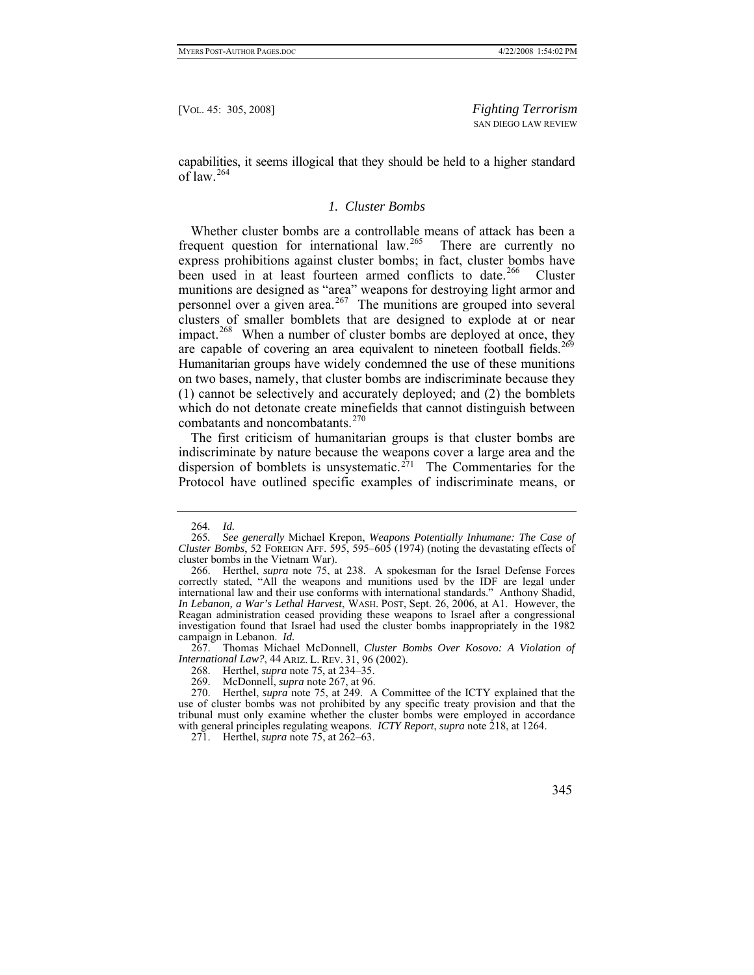capabilities, it seems illogical that they should be held to a higher standard of law.[264](#page-40-0)

#### *1. Cluster Bombs*

Whether cluster bombs are a controllable means of attack has been a frequent question for international law.<sup>[265](#page-40-1)</sup> There are currently no express prohibitions against cluster bombs; in fact, cluster bombs have been used in at least fourteen armed conflicts to date.<sup>[266](#page-40-2)</sup> Cluster munitions are designed as "area" weapons for destroying light armor and personnel over a given area.<sup>[267](#page-40-3)</sup> The munitions are grouped into several clusters of smaller bomblets that are designed to explode at or near impact.<sup>[268](#page-40-4)</sup> When a number of cluster bombs are deployed at once, they are capable of covering an area equivalent to nineteen football fields.<sup>[269](#page-40-5)</sup> Humanitarian groups have widely condemned the use of these munitions on two bases, namely, that cluster bombs are indiscriminate because they (1) cannot be selectively and accurately deployed; and (2) the bomblets which do not detonate create minefields that cannot distinguish between combatants and noncombatants.<sup>270</sup>

The first criticism of humanitarian groups is that cluster bombs are indiscriminate by nature because the weapons cover a large area and the dispersion of bomblets is unsystematic.<sup>[271](#page-40-6)</sup> The Commentaries for the Protocol have outlined specific examples of indiscriminate means, or

<span id="page-40-3"></span> 267. Thomas Michael McDonnell, *Cluster Bombs Over Kosovo: A Violation of International Law?*, 44 ARIZ. L. REV. 31, 96 (2002).

<sup>264</sup>*. Id.*

<span id="page-40-1"></span><span id="page-40-0"></span><sup>265</sup>*. See generally* Michael Krepon, *Weapons Potentially Inhumane: The Case of Cluster Bombs*, 52 FOREIGN AFF. 595, 595–605 (1974) (noting the devastating effects of cluster bombs in the Vietnam War).

<span id="page-40-2"></span> <sup>266.</sup> Herthel, *supra* note 75, at 238. A spokesman for the Israel Defense Forces correctly stated, "All the weapons and munitions used by the IDF are legal under international law and their use conforms with international standards." Anthony Shadid, *In Lebanon, a War's Lethal Harvest*, WASH. POST, Sept. 26, 2006, at A1. However, the Reagan administration ceased providing these weapons to Israel after a congressional investigation found that Israel had used the cluster bombs inappropriately in the 1982 campaign in Lebanon. *Id.* 

 <sup>268.</sup> Herthel, *supra* note 75, at 234–35.

 <sup>269.</sup> McDonnell, *supra* note 267, at 96.

<span id="page-40-6"></span><span id="page-40-5"></span><span id="page-40-4"></span> <sup>270.</sup> Herthel, *supra* note 75, at 249. A Committee of the ICTY explained that the use of cluster bombs was not prohibited by any specific treaty provision and that the tribunal must only examine whether the cluster bombs were employed in accordance with general principles regulating weapons. *ICTY Report*, *supra* note 218, at 1264.

 <sup>271.</sup> Herthel, *supra* note 75, at 262–63.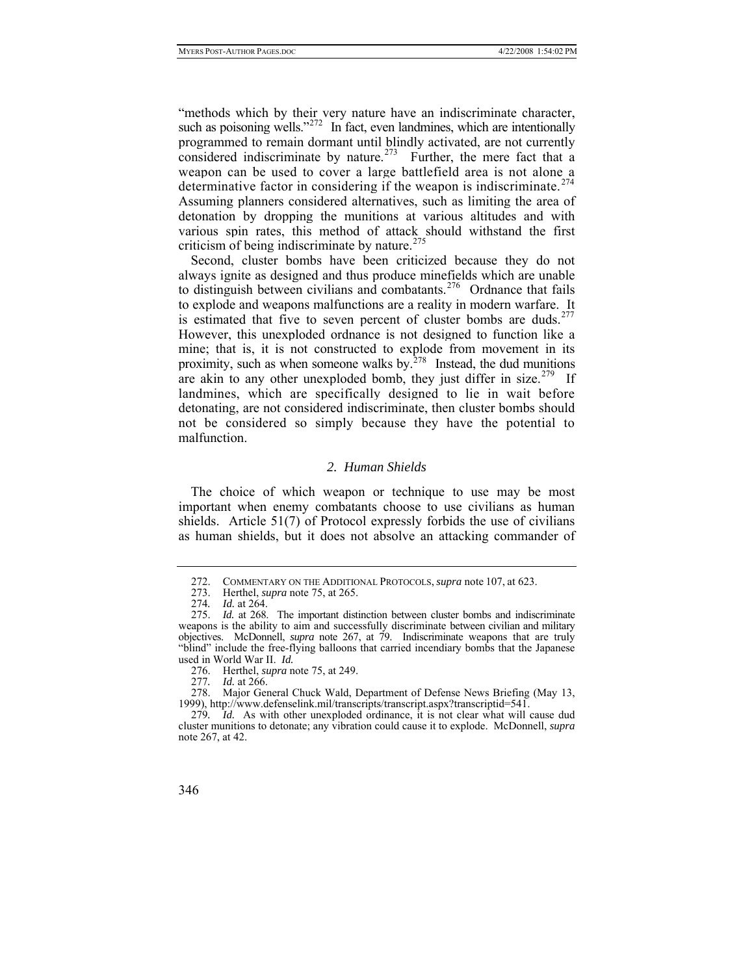"methods which by their very nature have an indiscriminate character, such as poisoning wells."<sup>[272](#page-41-0)</sup> In fact, even landmines, which are intentionally programmed to remain dormant until blindly activated, are not currently considered indiscriminate by nature.<sup>[273](#page-41-1)</sup> Further, the mere fact that a weapon can be used to cover a large battlefield area is not alone a determinative factor in considering if the weapon is indiscriminate.<sup>[274](#page-41-2)</sup> Assuming planners considered alternatives, such as limiting the area of detonation by dropping the munitions at various altitudes and with various spin rates, this method of attack should withstand the first criticism of being indiscriminate by nature. $275$ 

Second, cluster bombs have been criticized because they do not always ignite as designed and thus produce minefields which are unable to distinguish between civilians and combatants.<sup>[276](#page-41-4)</sup> Ordnance that fails to explode and weapons malfunctions are a reality in modern warfare. It is estimated that five to seven percent of cluster bombs are duds.<sup>[277](#page-41-5)</sup> However, this unexploded ordnance is not designed to function like a mine; that is, it is not constructed to explode from movement in its proximity, such as when someone walks by. $278$  Instead, the dud munitions are akin to any other unexploded bomb, they just differ in size.<sup>[279](#page-41-7)</sup> If landmines, which are specifically designed to lie in wait before detonating, are not considered indiscriminate, then cluster bombs should not be considered so simply because they have the potential to malfunction.

## *2. Human Shields*

The choice of which weapon or technique to use may be most important when enemy combatants choose to use civilians as human shields. Article 51(7) of Protocol expressly forbids the use of civilians as human shields, but it does not absolve an attacking commander of

 <sup>272.</sup> COMMENTARY ON THE ADDITIONAL PROTOCOLS, *supra* note 107, at 623.

 <sup>273.</sup> Herthel, *supra* note 75, at 265.

<sup>274</sup>*. Id.* at 264.

<span id="page-41-3"></span><span id="page-41-2"></span><span id="page-41-1"></span><span id="page-41-0"></span> <sup>275.</sup> *Id.* at 268. The important distinction between cluster bombs and indiscriminate weapons is the ability to aim and successfully discriminate between civilian and military objectives. McDonnell, *supra* note 267, at 79. Indiscriminate weapons that are truly "blind" include the free-flying balloons that carried incendiary bombs that the Japanese used in World War II. *Id.*

 <sup>276.</sup> Herthel, *supra* note 75, at 249.

<sup>277</sup>*. Id.* at 266.

<span id="page-41-6"></span><span id="page-41-5"></span><span id="page-41-4"></span> <sup>278.</sup> Major General Chuck Wald, Department of Defense News Briefing (May 13, 1999), http://www.defenselink.mil/transcripts/transcript.aspx?transcriptid=541.

<span id="page-41-7"></span><sup>279</sup>*. Id.* As with other unexploded ordinance, it is not clear what will cause dud cluster munitions to detonate; any vibration could cause it to explode. McDonnell, *supra* note 267, at 42.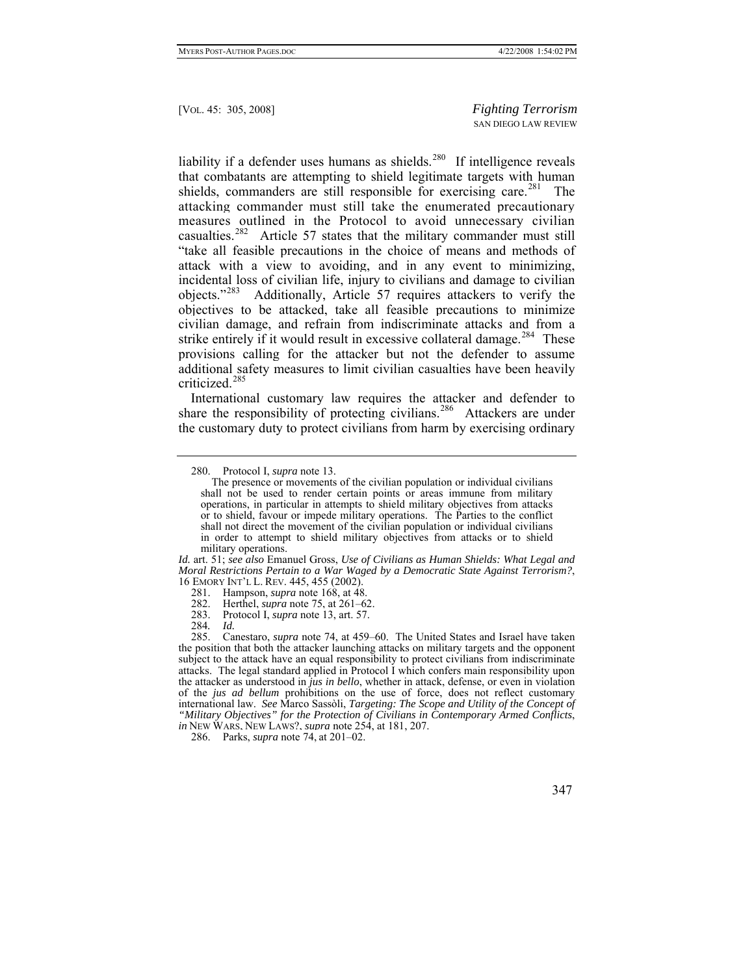liability if a defender uses humans as shields.<sup>[280](#page-42-0)</sup> If intelligence reveals that combatants are attempting to shield legitimate targets with human shields, commanders are still responsible for exercising care.<sup>[281](#page-42-1)</sup> The attacking commander must still take the enumerated precautionary measures outlined in the Protocol to avoid unnecessary civilian casualties.<sup>[282](#page-42-2)</sup> Article 57 states that the military commander must still "take all feasible precautions in the choice of means and methods of attack with a view to avoiding, and in any event to minimizing, incidental loss of civilian life, injury to civilians and damage to civilian objects."[283](#page-42-3) Additionally, Article 57 requires attackers to verify the objectives to be attacked, take all feasible precautions to minimize civilian damage, and refrain from indiscriminate attacks and from a strike entirely if it would result in excessive collateral damage.<sup>[284](#page-42-4)</sup> These provisions calling for the attacker but not the defender to assume additional safety measures to limit civilian casualties have been heavily criticized.[285](#page-42-5)

International customary law requires the attacker and defender to share the responsibility of protecting civilians.<sup>[286](#page-42-6)</sup> Attackers are under the customary duty to protect civilians from harm by exercising ordinary

<span id="page-42-1"></span>*Id.* art. 51; *see also* Emanuel Gross, *Use of Civilians as Human Shields: What Legal and Moral Restrictions Pertain to a War Waged by a Democratic State Against Terrorism?*, 16 EMORY INT'L L. REV. 445, 455 (2002).

<span id="page-42-0"></span> <sup>280.</sup> Protocol I, *supra* note 13.

The presence or movements of the civilian population or individual civilians shall not be used to render certain points or areas immune from military operations, in particular in attempts to shield military objectives from attacks or to shield, favour or impede military operations. The Parties to the conflict shall not direct the movement of the civilian population or individual civilians in order to attempt to shield military objectives from attacks or to shield military operations.

 <sup>281.</sup> Hampson, *supra* note 168, at 48.

 <sup>282.</sup> Herthel, *supra* note 75, at 261–62.

 <sup>283.</sup> Protocol I, *supra* note 13, art. 57.

<sup>284</sup>*. Id.*

<span id="page-42-5"></span><span id="page-42-4"></span><span id="page-42-3"></span><span id="page-42-2"></span> <sup>285.</sup> Canestaro, *supra* note 74, at 459–60. The United States and Israel have taken the position that both the attacker launching attacks on military targets and the opponent subject to the attack have an equal responsibility to protect civilians from indiscriminate attacks. The legal standard applied in Protocol I which confers main responsibility upon the attacker as understood in *jus in bello*, whether in attack, defense, or even in violation of the *jus ad bellum* prohibitions on the use of force, does not reflect customary international law. *See* Marco Sassòli, *Targeting: The Scope and Utility of the Concept of "Military Objectives" for the Protection of Civilians in Contemporary Armed Conflicts*, *in* NEW WARS, NEW LAWS?, *supra* note 254, at 181, 207.

<span id="page-42-6"></span> <sup>286.</sup> Parks, *supra* note 74, at 201–02.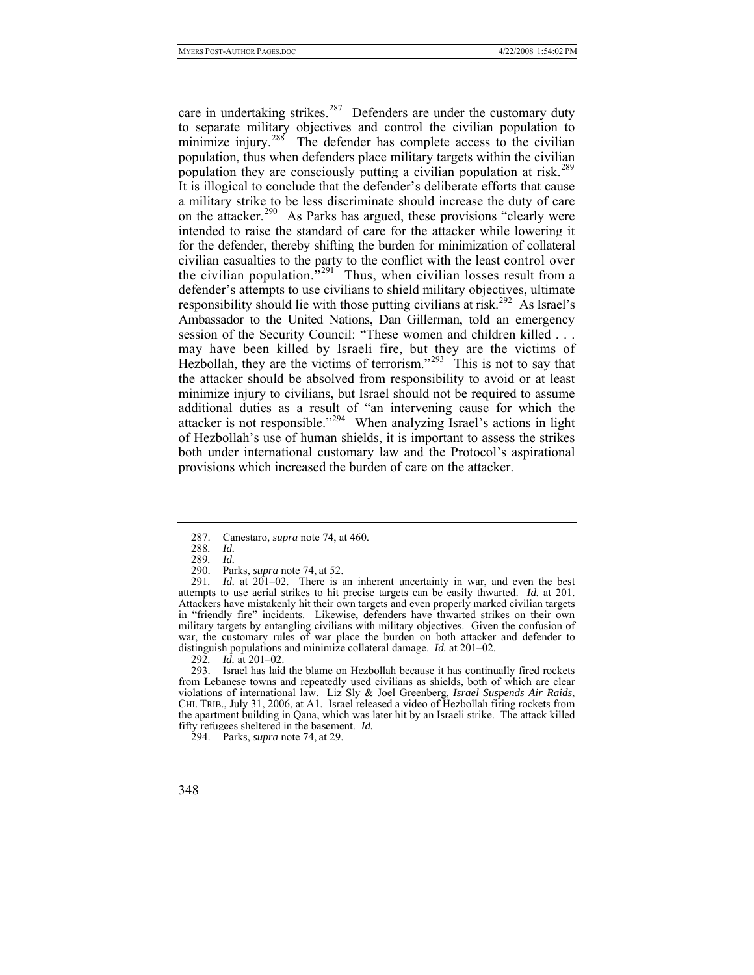care in undertaking strikes.<sup>[287](#page-43-0)</sup> Defenders are under the customary duty to separate military objectives and control the civilian population to minimize injury.<sup>[288](#page-43-1)</sup> The defender has complete access to the civilian population, thus when defenders place military targets within the civilian population they are consciously putting a civilian population at risk.<sup>[289](#page-43-2)</sup> It is illogical to conclude that the defender's deliberate efforts that cause a military strike to be less discriminate should increase the duty of care on the attacker.<sup>[290](#page-43-3)</sup> As Parks has argued, these provisions "clearly were intended to raise the standard of care for the attacker while lowering it for the defender, thereby shifting the burden for minimization of collateral civilian casualties to the party to the conflict with the least control over the civilian population."<sup>[291](#page-43-4)</sup> Thus, when civilian losses result from a defender's attempts to use civilians to shield military objectives, ultimate responsibility should lie with those putting civilians at risk.<sup>[292](#page-43-5)</sup> As Israel's Ambassador to the United Nations, Dan Gillerman, told an emergency session of the Security Council: "These women and children killed . . . may have been killed by Israeli fire, but they are the victims of Hezbollah, they are the victims of terrorism." $293$  This is not to say that the attacker should be absolved from responsibility to avoid or at least minimize injury to civilians, but Israel should not be required to assume additional duties as a result of "an intervening cause for which the attacker is not responsible."<sup>[294](#page-43-7)</sup> When analyzing Israel's actions in light of Hezbollah's use of human shields, it is important to assess the strikes both under international customary law and the Protocol's aspirational provisions which increased the burden of care on the attacker.

 <sup>287.</sup> Canestaro, *supra* note 74, at 460.

<sup>288</sup>*. Id.*

<sup>289</sup>*. Id.*

 <sup>290.</sup> Parks, *supra* note 74, at 52.

<span id="page-43-4"></span><span id="page-43-3"></span><span id="page-43-2"></span><span id="page-43-1"></span><span id="page-43-0"></span><sup>291</sup>*. Id.* at 201–02. There is an inherent uncertainty in war, and even the best attempts to use aerial strikes to hit precise targets can be easily thwarted. *Id.* at 201. Attackers have mistakenly hit their own targets and even properly marked civilian targets in "friendly fire" incidents. Likewise, defenders have thwarted strikes on their own military targets by entangling civilians with military objectives. Given the confusion of war, the customary rules of war place the burden on both attacker and defender to distinguish populations and minimize collateral damage. *Id.* at 201–02.

<sup>292</sup>*. Id.* at 201–02.

<span id="page-43-6"></span><span id="page-43-5"></span> <sup>293.</sup> Israel has laid the blame on Hezbollah because it has continually fired rockets from Lebanese towns and repeatedly used civilians as shields, both of which are clear violations of international law. Liz Sly & Joel Greenberg, *Israel Suspends Air Raids*, CHI. TRIB., July 31, 2006, at A1. Israel released a video of Hezbollah firing rockets from the apartment building in Qana, which was later hit by an Israeli strike. The attack killed fifty refugees sheltered in the basement. *Id.*

<span id="page-43-7"></span> <sup>294.</sup> Parks, *supra* note 74, at 29.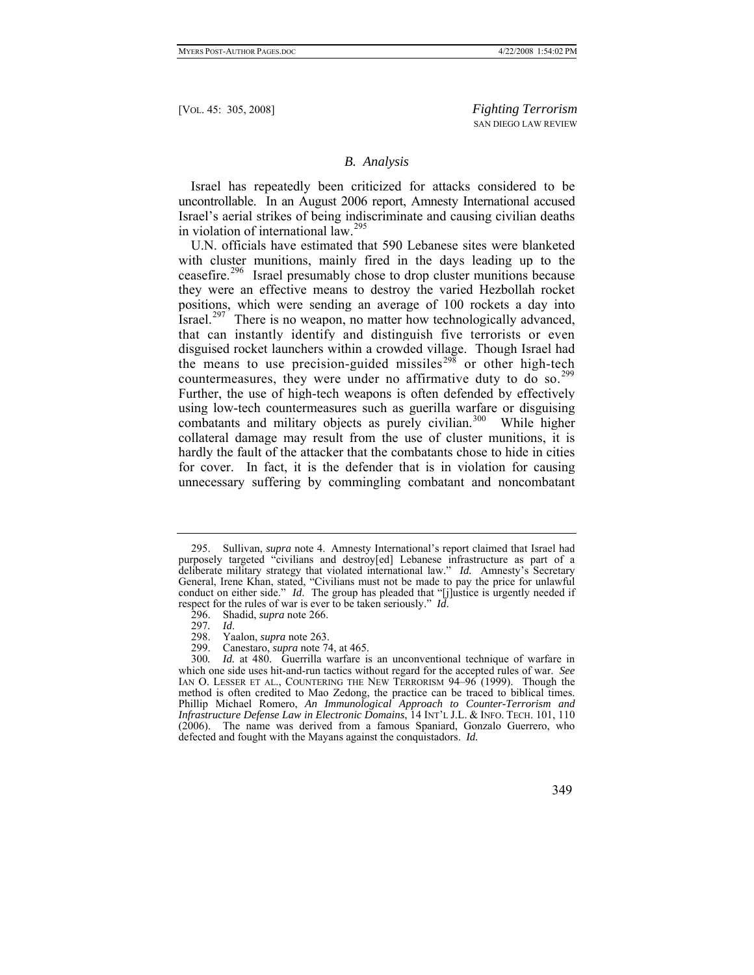# *B. Analysis*

Israel has repeatedly been criticized for attacks considered to be uncontrollable. In an August 2006 report, Amnesty International accused Israel's aerial strikes of being indiscriminate and causing civilian deaths in violation of international law.<sup>[295](#page-44-0)</sup>

U.N. officials have estimated that 590 Lebanese sites were blanketed with cluster munitions, mainly fired in the days leading up to the ceasefire.[296](#page-44-1) Israel presumably chose to drop cluster munitions because they were an effective means to destroy the varied Hezbollah rocket positions, which were sending an average of 100 rockets a day into Israel.<sup>[297](#page-44-2)</sup> There is no weapon, no matter how technologically advanced, that can instantly identify and distinguish five terrorists or even disguised rocket launchers within a crowded village. Though Israel had the means to use precision-guided missiles<sup>[298](#page-44-3)</sup> or other high-tech countermeasures, they were under no affirmative duty to do so.<sup>[299](#page-44-4)</sup> Further, the use of high-tech weapons is often defended by effectively using low-tech countermeasures such as guerilla warfare or disguising combatants and military objects as purely civilian.<sup>[300](#page-44-5)</sup> While higher collateral damage may result from the use of cluster munitions, it is hardly the fault of the attacker that the combatants chose to hide in cities for cover. In fact, it is the defender that is in violation for causing unnecessary suffering by commingling combatant and noncombatant

<span id="page-44-0"></span> <sup>295.</sup> Sullivan, *supra* note 4. Amnesty International's report claimed that Israel had purposely targeted "civilians and destroy[ed] Lebanese infrastructure as part of a deliberate military strategy that violated international law." *Id.* Amnesty's Secretary General, Irene Khan, stated, "Civilians must not be made to pay the price for unlawful conduct on either side." *Id*. The group has pleaded that "[j]ustice is urgently needed if respect for the rules of war is ever to be taken seriously." *Id*. 296. Shadid, *supra* note 266.

<sup>297</sup>*. Id*.

 <sup>298.</sup> Yaalon, *supra* note 263.

Canestaro, *supra* note 74, at 465.

<span id="page-44-5"></span><span id="page-44-4"></span><span id="page-44-3"></span><span id="page-44-2"></span><span id="page-44-1"></span><sup>300</sup>*. Id.* at 480. Guerrilla warfare is an unconventional technique of warfare in which one side uses hit-and-run tactics without regard for the accepted rules of war. *See*  IAN O. LESSER ET AL., COUNTERING THE NEW TERRORISM 94–96 (1999). Though the method is often credited to Mao Zedong, the practice can be traced to biblical times. Phillip Michael Romero, *An Immunological Approach to Counter-Terrorism and Infrastructure Defense Law in Electronic Domains*, 14 INT'L J.L. & INFO. TECH. 101, 110 (2006). The name was derived from a famous Spaniard, Gonzalo Guerrero, who defected and fought with the Mayans against the conquistadors. *Id.*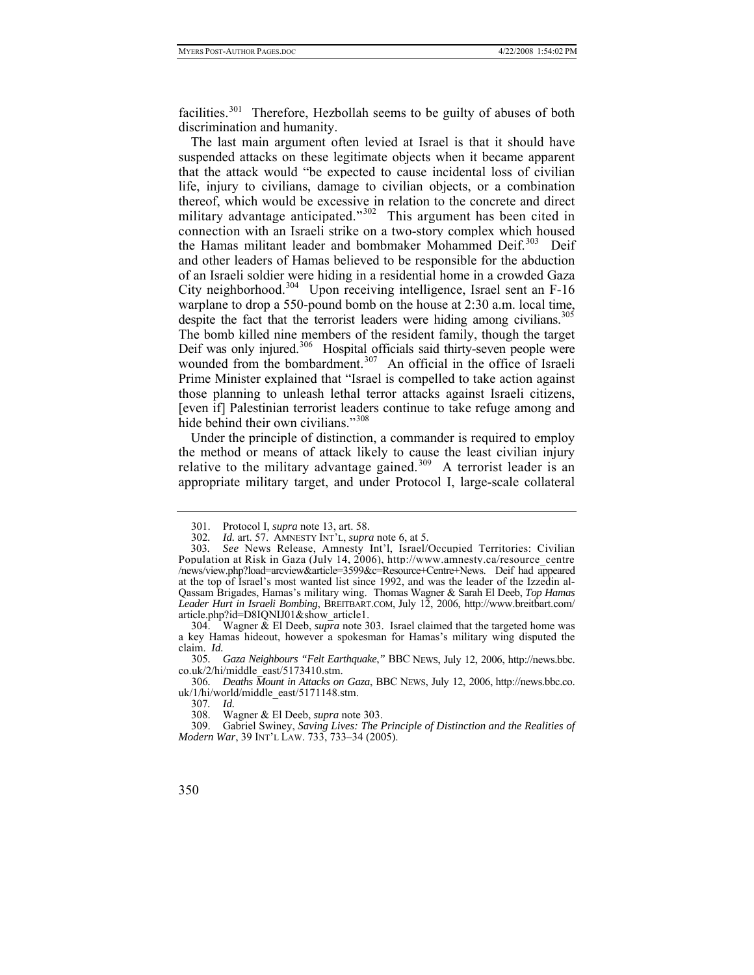facilities.[301](#page-45-0) Therefore, Hezbollah seems to be guilty of abuses of both discrimination and humanity.

The last main argument often levied at Israel is that it should have suspended attacks on these legitimate objects when it became apparent that the attack would "be expected to cause incidental loss of civilian life, injury to civilians, damage to civilian objects, or a combination thereof, which would be excessive in relation to the concrete and direct military advantage anticipated."<sup>[302](#page-45-1)</sup> This argument has been cited in connection with an Israeli strike on a two-story complex which housed the Hamas militant leader and bombmaker Mohammed Deif.<sup>[303](#page-45-2)</sup> Deif and other leaders of Hamas believed to be responsible for the abduction of an Israeli soldier were hiding in a residential home in a crowded Gaza City neighborhood.<sup>[304](#page-45-3)</sup> Upon receiving intelligence, Israel sent an  $F-16$ warplane to drop a 550-pound bomb on the house at 2:30 a.m. local time, despite the fact that the terrorist leaders were hiding among civilians.<sup>[305](#page-45-4)</sup> The bomb killed nine members of the resident family, though the target Deif was only injured.<sup>[306](#page-45-5)</sup> Hospital officials said thirty-seven people were wounded from the bombardment.<sup>[307](#page-45-6)</sup> An official in the office of Israeli Prime Minister explained that "Israel is compelled to take action against those planning to unleash lethal terror attacks against Israeli citizens, [even if] Palestinian terrorist leaders continue to take refuge among and hide behind their own civilians."<sup>[308](#page-45-7)</sup>

Under the principle of distinction, a commander is required to employ the method or means of attack likely to cause the least civilian injury relative to the military advantage gained.<sup>[309](#page-45-8)</sup> A terrorist leader is an appropriate military target, and under Protocol I, large-scale collateral

<span id="page-45-3"></span>304. Wagner  $\&$  El Deeb, *supra* note 303. Israel claimed that the targeted home was a key Hamas hideout, however a spokesman for Hamas's military wing disputed the claim. *Id.*

 <sup>301.</sup> Protocol I, *supra* note 13, art. 58.

<sup>302</sup>*. Id.* art. 57. AMNESTY INT'L, *supra* note 6, at 5.

<span id="page-45-2"></span><span id="page-45-1"></span><span id="page-45-0"></span><sup>303</sup>*. See* News Release, Amnesty Int'l, Israel/Occupied Territories: Civilian Population at Risk in Gaza (July 14, 2006), http://www.amnesty.ca/resource\_centre /news/view.php?load=arcview&article=3599&c=Resource+Centre+News. Deif had appeared at the top of Israel's most wanted list since 1992, and was the leader of the Izzedin al-Qassam Brigades, Hamas's military wing. Thomas Wagner & Sarah El Deeb, *Top Hamas Leader Hurt in Israeli Bombing*, BREITBART.COM, July 12, 2006, http://www.breitbart.com/ article.php?id=D8IQNIJ01&show\_article1.

<span id="page-45-4"></span><sup>305</sup>*. Gaza Neighbours "Felt Earthquake*,*"* BBC NEWS, July 12, 2006, http://news.bbc. co.uk/2/hi/middle\_east/5173410.stm.

<span id="page-45-5"></span><sup>306</sup>*. Deaths Mount in Attacks on Gaza*, BBC NEWS, July 12, 2006, http://news.bbc.co. uk/1/hi/world/middle\_east/5171148.stm.<br>307.  $Id$ .

<sup>307</sup>*. Id.*

 <sup>308.</sup> Wagner & El Deeb, *supra* note 303.

<span id="page-45-8"></span><span id="page-45-7"></span><span id="page-45-6"></span> <sup>309.</sup> Gabriel Swiney, *Saving Lives: The Principle of Distinction and the Realities of Modern War*, 39 INT'L LAW. 733, 733–34 (2005).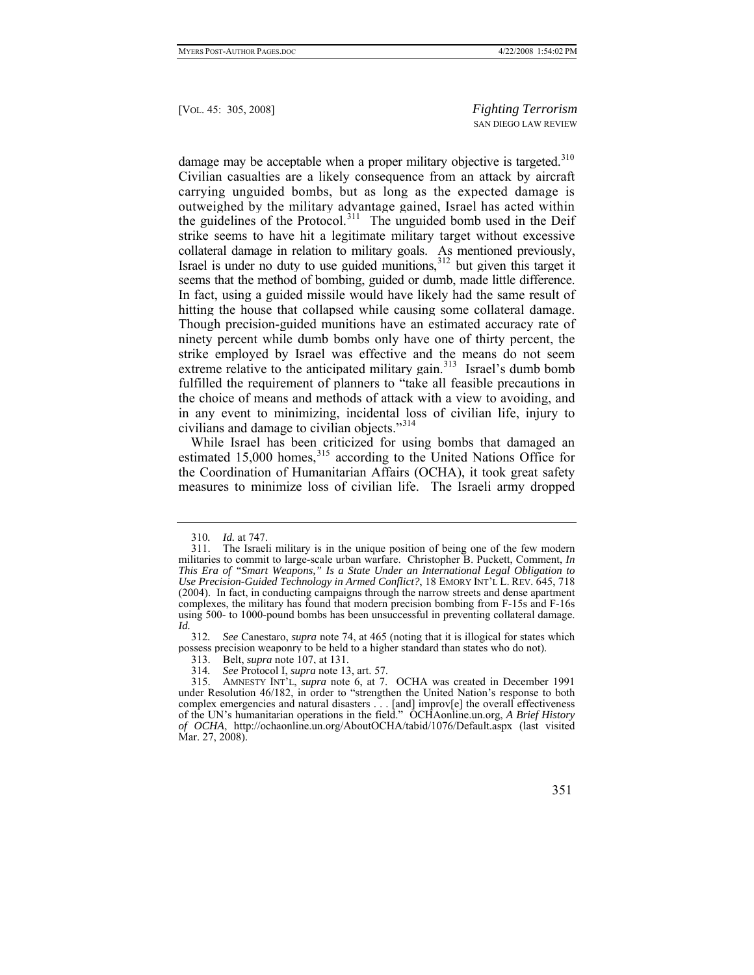damage may be acceptable when a proper military objective is targeted.<sup>[310](#page-46-0)</sup> Civilian casualties are a likely consequence from an attack by aircraft carrying unguided bombs, but as long as the expected damage is outweighed by the military advantage gained, Israel has acted within the guidelines of the Protocol.<sup>[311](#page-46-1)</sup> The unguided bomb used in the Deif strike seems to have hit a legitimate military target without excessive collateral damage in relation to military goals. As mentioned previously, Israel is under no duty to use guided munitions,  $3^{12}$  but given this target it seems that the method of bombing, guided or dumb, made little difference. In fact, using a guided missile would have likely had the same result of hitting the house that collapsed while causing some collateral damage. Though precision-guided munitions have an estimated accuracy rate of ninety percent while dumb bombs only have one of thirty percent, the strike employed by Israel was effective and the means do not seem extreme relative to the anticipated military gain.<sup>[313](#page-46-3)</sup> Israel's dumb bomb fulfilled the requirement of planners to "take all feasible precautions in the choice of means and methods of attack with a view to avoiding, and in any event to minimizing, incidental loss of civilian life, injury to civilians and damage to civilian objects."[314](#page-46-4)

While Israel has been criticized for using bombs that damaged an estimated 15,000 homes,<sup>[315](#page-46-5)</sup> according to the United Nations Office for the Coordination of Humanitarian Affairs (OCHA), it took great safety measures to minimize loss of civilian life. The Israeli army dropped

<sup>310</sup>*. Id.* at 747.

<span id="page-46-1"></span><span id="page-46-0"></span> <sup>311.</sup> The Israeli military is in the unique position of being one of the few modern militaries to commit to large-scale urban warfare. Christopher B. Puckett, Comment, *In This Era of "Smart Weapons," Is a State Under an International Legal Obligation to Use Precision-Guided Technology in Armed Conflict?*, 18 EMORY INT'L L. REV. 645, 718 (2004). In fact, in conducting campaigns through the narrow streets and dense apartment complexes, the military has found that modern precision bombing from F-15s and F-16s using 500- to 1000-pound bombs has been unsuccessful in preventing collateral damage. *Id.* 

<span id="page-46-2"></span><sup>312</sup>*. See* Canestaro, *supra* note 74, at 465 (noting that it is illogical for states which possess precision weaponry to be held to a higher standard than states who do not).

 <sup>313.</sup> Belt, *supra* note 107, at 131.

<sup>314</sup>*. See* Protocol I, *supra* note 13, art. 57.

<span id="page-46-5"></span><span id="page-46-4"></span><span id="page-46-3"></span> <sup>315.</sup> AMNESTY INT'L, *supra* note 6, at 7. OCHA was created in December 1991 under Resolution 46/182, in order to "strengthen the United Nation's response to both complex emergencies and natural disasters . . . [and] improv[e] the overall effectiveness of the UN's humanitarian operations in the field." OCHAonline.un.org, *A Brief History of OCHA*, http://ochaonline.un.org/AboutOCHA/tabid/1076/Default.aspx (last visited Mar. 27, 2008).